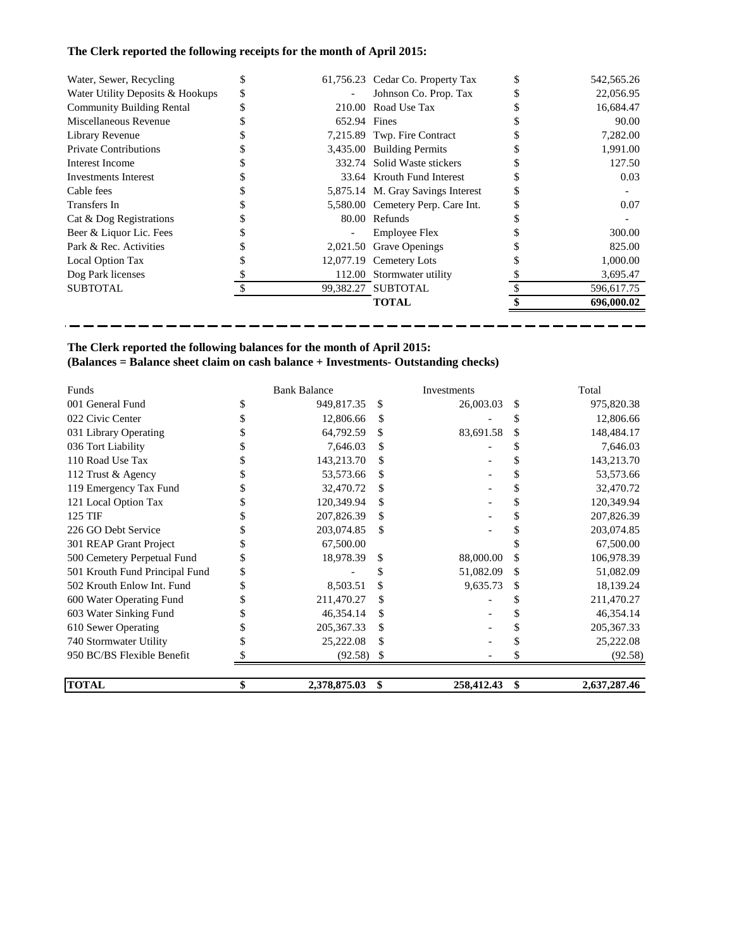# **The Clerk reported the following receipts for the month of April 2015:**

| Water, Sewer, Recycling          |   |              | 61,756.23 Cedar Co. Property Tax  | 542,565.26 |
|----------------------------------|---|--------------|-----------------------------------|------------|
| Water Utility Deposits & Hookups | S |              | Johnson Co. Prop. Tax             | 22,056.95  |
| <b>Community Building Rental</b> |   |              | 210.00 Road Use Tax               | 16,684.47  |
| Miscellaneous Revenue            |   | 652.94 Fines |                                   | 90.00      |
| Library Revenue                  |   |              | 7,215.89 Twp. Fire Contract       | 7,282.00   |
| <b>Private Contributions</b>     |   |              | 3,435.00 Building Permits         | 1.991.00   |
| Interest Income                  |   |              | 332.74 Solid Waste stickers       | 127.50     |
| Investments Interest             |   |              | 33.64 Krouth Fund Interest        | 0.03       |
| Cable fees                       |   |              | 5,875.14 M. Gray Savings Interest |            |
| Transfers In                     |   |              | 5,580.00 Cemetery Perp. Care Int. | 0.07       |
| Cat & Dog Registrations          |   |              | 80.00 Refunds                     |            |
| Beer & Liquor Lic. Fees          |   |              | <b>Employee Flex</b>              | 300.00     |
| Park & Rec. Activities           |   |              | 2,021.50 Grave Openings           | 825.00     |
| Local Option Tax                 |   |              | 12,077.19 Cemetery Lots           | 1,000.00   |
| Dog Park licenses                |   |              | 112.00 Stormwater utility         | 3,695.47   |
| <b>SUBTOTAL</b>                  |   |              | 99,382.27 SUBTOTAL                | 596,617.75 |
|                                  |   |              | <b>TOTAL</b>                      | 696,000.02 |

-------------------

ш.

<u>an ann ann ann ann a</u>

- --۳,

--

# **The Clerk reported the following balances for the month of April 2015: (Balances = Balance sheet claim on cash balance + Investments- Outstanding checks)**

---

- -

| Funds                          | <b>Bank Balance</b> |     | Investments | Total              |
|--------------------------------|---------------------|-----|-------------|--------------------|
| 001 General Fund               | 949,817.35          | \$  | 26,003.03   | \$<br>975,820.38   |
| 022 Civic Center               | 12,806.66           | \$  |             | 12,806.66          |
| 031 Library Operating          | 64,792.59           | \$  | 83,691.58   | \$<br>148,484.17   |
| 036 Tort Liability             | 7,646.03            | S   |             | 7,646.03           |
| 110 Road Use Tax               | 143,213.70          |     |             | 143,213.70         |
| 112 Trust & Agency             | 53,573.66           | \$  |             | 53,573.66          |
| 119 Emergency Tax Fund         | 32,470.72           | S   |             | 32,470.72          |
| 121 Local Option Tax           | 120,349.94          |     |             | 120,349.94         |
| 125 TIF                        | 207,826.39          | \$  |             | 207,826.39         |
| 226 GO Debt Service            | 203,074.85          | \$  |             | 203,074.85         |
| 301 REAP Grant Project         | 67,500.00           |     |             | 67,500.00          |
| 500 Cemetery Perpetual Fund    | 18,978.39           | \$  | 88,000.00   | \$<br>106,978.39   |
| 501 Krouth Fund Principal Fund |                     | S   | 51,082.09   | \$<br>51,082.09    |
| 502 Krouth Enlow Int. Fund     | 8,503.51            | \$  | 9,635.73    | \$<br>18,139.24    |
| 600 Water Operating Fund       | 211,470.27          | \$. |             | 211,470.27         |
| 603 Water Sinking Fund         | 46,354.14           | \$  |             | 46,354.14          |
| 610 Sewer Operating            | 205, 367. 33        | \$  |             | 205, 367. 33       |
| 740 Stormwater Utility         | 25,222.08           | \$  |             | 25,222.08          |
| 950 BC/BS Flexible Benefit     | (92.58)             | S   |             | (92.58)            |
| <b>TOTAL</b>                   | \$<br>2,378,875.03  | \$  | 258,412.43  | \$<br>2,637,287.46 |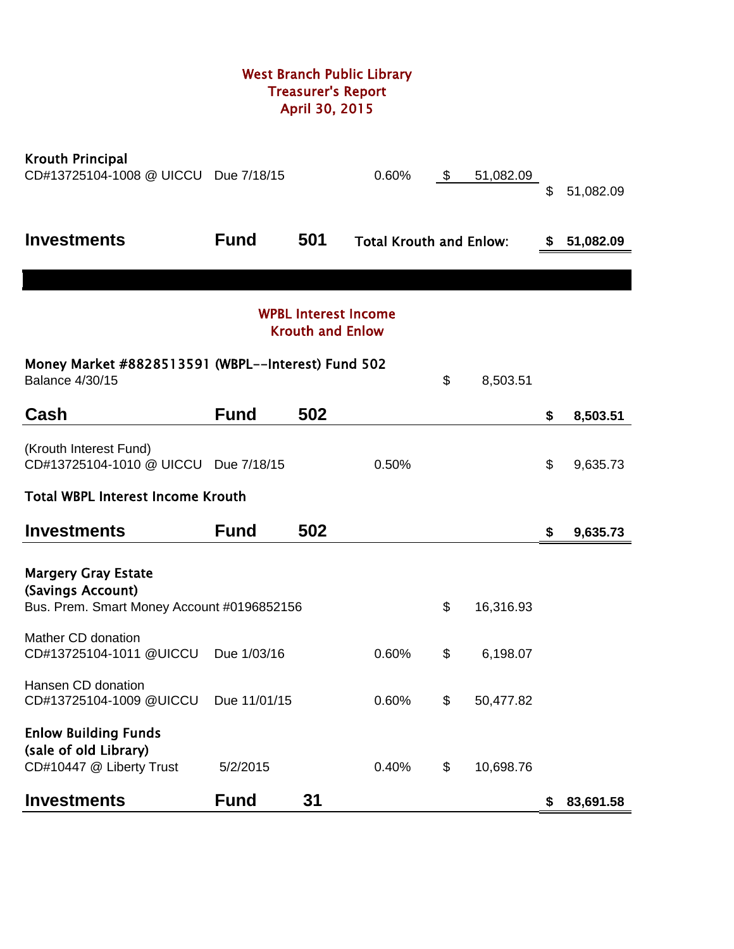# West Branch Public Library Treasurer's Report April 30, 2015

| <b>Krouth Principal</b><br>CD#13725104-1008 @ UICCU Due 7/18/15                  |              |                         | 0.60%                          | \$<br>51,082.09 | \$ | 51,082.09 |
|----------------------------------------------------------------------------------|--------------|-------------------------|--------------------------------|-----------------|----|-----------|
| <b>Investments</b>                                                               | <b>Fund</b>  | 501                     | <b>Total Krouth and Enlow:</b> |                 | S. | 51,082.09 |
|                                                                                  |              |                         |                                |                 |    |           |
|                                                                                  |              | <b>Krouth and Enlow</b> | <b>WPBL Interest Income</b>    |                 |    |           |
| Money Market #8828513591 (WBPL--Interest) Fund 502<br><b>Balance 4/30/15</b>     |              |                         |                                | \$<br>8,503.51  |    |           |
| Cash                                                                             | <b>Fund</b>  | 502                     |                                |                 | \$ | 8,503.51  |
| (Krouth Interest Fund)<br>CD#13725104-1010 @ UICCU Due 7/18/15                   |              |                         | 0.50%                          |                 | \$ | 9,635.73  |
| <b>Total WBPL Interest Income Krouth</b>                                         |              |                         |                                |                 |    |           |
| <b>Investments</b>                                                               | <b>Fund</b>  | 502                     |                                |                 | \$ | 9,635.73  |
| <b>Margery Gray Estate</b><br>(Savings Account)                                  |              |                         |                                |                 |    |           |
| Bus. Prem. Smart Money Account #0196852156                                       |              |                         |                                | \$<br>16,316.93 |    |           |
| Mather CD donation<br>CD#13725104-1011 @UICCU                                    | Due 1/03/16  |                         | 0.60%                          | \$<br>6,198.07  |    |           |
| Hansen CD donation<br>CD#13725104-1009 @UICCU                                    | Due 11/01/15 |                         | 0.60%                          | \$<br>50,477.82 |    |           |
| <b>Enlow Building Funds</b><br>(sale of old Library)<br>CD#10447 @ Liberty Trust | 5/2/2015     |                         | 0.40%                          | \$<br>10,698.76 |    |           |
| <b>Investments</b>                                                               | <b>Fund</b>  | 31                      |                                |                 | \$ | 83,691.58 |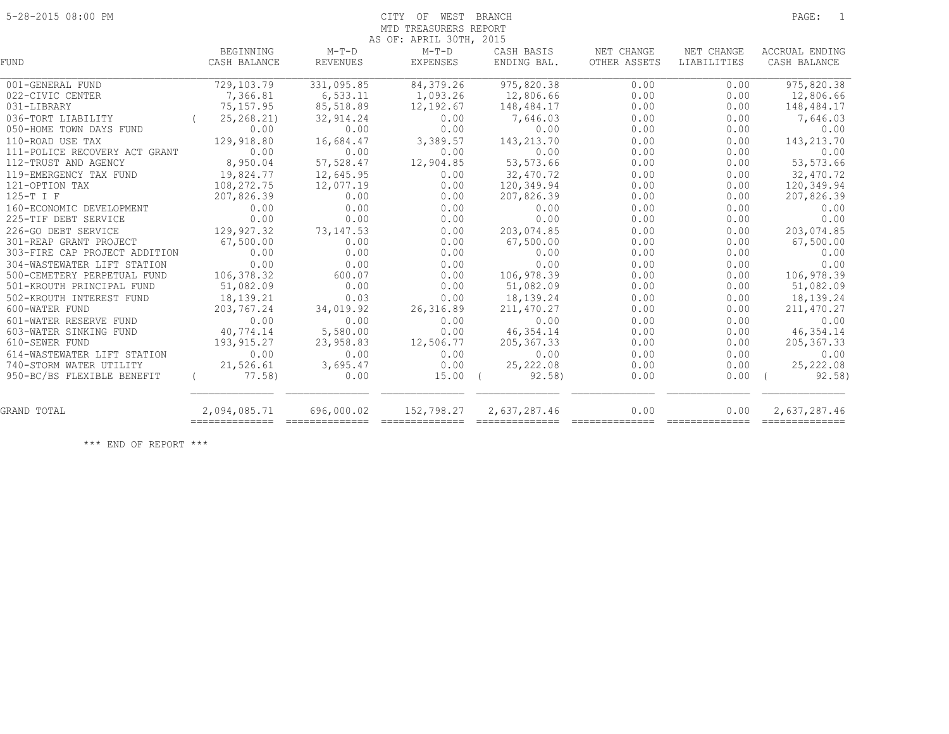# 5-28-2015 08:00 PM CITY OF WEST BRANCH PAGE: 1 MTD TREASURERS REPORT

| BEGINNING<br>CASH BALANCE      | $M-T-D$<br><b>REVENUES</b> | $M-T-D$<br><b>EXPENSES</b>                  | CASH BASIS<br>ENDING BAL.                                                                                                                                                                                                                                                                                                                                                                                                                                                                       | NET CHANGE<br>OTHER ASSETS                                                             | NET CHANGE<br>LIABILITIES | ACCRUAL ENDING<br>CASH BALANCE |
|--------------------------------|----------------------------|---------------------------------------------|-------------------------------------------------------------------------------------------------------------------------------------------------------------------------------------------------------------------------------------------------------------------------------------------------------------------------------------------------------------------------------------------------------------------------------------------------------------------------------------------------|----------------------------------------------------------------------------------------|---------------------------|--------------------------------|
|                                |                            |                                             |                                                                                                                                                                                                                                                                                                                                                                                                                                                                                                 | 0.00                                                                                   | 0.00                      | 975,820.38                     |
|                                |                            |                                             |                                                                                                                                                                                                                                                                                                                                                                                                                                                                                                 |                                                                                        | 0.00                      | 12,806.66                      |
| 75,157.95                      | 85,518.89                  | 12,192.67                                   | 148,484.17                                                                                                                                                                                                                                                                                                                                                                                                                                                                                      | 0.00                                                                                   | 0.00                      | 148,484.17                     |
| 25, 268. 21)<br>0.00           | 32,914.24<br>0.00          | 0.00<br>0.00                                | 7,646.03<br>0.00                                                                                                                                                                                                                                                                                                                                                                                                                                                                                | 0.00<br>0.00                                                                           | 0.00<br>0.00              | 7,646.03<br>0.00               |
| 129,918.80                     |                            | 3,389.57                                    | 143,213.70                                                                                                                                                                                                                                                                                                                                                                                                                                                                                      | 0.00                                                                                   | 0.00                      | 143, 213.70                    |
| 0.00                           | 0.00                       | 0.00                                        | 0.00                                                                                                                                                                                                                                                                                                                                                                                                                                                                                            | 0.00                                                                                   | 0.00                      | 0.00                           |
| 8,950.04                       | 57,528.47                  | 12,904.85                                   | 53, 573.66                                                                                                                                                                                                                                                                                                                                                                                                                                                                                      | 0.00                                                                                   | 0.00                      | 53, 573.66                     |
| 19,824.77                      | 12,645.95                  | 0.00                                        | 32,470.72                                                                                                                                                                                                                                                                                                                                                                                                                                                                                       | 0.00                                                                                   | 0.00                      | 32,470.72                      |
| 108,272.75                     | 12,077.19                  | 0.00                                        | 120,349.94                                                                                                                                                                                                                                                                                                                                                                                                                                                                                      | 0.00                                                                                   | 0.00                      | 120,349.94                     |
| 207,826.39                     | 0.00                       | 0.00                                        | 207,826.39                                                                                                                                                                                                                                                                                                                                                                                                                                                                                      | 0.00                                                                                   | 0.00                      | 207,826.39                     |
| 0.00                           | 0.00                       | 0.00                                        | 0.00                                                                                                                                                                                                                                                                                                                                                                                                                                                                                            | 0.00                                                                                   | 0.00                      | 0.00                           |
| 0.00                           | 0.00                       | 0.00                                        | 0.00                                                                                                                                                                                                                                                                                                                                                                                                                                                                                            | 0.00                                                                                   | 0.00                      | 0.00                           |
| 129,927.32                     | 73, 147.53                 | 0.00                                        | 203,074.85                                                                                                                                                                                                                                                                                                                                                                                                                                                                                      | 0.00                                                                                   | 0.00                      | 203,074.85                     |
| 67,500.00                      | 0.00                       | 0.00                                        | 67,500.00                                                                                                                                                                                                                                                                                                                                                                                                                                                                                       | 0.00                                                                                   | 0.00                      | 67,500.00                      |
| 0.00                           | 0.00                       | 0.00                                        | 0.00                                                                                                                                                                                                                                                                                                                                                                                                                                                                                            | 0.00                                                                                   | 0.00                      | 0.00                           |
| 0.00                           | 0.00                       | 0.00                                        | 0.00                                                                                                                                                                                                                                                                                                                                                                                                                                                                                            | 0.00                                                                                   | 0.00                      | 0.00                           |
| 106,378.32                     | 600.07                     | 0.00                                        | 106,978.39                                                                                                                                                                                                                                                                                                                                                                                                                                                                                      | 0.00                                                                                   | 0.00                      | 106,978.39                     |
| 51,082.09                      |                            | 0.00                                        | 51,082.09                                                                                                                                                                                                                                                                                                                                                                                                                                                                                       | 0.00                                                                                   | 0.00                      | 51,082.09                      |
| 18,139.21                      | 0.03                       | 0.00                                        | 18,139.24                                                                                                                                                                                                                                                                                                                                                                                                                                                                                       | 0.00                                                                                   | 0.00                      | 18,139.24                      |
| 203,767.24                     | 34,019.92                  | 26, 316.89                                  | 211,470.27                                                                                                                                                                                                                                                                                                                                                                                                                                                                                      | 0.00                                                                                   | 0.00                      | 211, 470.27                    |
| 0.00                           | 0.00                       | 0.00                                        | 0.00                                                                                                                                                                                                                                                                                                                                                                                                                                                                                            | 0.00                                                                                   | 0.00                      | 0.00                           |
| 40,774.14                      | 5,580.00                   | 0.00                                        | 46, 354. 14                                                                                                                                                                                                                                                                                                                                                                                                                                                                                     | 0.00                                                                                   | 0.00                      | 46, 354.14                     |
| 193,915.27                     | 23,958.83                  | 12,506.77                                   | 205, 367.33                                                                                                                                                                                                                                                                                                                                                                                                                                                                                     | 0.00                                                                                   | 0.00                      | 205, 367.33                    |
| 0.00                           | 0.00                       | 0.00                                        | 0.00                                                                                                                                                                                                                                                                                                                                                                                                                                                                                            | 0.00                                                                                   | 0.00                      | 0.00                           |
| 21,526.61                      | 3,695.47                   | 0.00                                        | 25, 222.08                                                                                                                                                                                                                                                                                                                                                                                                                                                                                      | 0.00                                                                                   | 0.00                      | 25, 222.08                     |
| 77.58)                         | 0.00                       |                                             | 92.58                                                                                                                                                                                                                                                                                                                                                                                                                                                                                           | 0.00                                                                                   | 0.00                      | 92.58)                         |
| 2,094,085.71<br>-------------- | 696,000.02                 | 152,798.27                                  | 2,637,287.46<br>$\begin{minipage}{0.03\linewidth} \hspace*{0.03\linewidth} \hspace*{0.03\linewidth} \hspace*{0.03\linewidth} \hspace*{0.03\linewidth} \hspace*{0.03\linewidth} \hspace*{0.03\linewidth} \hspace*{0.03\linewidth} \hspace*{0.03\linewidth} \hspace*{0.03\linewidth} \hspace*{0.03\linewidth} \hspace*{0.03\linewidth} \hspace*{0.03\linewidth} \hspace*{0.03\linewidth} \hspace*{0.03\linewidth} \hspace*{0.03\linewidth} \hspace*{0.03\linewidth} \hspace*{0.03\linewidth} \hs$ | 0.00                                                                                   | 0.00                      | 2,637,287.46                   |
|                                | 729,103.79<br>7,366.81     | 331,095.85<br>6,533.11<br>16,684.47<br>0.00 | 84,379.26<br>1,093.26                                                                                                                                                                                                                                                                                                                                                                                                                                                                           | AS OF: APRIL 30TH, 2015<br>975,820.38<br>12,806.66<br>$15.00$ (<br>$=$ =============== | 0.00                      | ==============                 |

\*\*\* END OF REPORT \*\*\*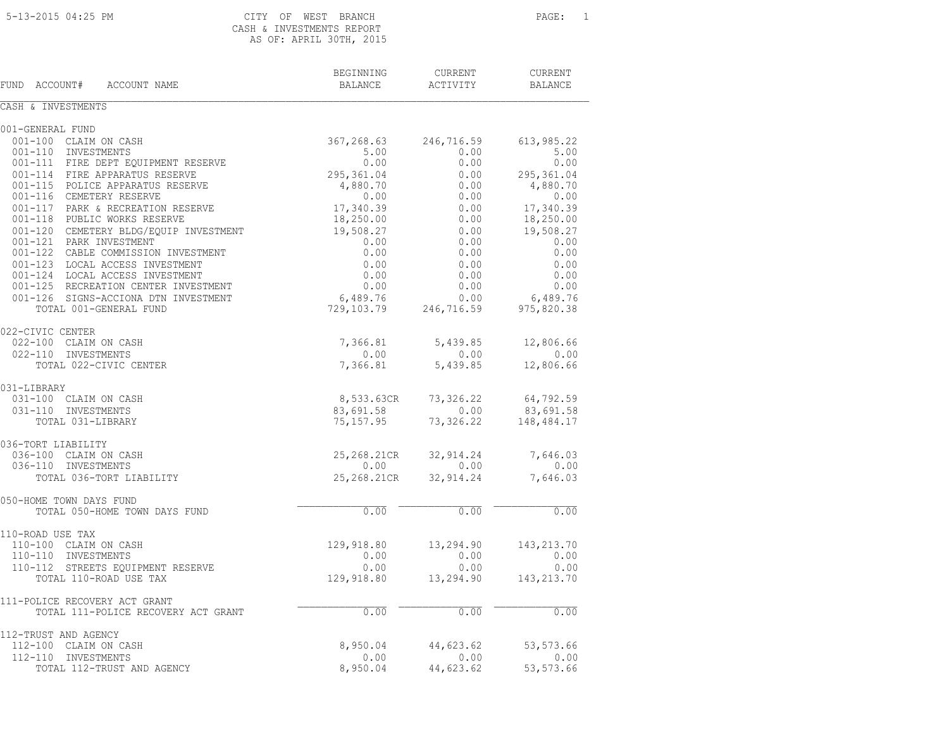# 5-13-2015 04:25 PM CITY OF WEST BRANCH PAGE: 1 CASH & INVESTMENTS REPORT AS OF: APRIL 30TH, 2015

BEGINNING CURRENT CURRENT FUND ACCOUNT# ACCOUNT NAME BALANCE ACTIVITY BALANCE

CASH & INVESTMENTS 001-GENERAL FUND 001-100 CLAIM ON CASH 367,268.63 246,716.59 613,985.22 001-110 INVESTMENTS 5.00 0.00 5.00 001-111 FIRE DEPT EQUIPMENT RESERVE  $0.00$  0.00 0.00 0.00 001-114 FIRE APPARATUS RESERVE 295,361.04 0.00 295,361.04 001-115 POLICE APPARATUS RESERVE  $4,880.70$   $0.00$   $4,880.70$  001-116 CEMETERY RESERVE 0.00 0.00 0.00 001-117 PARK & RECREATION RESERVE 17,340.39 0.00 17,340.39 001-118 PUBLIC WORKS RESERVE 18,250.00 0.00 18,250.00 001-120 CEMETERY BLDG/EQUIP INVESTMENT 19,508.27 0.00 19,508.27 001-121 PARK INVESTMENT 0.00 0.00 0.00 001-122 CABLE COMMISSION INVESTMENT 0.00 0.00 0.00 0.00 0.00 001-123 LOCAL ACCESS INVESTMENT 0.00 0.00 0.00 0.00 0.00 001-124 LOCAL ACCESS INVESTMENT 0.00 0.00 0.00 0.00 0.00 001-125 RECREATION CENTER INVESTMENT  $0.00$  0.00 0.00 0.00 0.00 001-126 SIGNS-ACCIONA DTN INVESTMENT 6,489.76 0.00 6,489.76 TOTAL 001-GENERAL FUND 729,103.79 246,716.59 975,820.38 022-CIVIC CENTER 022-100 CLAIM ON CASH 7,366.81 5,439.85 12,806.66 022-110 INVESTMENTS 0.00 0.00 0.00 TOTAL 022-CIVIC CENTER 7,366.81 5,439.85 12,806.66 031-LIBRARY 031-100 CLAIM ON CASH 8,533.63CR 73,326.22 64,792.59 031-110 INVESTMENTS 83,691.58 0.00 83,691.58 TOTAL 031-LIBRARY 75,157.95 73,326.22 148,484.17 036-TORT LIABILITY 036-100 CLAIM ON CASH 25,268.21CR 32,914.24 7,646.03 036-110 INVESTMENTS 0.00 0.00 0.00 TOTAL 036-TORT LIABILITY 25,268.21CR 32,914.24 7,646.03 050-HOME TOWN DAYS FUND  $\blacksquare$  TOTAL 050-HOME TOWN DAYS FUND 0.00 0.00 0.00 110-ROAD USE TAX 110-100 CLAIM ON CASH 129,918.80 13,294.90 143,213.70 110-110 INVESTMENTS 0.00 0.00 0.00 110-112 STREETS EQUIPMENT RESERVE 0.00 0.00 0.00 TOTAL 110-ROAD USE TAX 129,918.80 13,294.90 143,213.70 111-POLICE RECOVERY ACT GRANT TOTAL 111-POLICE RECOVERY ACT GRANT  $0.00$   $0.00$   $0.00$   $0.00$   $0.00$ 112-TRUST AND AGENCY 112-100 CLAIM ON CASH 8,950.04 44,623.62 53,573.66 112-110 INVESTMENTS 0.00 0.00 0.00 TOTAL 112-TRUST AND AGENCY 8,950.04 44,623.62 53,573.66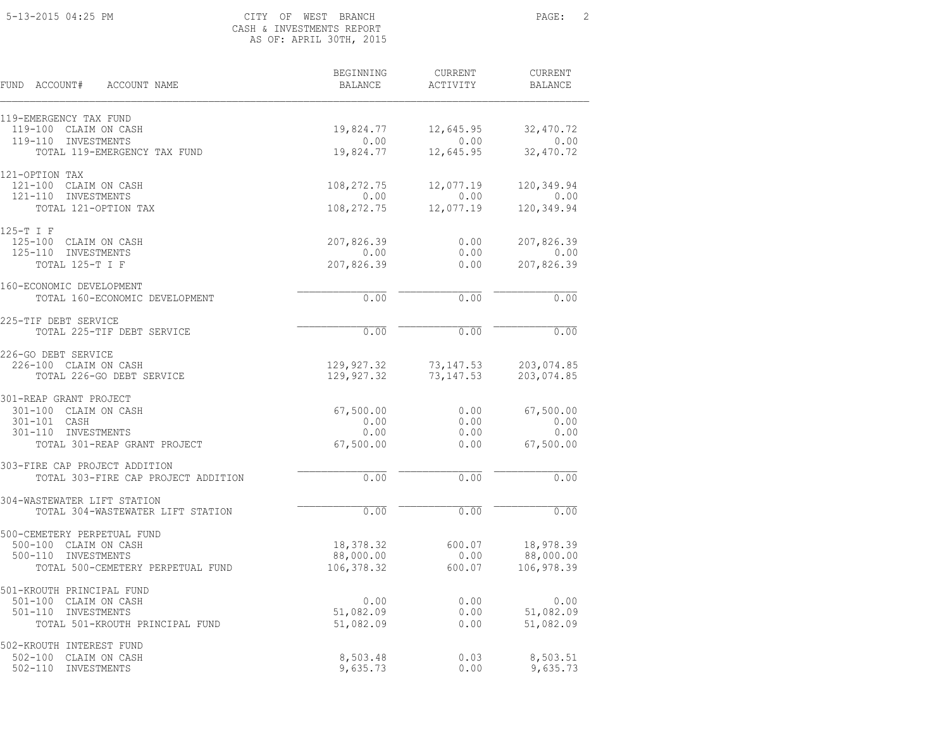# 5-13-2015 04:25 PM CITY OF WEST BRANCH PAGE: 2 CASH & INVESTMENTS REPORT AS OF: APRIL 30TH, 2015

| FUND<br>ACCOUNT#<br>ACCOUNT NAME                           | BEGINNING<br>BALANCE     | CURRENT<br>ACTIVITY    | <b>CURRENT</b><br><b>BALANCE</b> |
|------------------------------------------------------------|--------------------------|------------------------|----------------------------------|
| 119-EMERGENCY TAX FUND<br>119-100 CLAIM ON CASH            | 19,824.77                | 12,645.95              | 32,470.72                        |
| 119-110 INVESTMENTS                                        | 0.00                     | 0.00                   | 0.00                             |
| TOTAL 119-EMERGENCY TAX FUND                               | 19,824.77                | 12,645.95              | 32,470.72                        |
| 121-OPTION TAX                                             |                          |                        |                                  |
| 121-100 CLAIM ON CASH<br>$121 - 110$<br>INVESTMENTS        | 108,272.75<br>0.00       | 12,077.19<br>0.00      | 120,349.94<br>0.00               |
| TOTAL 121-OPTION TAX                                       | 108,272.75               | 12,077.19              | 120,349.94                       |
| 125-T I F                                                  |                          |                        |                                  |
| 125-100 CLAIM ON CASH                                      | 207,826.39               | 0.00                   | 207,826.39                       |
| $125 - 110$<br>INVESTMENTS<br>TOTAL 125-T I F              | 0.00<br>207,826.39       | 0.00<br>0.00           | 0.00<br>207,826.39               |
|                                                            |                          |                        |                                  |
| 160-ECONOMIC DEVELOPMENT<br>TOTAL 160-ECONOMIC DEVELOPMENT |                          | 0.00                   | 0.00                             |
|                                                            | 0.00                     |                        |                                  |
| 225-TIF DEBT SERVICE                                       |                          |                        | 0.00                             |
| TOTAL 225-TIF DEBT SERVICE                                 | 0.00                     | 0.00                   |                                  |
| 226-GO DEBT SERVICE                                        |                          |                        |                                  |
| 226-100 CLAIM ON CASH<br>TOTAL 226-GO DEBT SERVICE         | 129,927.32<br>129,927.32 | 73,147.53<br>73,147.53 | 203,074.85<br>203,074.85         |
|                                                            |                          |                        |                                  |
| 301-REAP GRANT PROJECT<br>301-100 CLAIM ON CASH            | 67,500.00                | 0.00                   | 67,500.00                        |
| 301-101 CASH                                               | 0.00                     | 0.00                   | 0.00                             |
| INVESTMENTS<br>301-110                                     | 0.00                     | 0.00                   | 0.00                             |
| TOTAL 301-REAP GRANT PROJECT                               | 67,500.00                | 0.00                   | 67,500.00                        |
| 303-FIRE CAP PROJECT ADDITION                              |                          |                        |                                  |
| TOTAL 303-FIRE CAP PROJECT ADDITION                        | 0.00                     | 0.00                   | 0.00                             |
| 304-WASTEWATER LIFT STATION                                |                          |                        |                                  |
| TOTAL 304-WASTEWATER LIFT STATION                          | 0.00                     | 0.00                   | 0.00                             |
| 500-CEMETERY PERPETUAL FUND                                |                          |                        |                                  |
| 500-100 CLAIM ON CASH<br>$500 - 110$<br>INVESTMENTS        | 18,378.32<br>88,000.00   | 600.07                 | 18,978.39                        |
| TOTAL 500-CEMETERY PERPETUAL FUND                          | 106,378.32               | 0.00<br>600.07         | 88,000.00<br>106,978.39          |
|                                                            |                          |                        |                                  |
| 501-KROUTH PRINCIPAL FUND<br>501-100 CLAIM ON CASH         | 0.00                     | 0.00                   | 0.00                             |
| $501 - 110$<br>INVESTMENTS                                 | 51,082.09                | 0.00                   | 51,082.09                        |
| TOTAL 501-KROUTH PRINCIPAL FUND                            | 51,082.09                | 0.00                   | 51,082.09                        |
| 502-KROUTH INTEREST FUND                                   |                          |                        |                                  |
| 502-100 CLAIM ON CASH                                      | 8,503.48                 | 0.03                   | 8,503.51                         |
| $502 - 110$<br>INVESTMENTS                                 | 9,635.73                 | 0.00                   | 9,635.73                         |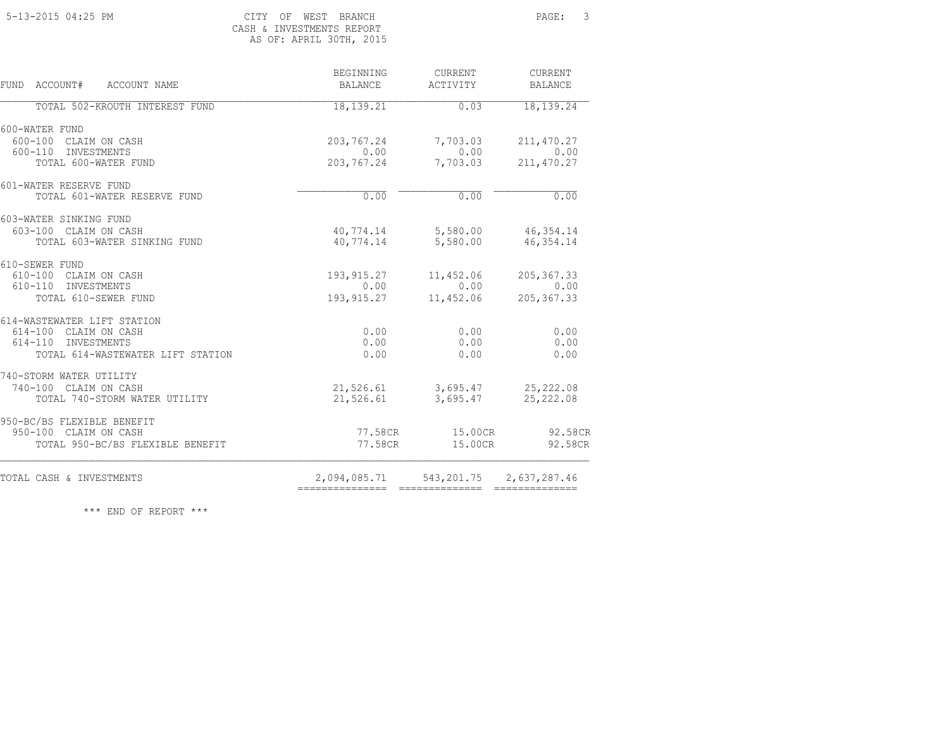### 5-13-2015 04:25 PM CITY OF WEST BRANCH PAGE: 3 CASH & INVESTMENTS REPORT<br>AS OF: APRIL 30TH, 2015 AS OF: APRIL 30TH, 2015

|  | CASH & INVESIMENIS REPURI |  |  |
|--|---------------------------|--|--|
|  | AS OF: APRIL 30TH, 201    |  |  |

| BEGINNING<br><b>BALANCE</b> | <b>CURRENT</b><br>ACTIVITY                                | <b>CURRENT</b><br><b>BALANCE</b>                                                                                                                                                                                                                                                                       |
|-----------------------------|-----------------------------------------------------------|--------------------------------------------------------------------------------------------------------------------------------------------------------------------------------------------------------------------------------------------------------------------------------------------------------|
| 18, 139.21                  | 0.03                                                      | 18, 139.24                                                                                                                                                                                                                                                                                             |
|                             |                                                           |                                                                                                                                                                                                                                                                                                        |
| 203,767.24                  |                                                           | 211,470.27                                                                                                                                                                                                                                                                                             |
|                             |                                                           | 0.00                                                                                                                                                                                                                                                                                                   |
|                             |                                                           | 211, 470.27                                                                                                                                                                                                                                                                                            |
|                             |                                                           |                                                                                                                                                                                                                                                                                                        |
|                             |                                                           | 0.00                                                                                                                                                                                                                                                                                                   |
|                             |                                                           |                                                                                                                                                                                                                                                                                                        |
|                             |                                                           |                                                                                                                                                                                                                                                                                                        |
|                             |                                                           | 46,354.14                                                                                                                                                                                                                                                                                              |
|                             |                                                           |                                                                                                                                                                                                                                                                                                        |
|                             |                                                           | 205, 367.33                                                                                                                                                                                                                                                                                            |
|                             |                                                           | 0.00                                                                                                                                                                                                                                                                                                   |
|                             |                                                           | 205, 367.33                                                                                                                                                                                                                                                                                            |
|                             |                                                           |                                                                                                                                                                                                                                                                                                        |
|                             |                                                           | 0.00                                                                                                                                                                                                                                                                                                   |
|                             |                                                           | 0.00<br>0.00                                                                                                                                                                                                                                                                                           |
|                             |                                                           |                                                                                                                                                                                                                                                                                                        |
|                             |                                                           |                                                                                                                                                                                                                                                                                                        |
|                             |                                                           |                                                                                                                                                                                                                                                                                                        |
|                             |                                                           | 25,222.08                                                                                                                                                                                                                                                                                              |
|                             |                                                           |                                                                                                                                                                                                                                                                                                        |
|                             |                                                           | 92.58CR                                                                                                                                                                                                                                                                                                |
|                             |                                                           | 92.58CR                                                                                                                                                                                                                                                                                                |
|                             | 543, 201.75 2, 637, 287.46                                |                                                                                                                                                                                                                                                                                                        |
|                             | 0.00<br>0.00<br>0.00<br>0.00<br>0.00<br>0.00<br>21,526.61 | 7,703.03<br>0.00<br>7,703.03<br>203,767.24<br>0.00<br>40,774.14 5,580.00 46,354.14<br>40,774.14<br>5,580.00<br>193,915.27<br>11,452.06<br>0.00<br>193,915.27<br>11,452.06<br>0.00<br>0.00<br>0.00<br>21,526.61 3,695.47 25,222.08<br>3,695.47<br>77.58CR 15.00CR<br>77.58CR<br>15.00CR<br>2,094,085.71 |

\*\*\* END OF REPORT \*\*\*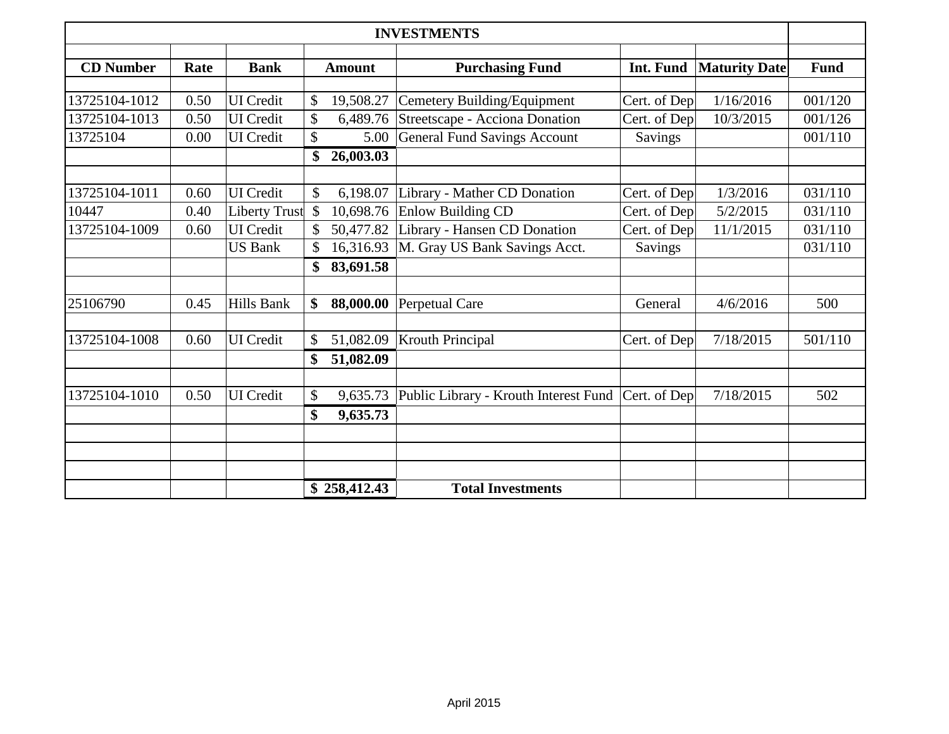| <b>INVESTMENTS</b> |      |                      |               |               |                                       |                |                      |             |
|--------------------|------|----------------------|---------------|---------------|---------------------------------------|----------------|----------------------|-------------|
| <b>CD</b> Number   | Rate | <b>Bank</b>          |               | <b>Amount</b> | <b>Purchasing Fund</b>                | Int. Fund      | <b>Maturity Date</b> | <b>Fund</b> |
|                    |      |                      |               |               |                                       |                |                      |             |
| 13725104-1012      | 0.50 | <b>UI</b> Credit     | \$            | 19,508.27     | Cemetery Building/Equipment           | Cert. of Dep   | 1/16/2016            | 001/120     |
| 13725104-1013      | 0.50 | <b>UI</b> Credit     | \$            | 6,489.76      | Streetscape - Acciona Donation        | Cert. of Dep   | 10/3/2015            | 001/126     |
| 13725104           | 0.00 | <b>UI</b> Credit     | \$            | 5.00          | <b>General Fund Savings Account</b>   | <b>Savings</b> |                      | 001/110     |
|                    |      |                      | \$            | 26,003.03     |                                       |                |                      |             |
|                    |      |                      |               |               |                                       |                |                      |             |
| 13725104-1011      | 0.60 | <b>UI</b> Credit     | $\mathcal{S}$ | 6,198.07      | Library - Mather CD Donation          | Cert. of Dep   | 1/3/2016             | 031/110     |
| 10447              | 0.40 | <b>Liberty Trust</b> | $\mathcal{S}$ | 10,698.76     | <b>Enlow Building CD</b>              | Cert. of Dep   | 5/2/2015             | 031/110     |
| 13725104-1009      | 0.60 | <b>UI</b> Credit     |               | 50,477.82     | Library - Hansen CD Donation          | Cert. of Dep   | 11/1/2015            | 031/110     |
|                    |      | <b>US Bank</b>       |               | 16,316.93     | M. Gray US Bank Savings Acct.         | Savings        |                      | 031/110     |
|                    |      |                      | \$            | 83,691.58     |                                       |                |                      |             |
| 25106790           | 0.45 | Hills Bank           | \$            | 88,000.00     | Perpetual Care                        | General        | 4/6/2016             | 500         |
|                    |      |                      |               |               |                                       |                |                      |             |
| 13725104-1008      | 0.60 | <b>UI</b> Credit     | \$            | 51,082.09     | <b>Krouth Principal</b>               | Cert. of Dep   | 7/18/2015            | 501/110     |
|                    |      |                      | \$            | 51,082.09     |                                       |                |                      |             |
| 13725104-1010      | 0.50 | <b>UI</b> Credit     | \$            | 9,635.73      | Public Library - Krouth Interest Fund | Cert. of Dep   | 7/18/2015            | 502         |
|                    |      |                      | \$            | 9,635.73      |                                       |                |                      |             |
|                    |      |                      |               |               |                                       |                |                      |             |
|                    |      |                      |               |               |                                       |                |                      |             |
|                    |      |                      |               |               |                                       |                |                      |             |
|                    |      |                      |               | \$258,412.43  | <b>Total Investments</b>              |                |                      |             |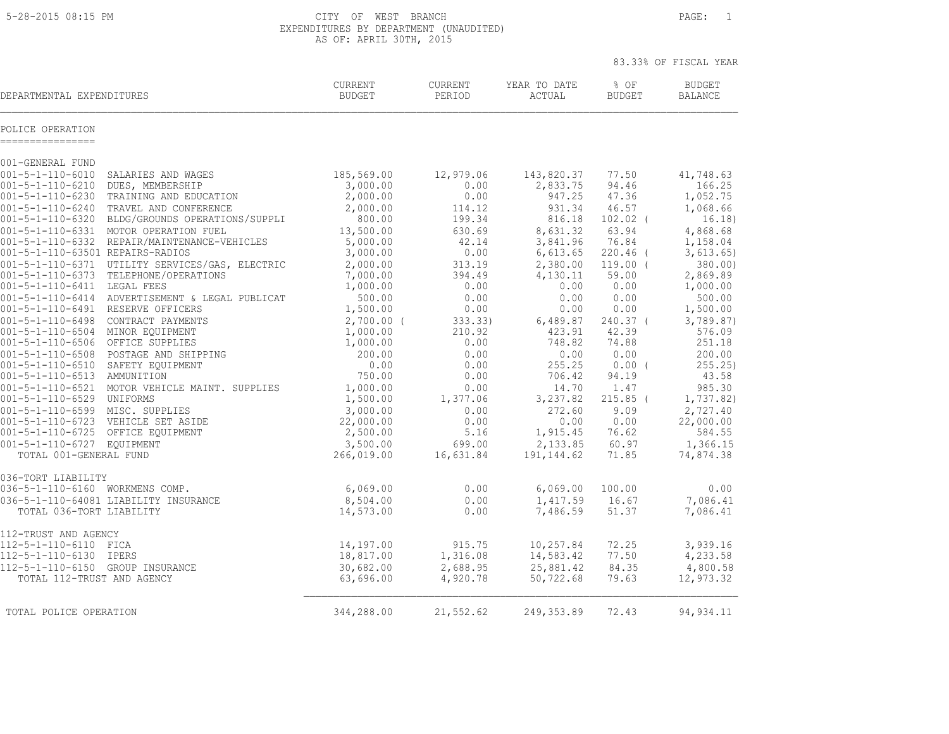5-28-2015 08:15 PM CITY OF WEST BRANCH PAGE: 1 EXPENDITURES BY DEPARTMENT (UNAUDITED) AS OF: APRIL 30TH, 2015

| <b>CURRENT</b><br><b>BUDGET</b> | CURRENT<br>PERIOD                                                                                                                                                                                                                                                                                        | YEAR TO DATE<br>ACTUAL                                                                                                                                                                                          | % OF<br><b>BUDGET</b>                                                                                                                                                                                                                              | <b>BUDGET</b><br><b>BALANCE</b>                                                                                                                                                                                                            |
|---------------------------------|----------------------------------------------------------------------------------------------------------------------------------------------------------------------------------------------------------------------------------------------------------------------------------------------------------|-----------------------------------------------------------------------------------------------------------------------------------------------------------------------------------------------------------------|----------------------------------------------------------------------------------------------------------------------------------------------------------------------------------------------------------------------------------------------------|--------------------------------------------------------------------------------------------------------------------------------------------------------------------------------------------------------------------------------------------|
|                                 |                                                                                                                                                                                                                                                                                                          |                                                                                                                                                                                                                 |                                                                                                                                                                                                                                                    |                                                                                                                                                                                                                                            |
|                                 |                                                                                                                                                                                                                                                                                                          |                                                                                                                                                                                                                 |                                                                                                                                                                                                                                                    |                                                                                                                                                                                                                                            |
| 185,569.00                      | 12,979.06                                                                                                                                                                                                                                                                                                | 143,820.37                                                                                                                                                                                                      | 77.50                                                                                                                                                                                                                                              | 41,748.63                                                                                                                                                                                                                                  |
|                                 |                                                                                                                                                                                                                                                                                                          |                                                                                                                                                                                                                 |                                                                                                                                                                                                                                                    | 166.25                                                                                                                                                                                                                                     |
|                                 |                                                                                                                                                                                                                                                                                                          |                                                                                                                                                                                                                 |                                                                                                                                                                                                                                                    | 1,052.75                                                                                                                                                                                                                                   |
|                                 |                                                                                                                                                                                                                                                                                                          |                                                                                                                                                                                                                 |                                                                                                                                                                                                                                                    | 1,068.66                                                                                                                                                                                                                                   |
|                                 |                                                                                                                                                                                                                                                                                                          |                                                                                                                                                                                                                 |                                                                                                                                                                                                                                                    | 16.18)                                                                                                                                                                                                                                     |
|                                 |                                                                                                                                                                                                                                                                                                          |                                                                                                                                                                                                                 |                                                                                                                                                                                                                                                    | 4,868.68<br>1,158.04                                                                                                                                                                                                                       |
|                                 |                                                                                                                                                                                                                                                                                                          |                                                                                                                                                                                                                 |                                                                                                                                                                                                                                                    | 3,613.65)                                                                                                                                                                                                                                  |
|                                 |                                                                                                                                                                                                                                                                                                          |                                                                                                                                                                                                                 |                                                                                                                                                                                                                                                    | 380.00                                                                                                                                                                                                                                     |
|                                 |                                                                                                                                                                                                                                                                                                          |                                                                                                                                                                                                                 |                                                                                                                                                                                                                                                    | 2,869.89                                                                                                                                                                                                                                   |
| 1,000.00                        | 0.00                                                                                                                                                                                                                                                                                                     | 0.00                                                                                                                                                                                                            | 0.00                                                                                                                                                                                                                                               | 1,000.00                                                                                                                                                                                                                                   |
| 500.00                          | 0.00                                                                                                                                                                                                                                                                                                     | 0.00                                                                                                                                                                                                            | 0.00                                                                                                                                                                                                                                               | 500.00                                                                                                                                                                                                                                     |
| 1,500.00                        | 0.00                                                                                                                                                                                                                                                                                                     | 0.00                                                                                                                                                                                                            | 0.00                                                                                                                                                                                                                                               | 1,500.00                                                                                                                                                                                                                                   |
|                                 | 333.33)                                                                                                                                                                                                                                                                                                  |                                                                                                                                                                                                                 | $240.37$ (                                                                                                                                                                                                                                         | 3,789.87)                                                                                                                                                                                                                                  |
|                                 |                                                                                                                                                                                                                                                                                                          | 423.91                                                                                                                                                                                                          |                                                                                                                                                                                                                                                    | 576.09                                                                                                                                                                                                                                     |
|                                 |                                                                                                                                                                                                                                                                                                          |                                                                                                                                                                                                                 |                                                                                                                                                                                                                                                    | 251.18                                                                                                                                                                                                                                     |
|                                 |                                                                                                                                                                                                                                                                                                          |                                                                                                                                                                                                                 |                                                                                                                                                                                                                                                    | 200.00                                                                                                                                                                                                                                     |
|                                 |                                                                                                                                                                                                                                                                                                          |                                                                                                                                                                                                                 |                                                                                                                                                                                                                                                    | 255.25)<br>43.58                                                                                                                                                                                                                           |
|                                 |                                                                                                                                                                                                                                                                                                          |                                                                                                                                                                                                                 |                                                                                                                                                                                                                                                    | 985.30                                                                                                                                                                                                                                     |
|                                 |                                                                                                                                                                                                                                                                                                          |                                                                                                                                                                                                                 |                                                                                                                                                                                                                                                    | 1,737.82)                                                                                                                                                                                                                                  |
|                                 |                                                                                                                                                                                                                                                                                                          |                                                                                                                                                                                                                 |                                                                                                                                                                                                                                                    | 2,727.40                                                                                                                                                                                                                                   |
|                                 | 0.00                                                                                                                                                                                                                                                                                                     | 0.00                                                                                                                                                                                                            | 0.00                                                                                                                                                                                                                                               | 22,000.00                                                                                                                                                                                                                                  |
| 2,500.00                        | 5.16                                                                                                                                                                                                                                                                                                     | 1,915.45                                                                                                                                                                                                        | 76.62                                                                                                                                                                                                                                              | 584.55                                                                                                                                                                                                                                     |
| 3,500.00                        | 699.00                                                                                                                                                                                                                                                                                                   | 2,133.85                                                                                                                                                                                                        | 60.97                                                                                                                                                                                                                                              | 1,366.15                                                                                                                                                                                                                                   |
| 266,019.00                      | 16,631.84                                                                                                                                                                                                                                                                                                | 191, 144.62                                                                                                                                                                                                     | 71.85                                                                                                                                                                                                                                              | 74,874.38                                                                                                                                                                                                                                  |
|                                 |                                                                                                                                                                                                                                                                                                          |                                                                                                                                                                                                                 |                                                                                                                                                                                                                                                    |                                                                                                                                                                                                                                            |
|                                 |                                                                                                                                                                                                                                                                                                          |                                                                                                                                                                                                                 |                                                                                                                                                                                                                                                    | 0.00                                                                                                                                                                                                                                       |
|                                 |                                                                                                                                                                                                                                                                                                          |                                                                                                                                                                                                                 |                                                                                                                                                                                                                                                    | 7,086.41                                                                                                                                                                                                                                   |
|                                 |                                                                                                                                                                                                                                                                                                          |                                                                                                                                                                                                                 |                                                                                                                                                                                                                                                    | 7,086.41                                                                                                                                                                                                                                   |
|                                 |                                                                                                                                                                                                                                                                                                          |                                                                                                                                                                                                                 |                                                                                                                                                                                                                                                    |                                                                                                                                                                                                                                            |
|                                 |                                                                                                                                                                                                                                                                                                          |                                                                                                                                                                                                                 |                                                                                                                                                                                                                                                    | 3,939.16                                                                                                                                                                                                                                   |
|                                 |                                                                                                                                                                                                                                                                                                          |                                                                                                                                                                                                                 |                                                                                                                                                                                                                                                    | 4,233.58                                                                                                                                                                                                                                   |
| 63,696.00                       | 4,920.78                                                                                                                                                                                                                                                                                                 | 50,722.68                                                                                                                                                                                                       | 79.63                                                                                                                                                                                                                                              | 4,800.58<br>12,973.32                                                                                                                                                                                                                      |
|                                 | 3,000.00<br>2,000.00<br>2,000.00<br>800.00<br>13,500.00<br>5,000.00<br>3,000.00<br>2,000.00<br>7,000.00<br>$2,700.00$ (<br>1,000.00<br>1,000.00<br>200.00<br>0.00<br>750.00<br>1,000.00<br>1,500.00<br>3,000.00<br>22,000.00<br>6,069.00<br>8,504.00<br>14,573.00<br>14,197.00<br>18,817.00<br>30,682.00 | 0.00<br>0.00<br>114.12<br>199.34<br>630.69<br>42.14<br>0.00<br>313.19<br>394.49<br>210.92<br>0.00<br>0.00<br>0.00<br>0.00<br>0.00<br>1,377.06<br>0.00<br>0.00<br>0.00<br>0.00<br>915.75<br>1,316.08<br>2,688.95 | 2,833.75<br>947.25<br>931.34<br>816.18<br>8,631.32<br>3,841.96<br>6,613.65<br>2,380.00<br>4,130.11<br>748.82<br>0.00<br>255.25<br>706.42<br>14.70<br>3,237.82<br>272.60<br>6,069.00<br>1,417.59<br>7,486.59<br>10,257.84<br>14,583.42<br>25,881.42 | 94.46<br>47.36<br>46.57<br>$102.02$ (<br>63.94<br>76.84<br>220.46 (<br>$119.00$ (<br>59.00<br>6,489.87<br>42.39<br>74.88<br>0.00<br>$0.00$ (<br>94.19<br>1.47<br>$215.85$ (<br>9.09<br>100.00<br>16.67<br>51.37<br>72.25<br>77.50<br>84.35 |

TOTAL POLICE OPERATION 344,288.00 21,552.62 249,353.89 72.43 94,934.11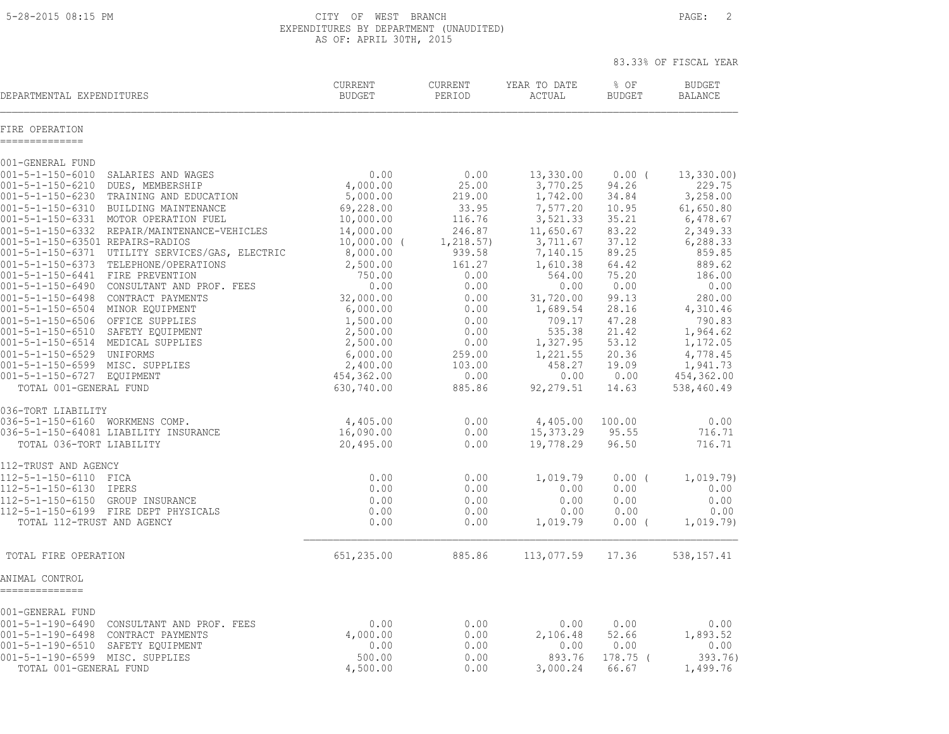5-28-2015 08:15 PM CITY OF WEST BRANCH PAGE: 2 EXPENDITURES BY DEPARTMENT (UNAUDITED) AS OF: APRIL 30TH, 2015

|                                                                                                                                                                                                                                                                                                                                                                                                                                                                                                                                                                                                                                                                                                                                                                 |                                                                                                                                                                                                                     |                                                                                                                                                                    |                                                                                                                                                                                                             |                                                                                                                                                                  | 83.33% OF FISCAL YEAR                                                                                                                                                                                   |
|-----------------------------------------------------------------------------------------------------------------------------------------------------------------------------------------------------------------------------------------------------------------------------------------------------------------------------------------------------------------------------------------------------------------------------------------------------------------------------------------------------------------------------------------------------------------------------------------------------------------------------------------------------------------------------------------------------------------------------------------------------------------|---------------------------------------------------------------------------------------------------------------------------------------------------------------------------------------------------------------------|--------------------------------------------------------------------------------------------------------------------------------------------------------------------|-------------------------------------------------------------------------------------------------------------------------------------------------------------------------------------------------------------|------------------------------------------------------------------------------------------------------------------------------------------------------------------|---------------------------------------------------------------------------------------------------------------------------------------------------------------------------------------------------------|
| DEPARTMENTAL EXPENDITURES                                                                                                                                                                                                                                                                                                                                                                                                                                                                                                                                                                                                                                                                                                                                       | CURRENT<br><b>BUDGET</b>                                                                                                                                                                                            | <b>CURRENT</b><br>PERIOD                                                                                                                                           | YEAR TO DATE<br>ACTUAL                                                                                                                                                                                      | % OF<br><b>BUDGET</b>                                                                                                                                            | <b>BUDGET</b><br><b>BALANCE</b>                                                                                                                                                                         |
| FIRE OPERATION<br>--------------                                                                                                                                                                                                                                                                                                                                                                                                                                                                                                                                                                                                                                                                                                                                |                                                                                                                                                                                                                     |                                                                                                                                                                    |                                                                                                                                                                                                             |                                                                                                                                                                  |                                                                                                                                                                                                         |
| 001-GENERAL FUND                                                                                                                                                                                                                                                                                                                                                                                                                                                                                                                                                                                                                                                                                                                                                |                                                                                                                                                                                                                     |                                                                                                                                                                    |                                                                                                                                                                                                             |                                                                                                                                                                  |                                                                                                                                                                                                         |
| $001 - 5 - 1 - 150 - 6010$<br>SALARIES AND WAGES<br>001-5-1-150-6210<br>DUES, MEMBERSHIP<br>001-5-1-150-6230<br>TRAINING AND EDUCATION<br>$001 - 5 - 1 - 150 - 6310$<br>BUILDING MAINTENANCE<br>001-5-1-150-6331 MOTOR OPERATION FUEL<br>001-5-1-150-6332 REPAIR/MAINTENANCE-VEHICLES<br>001-5-1-150-63501 REPAIRS-RADIOS<br>001-5-1-150-6371 UTILITY SERVICES/GAS, ELECTRIC<br>001-5-1-150-6373 TELEPHONE/OPERATIONS<br>001-5-1-150-6441 FIRE PREVENTION<br>001-5-1-150-6490 CONSULTANT AND PROF. FEES<br>001-5-1-150-6498 CONTRACT PAYMENTS<br>001-5-1-150-6504 MINOR EQUIPMENT<br>001-5-1-150-6506 OFFICE SUPPLIES<br>001-5-1-150-6510 SAFETY EQUIPMENT<br>001-5-1-150-6514 MEDICAL SUPPLIES<br>001-5-1-150-6529 UNIFORMS<br>001-5-1-150-6599 MISC. SUPPLIES | 0.00<br>4,000.00<br>5,000.00<br>69,228.00<br>10,000.00<br>14,000.00<br>$10,000.00$ (<br>8,000.00<br>2,500.00<br>750.00<br>0.00<br>32,000.00<br>6,000.00<br>1,500.00<br>2,500.00<br>2,500.00<br>6,000.00<br>2,400.00 | 0.00<br>25.00<br>219.00<br>33.95<br>116.76<br>246.87<br>1, 218.57)<br>939.58<br>161.27<br>0.00<br>0.00<br>0.00<br>0.00<br>0.00<br>0.00<br>0.00<br>259.00<br>103.00 | 13,330.00<br>3,770.25<br>1,742.00<br>7,577.20<br>3,521.33<br>11,650.67<br>3,711.67<br>7,140.15<br>1,610.38<br>564.00<br>0.00<br>31,720.00<br>1,689.54<br>709.17<br>535.38<br>1,327.95<br>1,221.55<br>458.27 | $0.00$ (<br>94.26<br>34.84<br>10.95<br>35.21<br>83.22<br>37.12<br>89.25<br>64.42<br>75.20<br>0.00<br>99.13<br>28.16<br>47.28<br>21.42<br>53.12<br>20.36<br>19.09 | 13,330.00)<br>229.75<br>3,258.00<br>61,650.80<br>6,478.67<br>2,349.33<br>6,288.33<br>859.85<br>889.62<br>186.00<br>0.00<br>280.00<br>4,310.46<br>790.83<br>1,964.62<br>1,172.05<br>4,778.45<br>1,941.73 |
| 001-5-1-150-6727 EQUIPMENT<br>TOTAL 001-GENERAL FUND                                                                                                                                                                                                                                                                                                                                                                                                                                                                                                                                                                                                                                                                                                            | 454,362.00<br>630,740.00                                                                                                                                                                                            | 0.00<br>885.86                                                                                                                                                     | 0.00<br>92, 279.51                                                                                                                                                                                          | 0.00<br>14.63                                                                                                                                                    | 454,362.00<br>538,460.49                                                                                                                                                                                |
|                                                                                                                                                                                                                                                                                                                                                                                                                                                                                                                                                                                                                                                                                                                                                                 |                                                                                                                                                                                                                     |                                                                                                                                                                    |                                                                                                                                                                                                             |                                                                                                                                                                  |                                                                                                                                                                                                         |
| 036-TORT LIABILITY<br>036-5-1-150-6160 WORKMENS COMP.<br>036-5-1-150-64081 LIABILITY INSURANCE<br>TOTAL 036-TORT LIABILITY                                                                                                                                                                                                                                                                                                                                                                                                                                                                                                                                                                                                                                      | 4,405.00<br>16,090.00<br>20,495.00                                                                                                                                                                                  | 0.00<br>0.00<br>0.00                                                                                                                                               | 4,405.00<br>15,373.29<br>19,778.29                                                                                                                                                                          | 100.00<br>95.55<br>96.50                                                                                                                                         | 0.00<br>716.71<br>716.71                                                                                                                                                                                |
| 112-TRUST AND AGENCY<br>112-5-1-150-6110 FICA<br>112-5-1-150-6130 IPERS<br>112-5-1-150-6150 GROUP INSURANCE<br>112-5-1-150-6199 FIRE DEPT PHYSICALS<br>TOTAL 112-TRUST AND AGENCY                                                                                                                                                                                                                                                                                                                                                                                                                                                                                                                                                                               | 0.00<br>0.00<br>0.00<br>0.00<br>0.00                                                                                                                                                                                | 0.00<br>0.00<br>0.00<br>0.00<br>0.00                                                                                                                               | 1,019.79<br>0.00<br>0.00<br>0.00<br>1,019.79                                                                                                                                                                | 0.00(<br>0.00<br>0.00<br>0.00<br>$0.00$ (                                                                                                                        | 1,019.79)<br>0.00<br>0.00<br>0.00<br>1,019.79)                                                                                                                                                          |
| TOTAL FIRE OPERATION                                                                                                                                                                                                                                                                                                                                                                                                                                                                                                                                                                                                                                                                                                                                            | 651,235.00                                                                                                                                                                                                          | 885.86                                                                                                                                                             | 113,077.59                                                                                                                                                                                                  | 17.36                                                                                                                                                            | 538,157.41                                                                                                                                                                                              |
| ANIMAL CONTROL<br>--------------                                                                                                                                                                                                                                                                                                                                                                                                                                                                                                                                                                                                                                                                                                                                |                                                                                                                                                                                                                     |                                                                                                                                                                    |                                                                                                                                                                                                             |                                                                                                                                                                  |                                                                                                                                                                                                         |
| 001-GENERAL FUND<br>001-5-1-190-6490 CONSULTANT AND PROF. FEES<br>001-5-1-190-6498<br>CONTRACT PAYMENTS<br>001-5-1-190-6510 SAFETY EQUIPMENT<br>001-5-1-190-6599 MISC. SUPPLIES<br>TOTAL 001-GENERAL FUND                                                                                                                                                                                                                                                                                                                                                                                                                                                                                                                                                       | 0.00<br>4,000.00<br>0.00<br>500.00<br>4,500.00                                                                                                                                                                      | 0.00<br>0.00<br>0.00<br>0.00<br>0.00                                                                                                                               | 0.00<br>2,106.48<br>0.00<br>893.76<br>3,000.24                                                                                                                                                              | 0.00<br>52.66<br>0.00<br>$178.75$ (<br>66.67                                                                                                                     | 0.00<br>1,893.52<br>0.00<br>393.76)<br>1,499.76                                                                                                                                                         |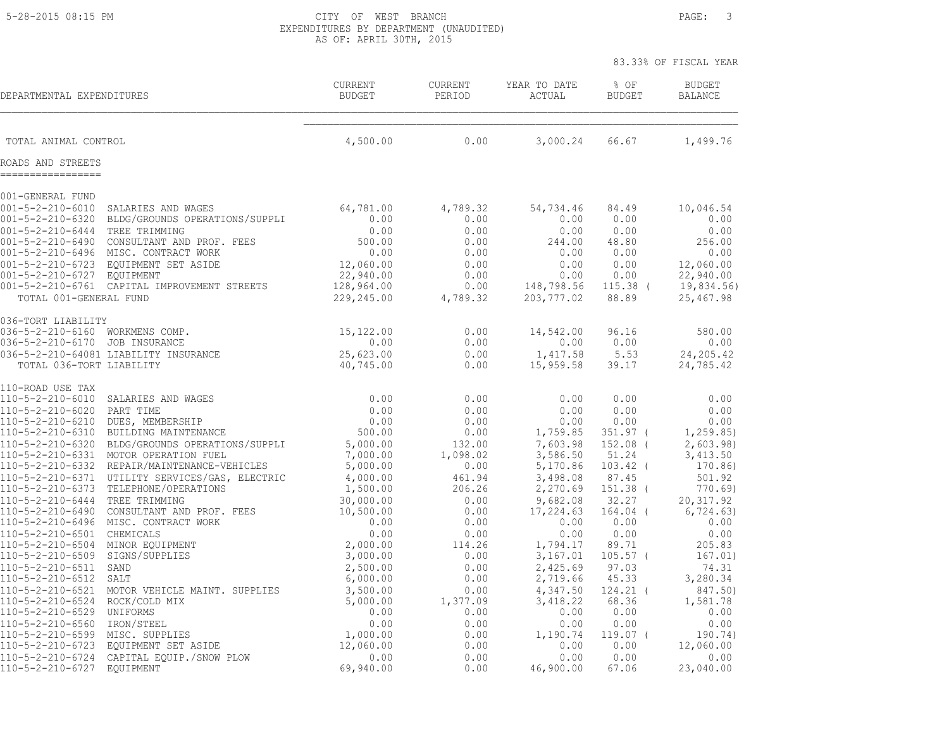5-28-2015 08:15 PM CITY OF WEST BRANCH PAGE: 3 EXPENDITURES BY DEPARTMENT (UNAUDITED) AS OF: APRIL 30TH, 2015

|                                                                                                                                                                                                                                |                                                                                                                                                                                                  |                                                                                                   |                                                                              |                                                                                          |                                                                               | 83.33% OF FISCAL YEAR                                                                            |
|--------------------------------------------------------------------------------------------------------------------------------------------------------------------------------------------------------------------------------|--------------------------------------------------------------------------------------------------------------------------------------------------------------------------------------------------|---------------------------------------------------------------------------------------------------|------------------------------------------------------------------------------|------------------------------------------------------------------------------------------|-------------------------------------------------------------------------------|--------------------------------------------------------------------------------------------------|
| DEPARTMENTAL EXPENDITURES                                                                                                                                                                                                      |                                                                                                                                                                                                  | CURRENT<br><b>BUDGET</b>                                                                          | <b>CURRENT</b><br>PERIOD                                                     | YEAR TO DATE<br>ACTUAL                                                                   | % OF<br><b>BUDGET</b>                                                         | <b>BUDGET</b><br><b>BALANCE</b>                                                                  |
| TOTAL ANIMAL CONTROL                                                                                                                                                                                                           |                                                                                                                                                                                                  | 4,500.00                                                                                          | 0.00                                                                         | 3,000.24                                                                                 | 66.67                                                                         | 1,499.76                                                                                         |
| ROADS AND STREETS                                                                                                                                                                                                              |                                                                                                                                                                                                  |                                                                                                   |                                                                              |                                                                                          |                                                                               |                                                                                                  |
| 001-GENERAL FUND                                                                                                                                                                                                               |                                                                                                                                                                                                  |                                                                                                   |                                                                              |                                                                                          |                                                                               |                                                                                                  |
| $001 - 5 - 2 - 210 - 6010$<br>001-5-2-210-6320<br>$001 - 5 - 2 - 210 - 6444$<br>$001 - 5 - 2 - 210 - 6490$<br>$001 - 5 - 2 - 210 - 6496$<br>$001 - 5 - 2 - 210 - 6723$<br>001-5-2-210-6727 EOUIPMENT<br>TOTAL 001-GENERAL FUND | SALARIES AND WAGES<br>BLDG/GROUNDS OPERATIONS/SUPPLI<br>TREE TRIMMING<br>CONSULTANT AND PROF. FEES<br>MISC. CONTRACT WORK<br>EOUIPMENT SET ASIDE<br>001-5-2-210-6761 CAPITAL IMPROVEMENT STREETS | 64,781.00<br>0.00<br>0.00<br>500.00<br>0.00<br>12,060.00<br>22,940.00<br>128,964.00<br>229,245.00 | 4,789.32<br>0.00<br>0.00<br>0.00<br>0.00<br>0.00<br>0.00<br>0.00<br>4,789.32 | 54,734.46<br>0.00<br>0.00<br>244.00<br>0.00<br>0.00<br>0.00<br>148,798.56<br>203, 777.02 | 84.49<br>0.00<br>0.00<br>48.80<br>0.00<br>0.00<br>0.00<br>$115.38$ (<br>88.89 | 10,046.54<br>0.00<br>0.00<br>256.00<br>0.00<br>12,060.00<br>22,940.00<br>19,834.56)<br>25,467.98 |
| 036-TORT LIABILITY                                                                                                                                                                                                             |                                                                                                                                                                                                  |                                                                                                   |                                                                              |                                                                                          |                                                                               |                                                                                                  |
| 036-5-2-210-6160<br>036-5-2-210-6170<br>TOTAL 036-TORT LIABILITY                                                                                                                                                               | WORKMENS COMP.<br>JOB INSURANCE<br>036-5-2-210-64081 LIABILITY INSURANCE                                                                                                                         | 15,122.00<br>0.00<br>25,623.00<br>40,745.00                                                       | 0.00<br>0.00<br>0.00<br>0.00                                                 | 14,542.00<br>0.00<br>1,417.58<br>15,959.58                                               | 96.16<br>0.00<br>5.53<br>39.17                                                | 580.00<br>0.00<br>24, 205.42<br>24,785.42                                                        |
| 110-ROAD USE TAX                                                                                                                                                                                                               |                                                                                                                                                                                                  |                                                                                                   |                                                                              |                                                                                          |                                                                               |                                                                                                  |
| 110-5-2-210-6010<br>110-5-2-210-6020<br>110-5-2-210-6210<br>110-5-2-210-6310<br>110-5-2-210-6320<br>110-5-2-210-6331<br>110-5-2-210-6332                                                                                       | SALARIES AND WAGES<br>PART TIME<br>DUES, MEMBERSHIP<br>BUILDING MAINTENANCE<br>BLDG/GROUNDS OPERATIONS/SUPPLI<br>MOTOR OPERATION FUEL<br>REPAIR/MAINTENANCE-VEHICLES                             | 0.00<br>0.00<br>0.00<br>500.00<br>5,000.00<br>7,000.00<br>5,000.00                                | 0.00<br>0.00<br>0.00<br>0.00<br>132.00<br>1,098.02<br>0.00                   | 0.00<br>0.00<br>0.00<br>1,759.85<br>7,603.98<br>3,586.50<br>5,170.86                     | 0.00<br>0.00<br>0.00<br>$351.97$ (<br>$152.08$ (<br>51.24<br>103.42 (         | 0.00<br>0.00<br>0.00<br>1, 259.85<br>2,603.98)<br>3,413.50<br>170.86)                            |
| 110-5-2-210-6371<br>110-5-2-210-6373                                                                                                                                                                                           | UTILITY SERVICES/GAS, ELECTRIC<br>TELEPHONE/OPERATIONS                                                                                                                                           | 4,000.00<br>1,500.00                                                                              | 461.94<br>206.26                                                             | 3,498.08<br>2,270.69                                                                     | 87.45<br>151.38 (                                                             | 501.92<br>770.69                                                                                 |
| 110-5-2-210-6444<br>110-5-2-210-6490<br>110-5-2-210-6496                                                                                                                                                                       | TREE TRIMMING<br>CONSULTANT AND PROF. FEES<br>MISC. CONTRACT WORK                                                                                                                                | 30,000.00<br>10,500.00<br>0.00                                                                    | 0.00<br>0.00<br>0.00                                                         | 9,682.08<br>17,224.63<br>0.00                                                            | 32.27<br>$164.04$ (<br>0.00                                                   | 20, 317.92<br>6, 724.63)<br>0.00                                                                 |
| 110-5-2-210-6501<br>110-5-2-210-6504<br>110-5-2-210-6509                                                                                                                                                                       | CHEMICALS<br>MINOR EQUIPMENT<br>SIGNS/SUPPLIES                                                                                                                                                   | 0.00<br>2,000.00<br>3,000.00                                                                      | 0.00<br>114.26<br>0.00                                                       | 0.00<br>1,794.17<br>3,167.01                                                             | 0.00<br>89.71<br>$105.57$ (                                                   | 0.00<br>205.83<br>167.01)                                                                        |
| 110-5-2-210-6511<br>110-5-2-210-6512<br>110-5-2-210-6521                                                                                                                                                                       | SAND<br>SALT<br>MOTOR VEHICLE MAINT. SUPPLIES                                                                                                                                                    | 2,500.00<br>6,000.00<br>3,500.00                                                                  | 0.00<br>0.00<br>0.00                                                         | 2,425.69<br>2,719.66<br>4,347.50                                                         | 97.03<br>45.33<br>$124.21$ (                                                  | 74.31<br>3,280.34<br>847.50)                                                                     |
| 110-5-2-210-6524<br>110-5-2-210-6529                                                                                                                                                                                           | ROCK/COLD MIX<br>UNIFORMS                                                                                                                                                                        | 5,000.00<br>0.00                                                                                  | 1,377.09<br>0.00                                                             | 3,418.22<br>0.00                                                                         | 68.36<br>0.00                                                                 | 1,581.78<br>0.00                                                                                 |
| 110-5-2-210-6560<br>110-5-2-210-6599<br>110-5-2-210-6723                                                                                                                                                                       | IRON/STEEL<br>MISC. SUPPLIES<br>EQUIPMENT SET ASIDE                                                                                                                                              | 0.00<br>1,000.00<br>12,060.00                                                                     | 0.00<br>0.00<br>0.00                                                         | 0.00<br>1,190.74<br>0.00                                                                 | 0.00<br>119.07 (<br>0.00                                                      | 0.00<br>190.74)<br>12,060.00                                                                     |
| 110-5-2-210-6724<br>110-5-2-210-6727                                                                                                                                                                                           | CAPITAL EQUIP./SNOW PLOW<br><b>EQUIPMENT</b>                                                                                                                                                     | 0.00<br>69,940.00                                                                                 | 0.00<br>0.00                                                                 | 0.00<br>46,900.00                                                                        | 0.00<br>67.06                                                                 | 0.00<br>23,040.00                                                                                |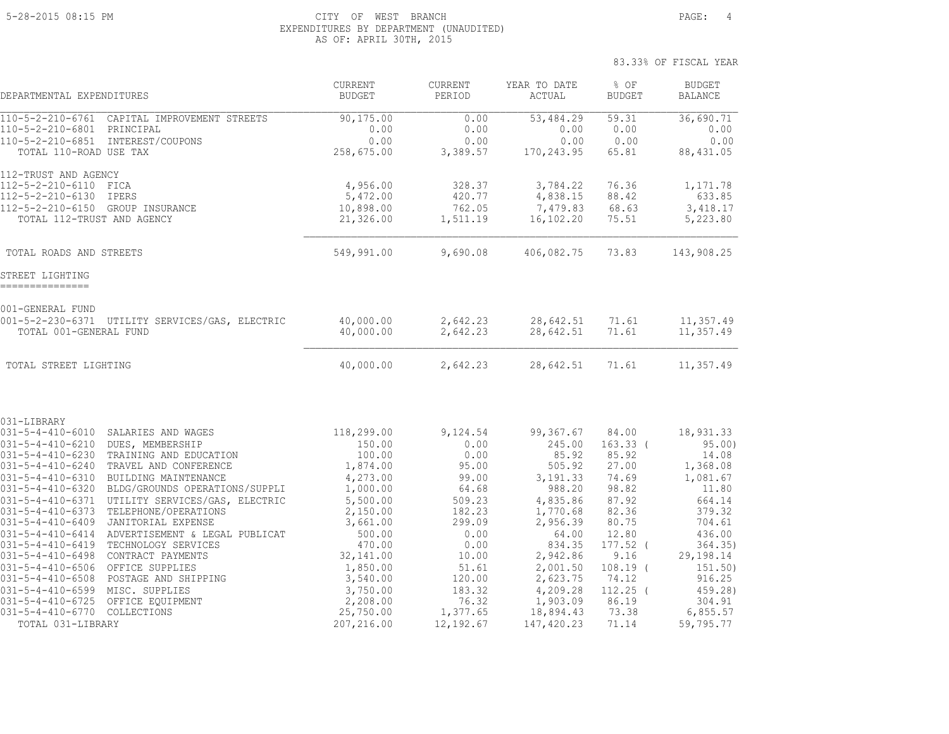#### 5-28-2015 08:15 PM CITY OF WEST BRANCH PAGE: 4 EXPENDITURES BY DEPARTMENT (UNAUDITED) AS OF: APRIL 30TH, 2015

| DEPARTMENTAL EXPENDITURES                                                                                                                                                                                                                                                                                                                                                                                              |                                                                                                                                                                                                                                                                                                                                                                                                 | <b>CURRENT</b><br><b>BUDGET</b>                                                                                                                                             | <b>CURRENT</b><br>PERIOD                                                                                                                | YEAR TO DATE<br>ACTUAL                                                                                                                                               | % OF<br><b>BUDGET</b>                                                                                                                                | <b>BUDGET</b><br><b>BALANCE</b>                                                                                                                              |
|------------------------------------------------------------------------------------------------------------------------------------------------------------------------------------------------------------------------------------------------------------------------------------------------------------------------------------------------------------------------------------------------------------------------|-------------------------------------------------------------------------------------------------------------------------------------------------------------------------------------------------------------------------------------------------------------------------------------------------------------------------------------------------------------------------------------------------|-----------------------------------------------------------------------------------------------------------------------------------------------------------------------------|-----------------------------------------------------------------------------------------------------------------------------------------|----------------------------------------------------------------------------------------------------------------------------------------------------------------------|------------------------------------------------------------------------------------------------------------------------------------------------------|--------------------------------------------------------------------------------------------------------------------------------------------------------------|
| $110 - 5 - 2 - 210 - 6761$<br>110-5-2-210-6801<br>TOTAL 110-ROAD USE TAX                                                                                                                                                                                                                                                                                                                                               | CAPITAL IMPROVEMENT STREETS<br>PRINCIPAL<br>110-5-2-210-6851 INTEREST/COUPONS                                                                                                                                                                                                                                                                                                                   | 90,175.00<br>0.00<br>0.00<br>258,675.00                                                                                                                                     | 0.00<br>0.00<br>0.00<br>3,389.57                                                                                                        | 53,484.29<br>0.00<br>0.00<br>170,243.95                                                                                                                              | 59.31<br>0.00<br>0.00<br>65.81                                                                                                                       | 36,690.71<br>0.00<br>0.00<br>88,431.05                                                                                                                       |
| 112-TRUST AND AGENCY<br>112-5-2-210-6110<br>112-5-2-210-6130<br>112-5-2-210-6150 GROUP INSURANCE<br>TOTAL 112-TRUST AND AGENCY                                                                                                                                                                                                                                                                                         | FICA<br>IPERS                                                                                                                                                                                                                                                                                                                                                                                   | 4,956.00<br>5,472.00<br>10,898.00<br>21,326.00                                                                                                                              | 328.37<br>420.77<br>762.05<br>1,511.19                                                                                                  | 3,784.22<br>4,838.15<br>7,479.83<br>16,102.20                                                                                                                        | 76.36<br>88.42<br>68.63<br>75.51                                                                                                                     | 1,171.78<br>633.85<br>3,418.17<br>5,223.80                                                                                                                   |
| TOTAL ROADS AND STREETS                                                                                                                                                                                                                                                                                                                                                                                                |                                                                                                                                                                                                                                                                                                                                                                                                 | 549,991.00                                                                                                                                                                  | 9,690.08                                                                                                                                | 406,082.75                                                                                                                                                           | 73.83                                                                                                                                                | 143,908.25                                                                                                                                                   |
| STREET LIGHTING<br>---------------                                                                                                                                                                                                                                                                                                                                                                                     |                                                                                                                                                                                                                                                                                                                                                                                                 |                                                                                                                                                                             |                                                                                                                                         |                                                                                                                                                                      |                                                                                                                                                      |                                                                                                                                                              |
| 001-GENERAL FUND<br>TOTAL 001-GENERAL FUND                                                                                                                                                                                                                                                                                                                                                                             | 001-5-2-230-6371 UTILITY SERVICES/GAS, ELECTRIC                                                                                                                                                                                                                                                                                                                                                 | 40,000.00<br>40,000.00                                                                                                                                                      | 2,642.23<br>2,642.23                                                                                                                    | 28,642.51<br>28,642.51                                                                                                                                               | 71.61<br>71.61                                                                                                                                       | 11,357.49<br>11,357.49                                                                                                                                       |
| TOTAL STREET LIGHTING                                                                                                                                                                                                                                                                                                                                                                                                  |                                                                                                                                                                                                                                                                                                                                                                                                 | 40,000.00                                                                                                                                                                   | 2,642.23                                                                                                                                | 28,642.51                                                                                                                                                            | 71.61                                                                                                                                                | 11,357.49                                                                                                                                                    |
| 031-LIBRARY                                                                                                                                                                                                                                                                                                                                                                                                            |                                                                                                                                                                                                                                                                                                                                                                                                 |                                                                                                                                                                             |                                                                                                                                         |                                                                                                                                                                      |                                                                                                                                                      |                                                                                                                                                              |
| $031 - 5 - 4 - 410 - 6210$<br>$031 - 5 - 4 - 410 - 6230$<br>$031 - 5 - 4 - 410 - 6240$<br>$031 - 5 - 4 - 410 - 6310$<br>$031 - 5 - 4 - 410 - 6320$<br>$031 - 5 - 4 - 410 - 6371$<br>031-5-4-410-6373<br>$031 - 5 - 4 - 410 - 6409$<br>$031 - 5 - 4 - 410 - 6414$<br>$031 - 5 - 4 - 410 - 6419$<br>$031 - 5 - 4 - 410 - 6498$<br>$031 - 5 - 4 - 410 - 6506$<br>$031 - 5 - 4 - 410 - 6508$<br>$031 - 5 - 4 - 410 - 6599$ | 031-5-4-410-6010 SALARIES AND WAGES<br>DUES, MEMBERSHIP<br>TRAINING AND EDUCATION<br>TRAVEL AND CONFERENCE<br>BUILDING MAINTENANCE<br>BLDG/GROUNDS OPERATIONS/SUPPLI<br>UTILITY SERVICES/GAS, ELECTRIC<br>TELEPHONE/OPERATIONS<br>JANITORIAL EXPENSE<br>ADVERTISEMENT & LEGAL PUBLICAT<br>TECHNOLOGY SERVICES<br>CONTRACT PAYMENTS<br>OFFICE SUPPLIES<br>POSTAGE AND SHIPPING<br>MISC. SUPPLIES | 118,299.00<br>150.00<br>100.00<br>1,874.00<br>4,273.00<br>1,000.00<br>5,500.00<br>2,150.00<br>3,661.00<br>500.00<br>470.00<br>32,141.00<br>1,850.00<br>3,540.00<br>3,750.00 | 9,124.54<br>0.00<br>0.00<br>95.00<br>99.00<br>64.68<br>509.23<br>182.23<br>299.09<br>0.00<br>0.00<br>10.00<br>51.61<br>120.00<br>183.32 | 99,367.67<br>245.00<br>85.92<br>505.92<br>3, 191.33<br>988.20<br>4,835.86<br>1,770.68<br>2,956.39<br>64.00<br>834.35<br>2,942.86<br>2,001.50<br>2,623.75<br>4,209.28 | 84.00<br>$163.33$ (<br>85.92<br>27.00<br>74.69<br>98.82<br>87.92<br>82.36<br>80.75<br>12.80<br>177.52 (<br>9.16<br>$108.19$ (<br>74.12<br>$112.25$ ( | 18,931.33<br>95.00<br>14.08<br>1,368.08<br>1,081.67<br>11.80<br>664.14<br>379.32<br>704.61<br>436.00<br>364.35)<br>29,198.14<br>151.50)<br>916.25<br>459.28) |
| $031 - 5 - 4 - 410 - 6725$<br>031-5-4-410-6770<br>TOTAL 031-LIBRARY                                                                                                                                                                                                                                                                                                                                                    | OFFICE EQUIPMENT<br>COLLECTIONS                                                                                                                                                                                                                                                                                                                                                                 | 2,208.00<br>25,750.00<br>207,216.00                                                                                                                                         | 76.32<br>1,377.65<br>12, 192.67                                                                                                         | 1,903.09<br>18,894.43<br>147,420.23                                                                                                                                  | 86.19<br>73.38<br>71.14                                                                                                                              | 304.91<br>6,855.57<br>59,795.77                                                                                                                              |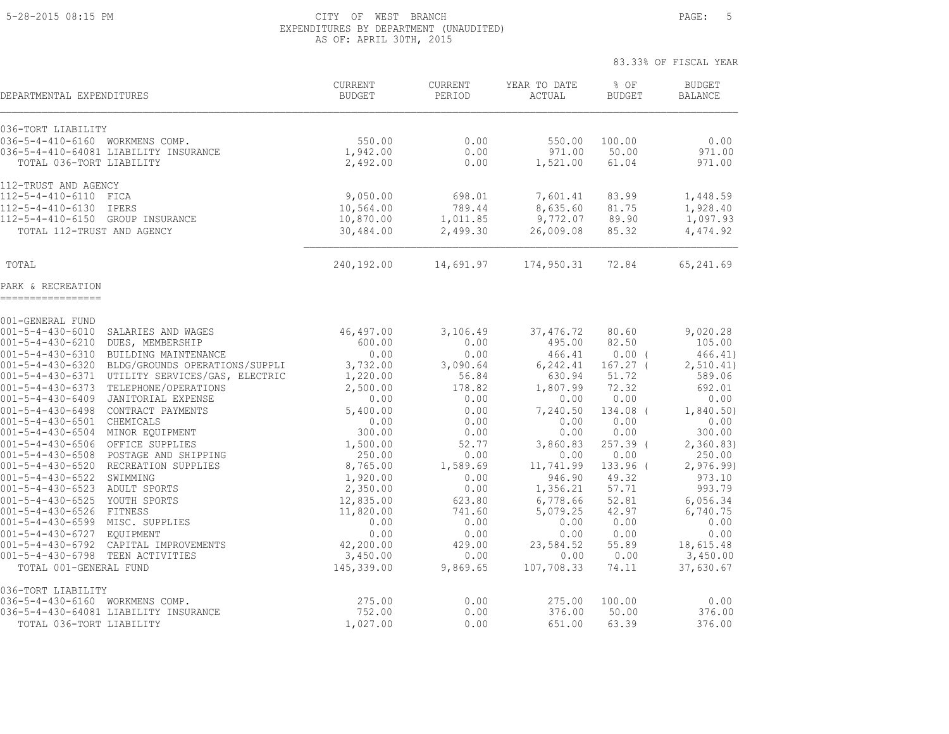#### 5-28-2015 08:15 PM CITY OF WEST BRANCH PAGE: 5 EXPENDITURES BY DEPARTMENT (UNAUDITED) AS OF: APRIL 30TH, 2015

83.33% OF FISCAL YEAR

 CURRENT CURRENT YEAR TO DATE % OF BUDGET DEPARTMENTAL EXPENDITURES BUDGET PERIOD ACTUAL BUDGET BALANCE \_\_\_\_\_\_\_\_\_\_\_\_\_\_\_\_\_\_\_\_\_\_\_\_\_\_\_\_\_\_\_\_\_\_\_\_\_\_\_\_\_\_\_\_\_\_\_\_\_\_\_\_\_\_\_\_\_\_\_\_\_\_\_\_\_\_\_\_\_\_\_\_\_\_\_\_\_\_\_\_\_\_\_\_\_\_\_\_\_\_\_\_\_\_\_\_\_\_\_\_\_\_\_\_\_\_\_\_\_\_\_\_\_\_\_\_\_\_\_\_\_\_\_\_ 036-TORT LIABILITY 036-5-4-410-6160 WORKMENS COMP. 550.00 0.00 550.00 100.00 0.00 036-5-4-410-64081 LIABILITY INSURANCE 1,942.00 0.00 971.00 50.00 971.00 971.00 971.00 TOTAL 036-TORT LIABILITY 2,492.00 0.00 1,521.00 61.04 971.00 112-TRUST AND AGENCY 112-5-4-410-6110 FICA 9,050.00 698.01 7,601.41 83.99 1,448.59 112-5-4-410-6130 IPERS 10,564.00 789.44 8,635.60 81.75 1,928.40 112-5-4-410-6150 GROUP INSURANCE 10,870.00 1,011.85 9,772.07 89.90 1,097.93 TOTAL 112-TRUST AND AGENCY 30,484.00 2,499.30 26,009.08 85.32 4,474.92 TOTAL 240,192.00 14,691.97 174,950.31 72.84 65,241.69 PARK & RECREATION ================= 001-GENERAL FUND 001-5-4-430-6010 SALARIES AND WAGES 46,497.00 3,106.49 37,476.72 80.60 9,020.28 001-5-4-430-6210 DUES, MEMBERSHIP 600.00 0.00 495.00 82.50 105.00 001-5-4-430-6310 BUILDING MAINTENANCE 0.00 0.00 466.41 0.00 ( 466.41) 001-5-4-430-6320 BLDG/GROUNDS OPERATIONS/SUPPLI 3,732.00 3,090.64 6,242.41 167.27 ( 2,510.41) 001-5-4-430-6371 UTILITY SERVICES/GAS, ELECTRIC  $1,220.00$  56.84 630.94 51.72 589.06 001-5-4-430-6373 TELEPHONE/OPERATIONS 2,500.00 178.82 1,807.99 72.32 692.01 001-5-4-430-6409 JANITORIAL EXPENSE 0.00 0.00 0.00 0.00 0.00 001-5-4-430-6498 CONTRACT PAYMENTS 5,400.00 0.00 7,240.50 134.08 ( 1,840.50) 001-5-4-430-6501 CHEMICALS 0.00 0.00 0.00 0.00 0.00 001-5-4-430-6504 MINOR EQUIPMENT 300.00 0.00 0.00 0.00 300.00 001-5-4-430-6506 OFFICE SUPPLIES 1,500.00 52.77 3,860.83 257.39 ( 2,360.83) 001-5-4-430-6508 POSTAGE AND SHIPPING 250.00 0.00 0.00 0.00 250.00 001-5-4-430-6520 RECREATION SUPPLIES 8,765.00 1,589.69 11,741.99 133.96 ( 2,976.99) 001-5-4-430-6522 SWIMMING 1,920.00 0.00 946.90 49.32 973.10 001-5-4-430-6523 ADULT SPORTS 2,350.00 0.00 1,356.21 57.71 993.79 001-5-4-430-6525 YOUTH SPORTS 12,835.00 623.80 6,778.66 52.81 6,056.34 001-5-4-430-6526 FITNESS 11,820.00 741.60 5,079.25 42.97 6,740.75 001-5-4-430-6599 MISC. SUPPLIES 0.00 0.00 0.00 0.00 0.00 001-5-4-430-6727 EQUIPMENT 0.00 0.00 0.00 0.00 0.00 001-5-4-430-6792 CAPITAL IMPROVEMENTS 42,200.00 429.00 23,584.52 55.89 18,615.48 001-5-4-430-6798 TEEN ACTIVITIES 3,450.00 0.00 0.00 0.00 3,450.00 TOTAL 001-GENERAL FUND 145,339.00 9,869.65 107,708.33 74.11 37,630.67 036-TORT LIABILITY 036-5-4-430-6160 WORKMENS COMP. 275.00 0.00 275.00 100.00 0.00 036-5-4-430-64081 LIABILITY INSURANCE 752.00 0.00 376.00 50.00 376.00 TOTAL 036-TORT LIABILITY 1,027.00 0.00 651.00 63.39 376.00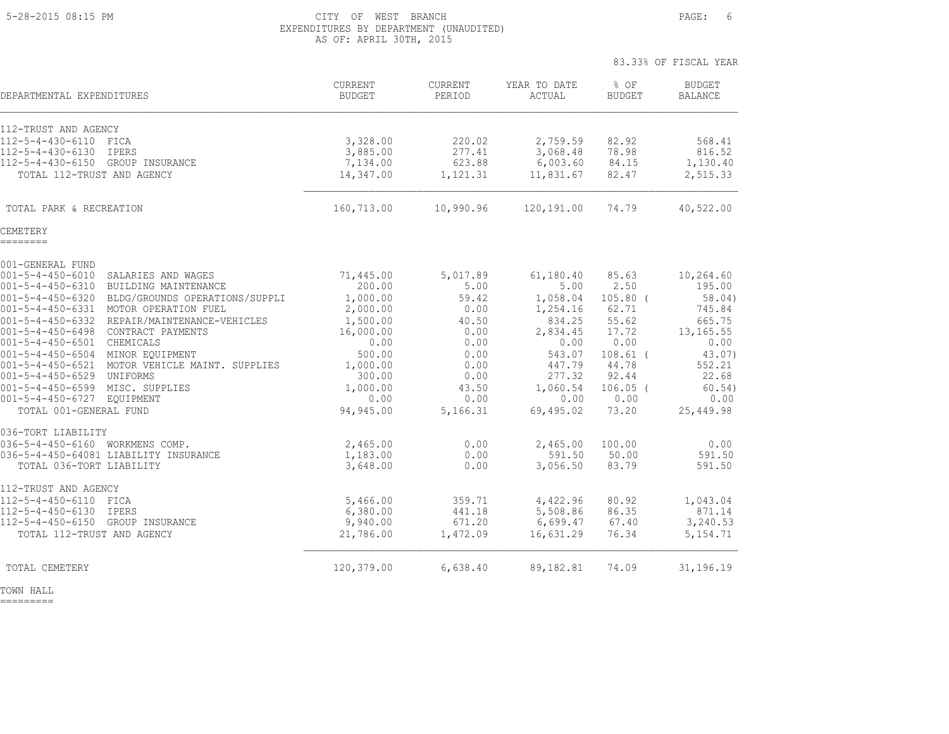### 5-28-2015 08:15 PM CITY OF WEST BRANCH PAGE: 6 EXPENDITURES BY DEPARTMENT (UNAUDITED) AS OF: APRIL 30TH, 2015

|                                                                                    |                          |                   |                        | 83.33% OF FISCAL YEAR |                                 |
|------------------------------------------------------------------------------------|--------------------------|-------------------|------------------------|-----------------------|---------------------------------|
| DEPARTMENTAL EXPENDITURES                                                          | CURRENT<br><b>BUDGET</b> | CURRENT<br>PERIOD | YEAR TO DATE<br>ACTUAL | % OF<br><b>BUDGET</b> | <b>BUDGET</b><br><b>BALANCE</b> |
| 112-TRUST AND AGENCY                                                               |                          |                   |                        |                       |                                 |
| 112-5-4-430-6110 FICA                                                              | 3,328.00                 | 220.02            | 2,759.59               | 82.92                 | 568.41                          |
| 112-5-4-430-6130<br>IPERS                                                          | 3,885.00                 | 277.41            | 3,068.48               | 78.98                 | 816.52                          |
| $112 - 5 - 4 - 430 - 6150$<br>GROUP INSURANCE                                      | 7,134.00                 | 623.88            | 6,003.60               | 84.15                 | 1,130.40                        |
| TOTAL 112-TRUST AND AGENCY                                                         | 14,347.00                | 1,121.31          | 11,831.67              | 82.47                 | 2,515.33                        |
| TOTAL PARK & RECREATION                                                            | 160,713.00               | 10,990.96         | 120,191.00             | 74.79                 | 40,522.00                       |
| CEMETERY<br>========                                                               |                          |                   |                        |                       |                                 |
| 001-GENERAL FUND                                                                   |                          |                   |                        |                       |                                 |
| $001 - 5 - 4 - 450 - 6010$<br>SALARIES AND WAGES                                   | 71,445.00                | 5,017.89          | 61,180.40              | 85.63                 | 10,264.60                       |
| 001-5-4-450-6310 BUILDING MAINTENANCE                                              | 200.00                   | 5.00              | 5.00                   | 2.50                  | 195.00                          |
| 001-5-4-450-6320 BLDG/GROUNDS OPERATIONS/SUPPLI                                    | 1,000.00                 | 59.42             | 1,058.04               | $105.80$ (            | 58.04)                          |
| 001-5-4-450-6331 MOTOR OPERATION FUEL                                              | 2,000.00                 | 0.00              | 1,254.16               | 62.71                 | 745.84                          |
| 001-5-4-450-6332 REPAIR/MAINTENANCE-VEHICLES                                       | 1,500.00                 | 40.50             | 834.25                 | 55.62                 | 665.75                          |
| 001-5-4-450-6498 CONTRACT PAYMENTS                                                 | 16,000.00                | 0.00              | 2,834.45               | 17.72                 | 13, 165.55                      |
| 001-5-4-450-6501 CHEMICALS                                                         | 0.00                     | 0.00              | 0.00                   | 0.00                  | 0.00                            |
| 001-5-4-450-6504 MINOR EQUIPMENT<br>001-5-4-450-6521 MOTOR VEHICLE MAINT. SUPPLIES | 500.00<br>1,000.00       | 0.00<br>0.00      | 543.07<br>447.79       | $108.61$ (<br>44.78   | 43.07)<br>552.21                |
| 001-5-4-450-6529 UNIFORMS                                                          | 300.00                   | 0.00              | 277.32                 | 92.44                 | 22.68                           |
| 001-5-4-450-6599 MISC. SUPPLIES                                                    | 1,000.00                 | 43.50             | 1,060.54               | $106.05$ (            | 60.54)                          |
| 001-5-4-450-6727 EQUIPMENT                                                         | 0.00                     | 0.00              | 0.00                   | 0.00                  | 0.00                            |
| TOTAL 001-GENERAL FUND                                                             | 94,945.00                | 5,166.31          | 69,495.02              | 73.20                 | 25,449.98                       |
| 036-TORT LIABILITY                                                                 |                          |                   |                        |                       |                                 |
| 036-5-4-450-6160 WORKMENS COMP.                                                    | 2,465.00                 | 0.00              | 2,465.00               | 100.00                | 0.00                            |
| 036-5-4-450-64081 LIABILITY INSURANCE<br>TOTAL 036-TORT LIABILITY                  | 1,183.00<br>3,648.00     | 0.00<br>0.00      | 591.50<br>3,056.50     | 50.00<br>83.79        | 591.50<br>591.50                |
| 112-TRUST AND AGENCY                                                               |                          |                   |                        |                       |                                 |
| 112-5-4-450-6110 FICA                                                              | 5,466.00                 | 359.71            | 4,422.96               | 80.92                 | 1,043.04                        |
| $112 - 5 - 4 - 450 - 6130$<br>IPERS                                                | 6,380.00                 | 441.18            | 5,508.86               | 86.35                 | 871.14                          |
| 112-5-4-450-6150 GROUP INSURANCE                                                   | 9,940.00                 | 671.20            | 6,699.47               | 67.40                 | 3,240.53                        |
| TOTAL 112-TRUST AND AGENCY                                                         | 21,786.00                | 1,472.09          | 16,631.29              | 76.34                 | 5, 154.71                       |
| TOTAL CEMETERY                                                                     | 120,379.00               | 6,638.40          | 89,182.81              | 74.09                 | 31,196.19                       |

TOWN HALL

=========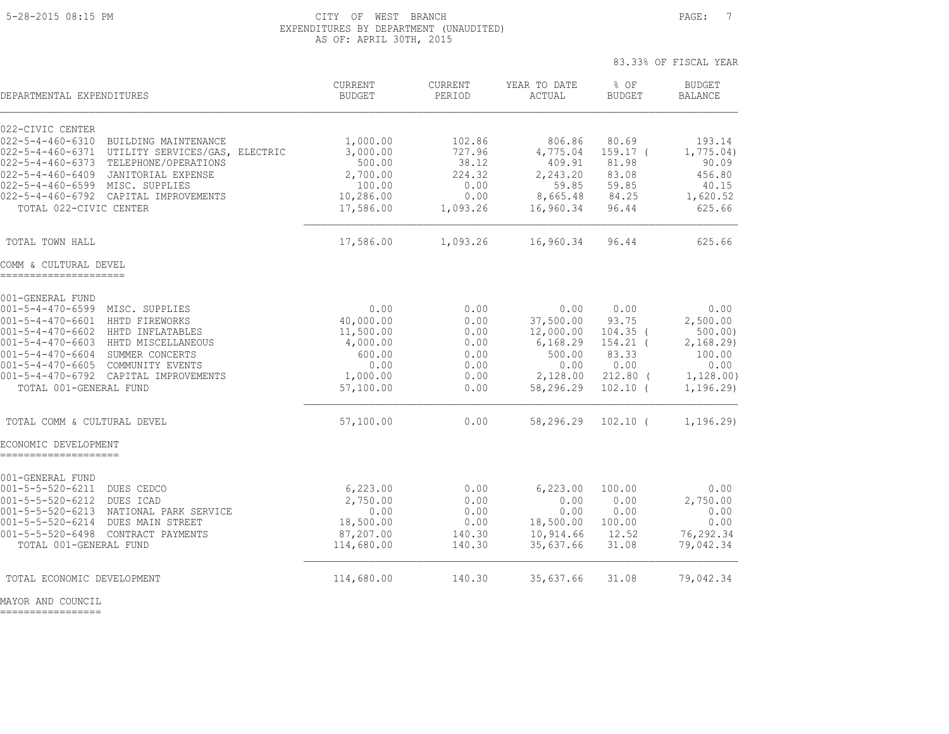#### 5-28-2015 08:15 PM CITY OF WEST BRANCH PAGE: 7 EXPENDITURES BY DEPARTMENT (UNAUDITED) AS OF: APRIL 30TH, 2015

83.33% OF FISCAL YEAR

| DEPARTMENTAL EXPENDITURES                                                                                                                                                                                                                                                                                                                                          | <b>CURRENT</b><br><b>BUDGET</b>                                                       | CURRENT<br>PERIOD                                               | YEAR TO DATE<br>ACTUAL                                                                | $8$ OF<br><b>BUDGET</b>                                                                | <b>BUDGET</b><br><b>BALANCE</b>                                                      |
|--------------------------------------------------------------------------------------------------------------------------------------------------------------------------------------------------------------------------------------------------------------------------------------------------------------------------------------------------------------------|---------------------------------------------------------------------------------------|-----------------------------------------------------------------|---------------------------------------------------------------------------------------|----------------------------------------------------------------------------------------|--------------------------------------------------------------------------------------|
| 022-CIVIC CENTER<br>$022 - 5 - 4 - 460 - 6310$<br>BUILDING MAINTENANCE<br>$022 - 5 - 4 - 460 - 6371$<br>UTILITY SERVICES/GAS, ELECTRIC<br>$022 - 5 - 4 - 460 - 6373$<br>TELEPHONE/OPERATIONS<br>$022 - 5 - 4 - 460 - 6409$<br>JANITORIAL EXPENSE<br>022-5-4-460-6599 MISC. SUPPLIES<br>022-5-4-460-6792 CAPITAL IMPROVEMENTS<br>TOTAL 022-CIVIC CENTER             | 1,000.00<br>3,000.00<br>500.00<br>2,700.00<br>100.00<br>10,286.00<br>17,586.00        | 102.86<br>727.96<br>38.12<br>224.32<br>0.00<br>0.00<br>1,093.26 | 806.86<br>4,775.04<br>409.91<br>2,243.20<br>59.85<br>8,665.48<br>16,960.34            | 80.69<br>$159.17-$<br>81.98<br>83.08<br>59.85<br>84.25<br>96.44                        | 193.14<br>1,775.04)<br>90.09<br>456.80<br>40.15<br>1,620.52<br>625.66                |
| TOTAL TOWN HALL                                                                                                                                                                                                                                                                                                                                                    | 17,586.00                                                                             | 1,093.26                                                        | 16,960.34                                                                             | 96.44                                                                                  | 625.66                                                                               |
| COMM & CULTURAL DEVEL<br>----------------------                                                                                                                                                                                                                                                                                                                    |                                                                                       |                                                                 |                                                                                       |                                                                                        |                                                                                      |
| 001-GENERAL FUND<br>$001 - 5 - 4 - 470 - 6599$<br>MISC. SUPPLIES<br>$001 - 5 - 4 - 470 - 6601$<br>HHTD FIREWORKS<br>$001 - 5 - 4 - 470 - 6602$<br>HHTD INFLATABLES<br>$001 - 5 - 4 - 470 - 6603$<br>HHTD MISCELLANEOUS<br>001-5-4-470-6604 SUMMER CONCERTS<br>001-5-4-470-6605 COMMUNITY EVENTS<br>001-5-4-470-6792 CAPITAL IMPROVEMENTS<br>TOTAL 001-GENERAL FUND | 0.00<br>40,000.00<br>11,500.00<br>4,000.00<br>600.00<br>0.00<br>1,000.00<br>57,100.00 | 0.00<br>0.00<br>0.00<br>0.00<br>0.00<br>0.00<br>0.00<br>0.00    | 0.00<br>37,500.00<br>12,000.00<br>6,168.29<br>500.00<br>0.00<br>2,128.00<br>58,296.29 | 0.00<br>93.75<br>$104.35$ (<br>$154.21$ (<br>83.33<br>0.00<br>$212.80$ (<br>$102.10$ ( | 0.00<br>2,500.00<br>500.00)<br>2,168.29<br>100.00<br>0.00<br>1, 128.00)<br>1, 196.29 |
| TOTAL COMM & CULTURAL DEVEL                                                                                                                                                                                                                                                                                                                                        | 57,100.00                                                                             | 0.00                                                            | 58,296.29                                                                             | $102.10$ (                                                                             | 1, 196.29                                                                            |
| ECONOMIC DEVELOPMENT                                                                                                                                                                                                                                                                                                                                               |                                                                                       |                                                                 |                                                                                       |                                                                                        |                                                                                      |
| 001-GENERAL FUND<br>$001 - 5 - 5 - 520 - 6211$<br>DUES CEDCO<br>$001 - 5 - 5 - 520 - 6212$<br>DUES ICAD<br>$001 - 5 - 5 - 520 - 6213$<br>NATIONAL PARK SERVICE<br>$001 - 5 - 5 - 520 - 6214$<br>DUES MAIN STREET<br>$001 - 5 - 5 - 520 - 6498$<br>CONTRACT PAYMENTS<br>TOTAL 001-GENERAL FUND                                                                      | 6,223.00<br>2,750.00<br>0.00<br>18,500.00<br>87,207.00<br>114,680.00                  | 0.00<br>0.00<br>0.00<br>0.00<br>140.30<br>140.30                | 6,223.00<br>0.00<br>0.00<br>18,500.00<br>10,914.66<br>35,637.66                       | 100.00<br>0.00<br>0.00<br>100.00<br>12.52<br>31.08                                     | 0.00<br>2,750.00<br>0.00<br>0.00<br>76,292.34<br>79,042.34                           |
| TOTAL ECONOMIC DEVELOPMENT                                                                                                                                                                                                                                                                                                                                         | 114,680.00                                                                            | 140.30                                                          | 35,637.66                                                                             | 31.08                                                                                  | 79,042.34                                                                            |

MAYOR AND COUNCIL

=================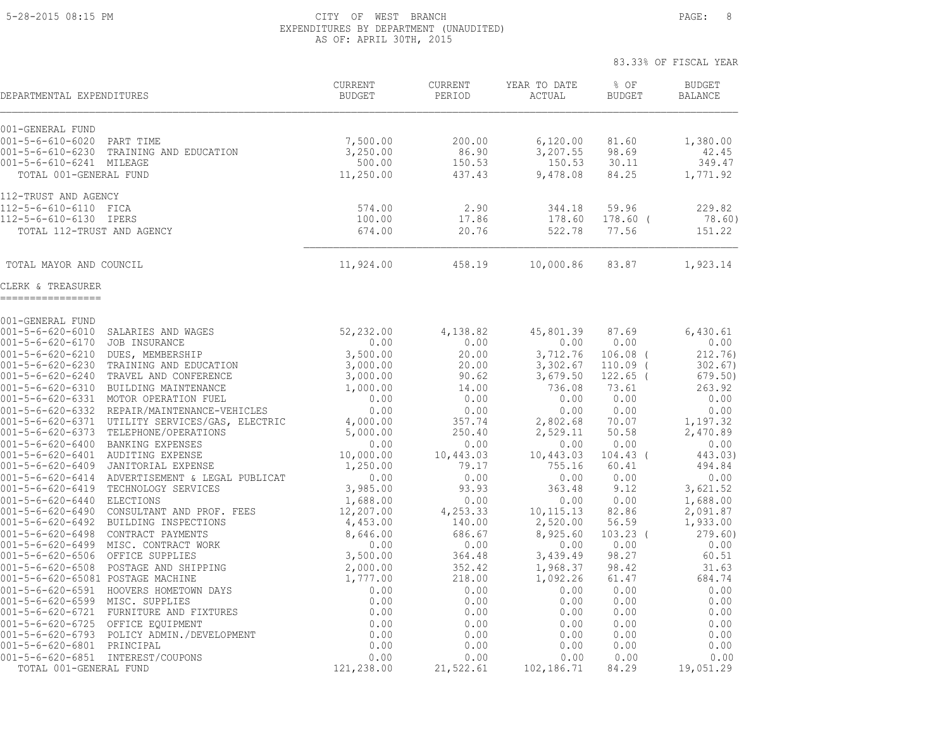### 5-28-2015 08:15 PM CITY OF WEST BRANCH PAGE: 8 EXPENDITURES BY DEPARTMENT (UNAUDITED) AS OF: APRIL 30TH, 2015

| DEPARTMENTAL EXPENDITURES                                                                                           | <b>CURRENT</b><br><b>BUDGET</b> | <b>CURRENT</b><br>PERIOD | YEAR TO DATE<br>ACTUAL | % OF<br><b>BUDGET</b> | <b>BUDGET</b><br><b>BALANCE</b> |
|---------------------------------------------------------------------------------------------------------------------|---------------------------------|--------------------------|------------------------|-----------------------|---------------------------------|
| 001-GENERAL FUND<br>$001 - 5 - 6 - 610 - 6020$<br>PART TIME<br>$001 - 5 - 6 - 610 - 6230$<br>TRAINING AND EDUCATION | 7,500.00<br>3,250.00            | 200.00<br>86.90          | 6,120.00<br>3,207.55   | 81.60<br>98.69        | 1,380.00<br>42.45               |
| 001-5-6-610-6241 MILEAGE<br>TOTAL 001-GENERAL FUND                                                                  | 500.00<br>11,250.00             | 150.53<br>437.43         | 150.53<br>9,478.08     | 30.11<br>84.25        | 349.47<br>1,771.92              |
| 112-TRUST AND AGENCY                                                                                                |                                 |                          |                        |                       |                                 |
| 112-5-6-610-6110 FICA                                                                                               | 574.00                          | 2.90                     | 344.18                 | 59.96                 | 229.82                          |
| 112-5-6-610-6130 IPERS<br>TOTAL 112-TRUST AND AGENCY                                                                | 100.00<br>674.00                | 17.86<br>20.76           | 178.60<br>522.78       | $178.60$ (<br>77.56   | 78.60)<br>151.22                |
| TOTAL MAYOR AND COUNCIL                                                                                             | 11,924.00                       | 458.19                   | 10,000.86              | 83.87                 | 1,923.14                        |
| CLERK & TREASURER                                                                                                   |                                 |                          |                        |                       |                                 |
| 001-GENERAL FUND                                                                                                    |                                 |                          |                        |                       |                                 |
| $001 - 5 - 6 - 620 - 6010$<br>SALARIES AND WAGES                                                                    | 52,232.00                       | 4,138.82                 | 45,801.39              | 87.69                 | 6,430.61                        |
| $001 - 5 - 6 - 620 - 6170$<br>JOB INSURANCE                                                                         | 0.00                            | 0.00                     | 0.00                   | 0.00                  | 0.00                            |
| $001 - 5 - 6 - 620 - 6210$<br>DUES, MEMBERSHIP                                                                      | 3,500.00                        | 20.00                    | 3,712.76               | $106.08$ $($          | 212.76                          |
| $001 - 5 - 6 - 620 - 6230$<br>TRAINING AND EDUCATION                                                                | 3,000.00                        | 20.00                    | 3,302.67               | 110.09                | 302.67                          |
| $001 - 5 - 6 - 620 - 6240$<br>TRAVEL AND CONFERENCE                                                                 | 3,000.00                        | 90.62                    | 3,679.50               | $122.65$ (            | 679.50)                         |
| $001 - 5 - 6 - 620 - 6310$<br>BUILDING MAINTENANCE<br>$001 - 5 - 6 - 620 - 6331$<br>MOTOR OPERATION FUEL            | 1,000.00<br>0.00                | 14.00<br>0.00            | 736.08<br>0.00         | 73.61<br>0.00         | 263.92<br>0.00                  |
| $001 - 5 - 6 - 620 - 6332$<br>REPAIR/MAINTENANCE-VEHICLES                                                           | 0.00                            | 0.00                     | 0.00                   | 0.00                  | 0.00                            |
| $001 - 5 - 6 - 620 - 6371$<br>UTILITY SERVICES/GAS, ELECTRIC                                                        | 4,000.00                        | 357.74                   | 2,802.68               | 70.07                 | 1,197.32                        |
| $001 - 5 - 6 - 620 - 6373$<br>TELEPHONE/OPERATIONS                                                                  | 5,000.00                        | 250.40                   | 2,529.11               | 50.58                 | 2,470.89                        |
| $001 - 5 - 6 - 620 - 6400$<br>BANKING EXPENSES                                                                      | 0.00                            | 0.00                     | 0.00                   | 0.00                  | 0.00                            |
| $001 - 5 - 6 - 620 - 6401$<br>AUDITING EXPENSE                                                                      | 10,000.00                       | 10,443.03                | 10,443.03              | $104.43$ (            | 443.03)                         |
| $001 - 5 - 6 - 620 - 6409$<br>JANITORIAL EXPENSE                                                                    | 1,250.00                        | 79.17                    | 755.16                 | 60.41                 | 494.84                          |
| $001 - 5 - 6 - 620 - 6414$<br>ADVERTISEMENT & LEGAL PUBLICAT                                                        | 0.00                            | 0.00                     | 0.00                   | 0.00                  | 0.00                            |
| $001 - 5 - 6 - 620 - 6419$<br>TECHNOLOGY SERVICES                                                                   | 3,985.00                        | 93.93                    | 363.48                 | 9.12                  | 3,621.52                        |
| $001 - 5 - 6 - 620 - 6440$<br><b>ELECTIONS</b><br>CONSULTANT AND PROF. FEES<br>$001 - 5 - 6 - 620 - 6490$           | 1,688.00                        | 0.00<br>4,253.33         | 0.00                   | 0.00<br>82.86         | 1,688.00                        |
| $001 - 5 - 6 - 620 - 6492$<br>BUILDING INSPECTIONS                                                                  | 12,207.00<br>4,453.00           | 140.00                   | 10,115.13<br>2,520.00  | 56.59                 | 2,091.87<br>1,933.00            |
| $001 - 5 - 6 - 620 - 6498$<br>CONTRACT PAYMENTS                                                                     | 8,646.00                        | 686.67                   | 8,925.60               | $103.23$ (            | 279.60                          |
| $001 - 5 - 6 - 620 - 6499$<br>MISC. CONTRACT WORK                                                                   | 0.00                            | 0.00                     | 0.00                   | 0.00                  | 0.00                            |
| $001 - 5 - 6 - 620 - 6506$<br>OFFICE SUPPLIES                                                                       | 3,500.00                        | 364.48                   | 3,439.49               | 98.27                 | 60.51                           |
| POSTAGE AND SHIPPING<br>$001 - 5 - 6 - 620 - 6508$                                                                  | 2,000.00                        | 352.42                   | 1,968.37               | 98.42                 | 31.63                           |
| 001-5-6-620-65081 POSTAGE MACHINE                                                                                   | 1,777.00                        | 218.00                   | 1,092.26               | 61.47                 | 684.74                          |
| HOOVERS HOMETOWN DAYS<br>$001 - 5 - 6 - 620 - 6591$                                                                 | 0.00                            | 0.00                     | 0.00                   | 0.00                  | 0.00                            |
| $001 - 5 - 6 - 620 - 6599$<br>MISC. SUPPLIES                                                                        | 0.00                            | 0.00                     | 0.00                   | 0.00                  | 0.00                            |
| $001 - 5 - 6 - 620 - 6721$<br>FURNITURE AND FIXTURES                                                                | 0.00                            | 0.00                     | 0.00                   | 0.00                  | 0.00                            |
| $001 - 5 - 6 - 620 - 6725$<br>OFFICE EQUIPMENT                                                                      | 0.00<br>0.00                    | 0.00                     | 0.00                   | 0.00                  | 0.00<br>0.00                    |
| $001 - 5 - 6 - 620 - 6793$<br>POLICY ADMIN./DEVELOPMENT<br>$001 - 5 - 6 - 620 - 6801$<br>PRINCIPAL                  | 0.00                            | 0.00<br>0.00             | 0.00<br>0.00           | 0.00<br>0.00          | 0.00                            |
| 001-5-6-620-6851 INTEREST/COUPONS                                                                                   |                                 |                          |                        |                       |                                 |
|                                                                                                                     | 0.00                            | 0.00                     | 0.00                   | 0.00                  | 0.00                            |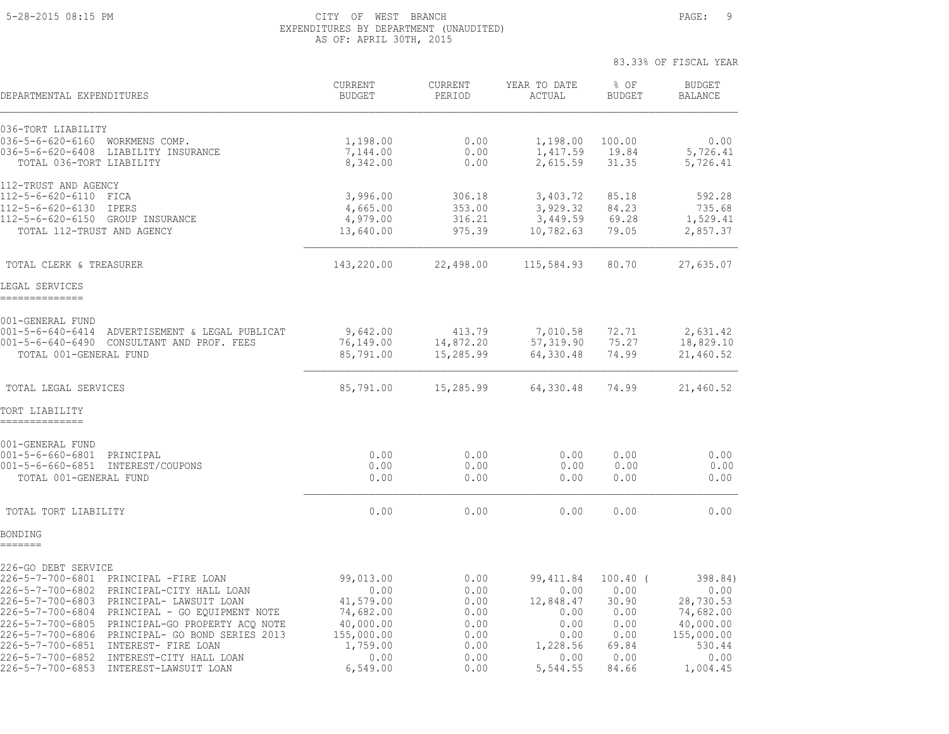### 5-28-2015 08:15 PM CITY OF WEST BRANCH PAGE: 9 EXPENDITURES BY DEPARTMENT (UNAUDITED) AS OF: APRIL 30TH, 2015

| DEPARTMENTAL EXPENDITURES                                                                                                                                                                                                                                                                                                                                                                                                                            | CURRENT<br><b>BUDGET</b>                                                                               | <b>CURRENT</b><br>PERIOD                                             | YEAR TO DATE<br>ACTUAL                                                                  | % OF<br><b>BUDGET</b>                                                         | <b>BUDGET</b><br><b>BALANCE</b>                                                                    |
|------------------------------------------------------------------------------------------------------------------------------------------------------------------------------------------------------------------------------------------------------------------------------------------------------------------------------------------------------------------------------------------------------------------------------------------------------|--------------------------------------------------------------------------------------------------------|----------------------------------------------------------------------|-----------------------------------------------------------------------------------------|-------------------------------------------------------------------------------|----------------------------------------------------------------------------------------------------|
| 036-TORT LIABILITY<br>036-5-6-620-6160 WORKMENS COMP.<br>036-5-6-620-6408 LIABILITY INSURANCE<br>TOTAL 036-TORT LIABILITY                                                                                                                                                                                                                                                                                                                            | 1,198.00<br>7,144.00<br>8,342.00                                                                       | 0.00<br>0.00<br>0.00                                                 | 1,198.00<br>1,417.59<br>2,615.59                                                        | 100.00<br>19.84<br>31.35                                                      | 0.00<br>5,726.41<br>5,726.41                                                                       |
| 112-TRUST AND AGENCY<br>112-5-6-620-6110 FICA<br>112-5-6-620-6130<br>IPERS<br>112-5-6-620-6150 GROUP INSURANCE<br>TOTAL 112-TRUST AND AGENCY                                                                                                                                                                                                                                                                                                         | 3,996.00<br>4,665.00<br>4,979.00<br>13,640.00                                                          | 306.18<br>353.00<br>316.21<br>975.39                                 | 3,403.72<br>3,929.32<br>3,449.59<br>10,782.63                                           | 85.18<br>84.23<br>69.28<br>79.05                                              | 592.28<br>735.68<br>1,529.41<br>2,857.37                                                           |
| TOTAL CLERK & TREASURER                                                                                                                                                                                                                                                                                                                                                                                                                              | 143,220.00                                                                                             | 22,498.00                                                            | 115,584.93                                                                              | 80.70                                                                         | 27,635.07                                                                                          |
| LEGAL SERVICES<br>--------------                                                                                                                                                                                                                                                                                                                                                                                                                     |                                                                                                        |                                                                      |                                                                                         |                                                                               |                                                                                                    |
| 001-GENERAL FUND<br>$001 - 5 - 6 - 640 - 6414$<br>ADVERTISEMENT & LEGAL PUBLICAT<br>001-5-6-640-6490 CONSULTANT AND PROF. FEES<br>TOTAL 001-GENERAL FUND                                                                                                                                                                                                                                                                                             | 9,642.00<br>76,149.00<br>85,791.00                                                                     | 413.79<br>14,872.20<br>15,285.99                                     | 7,010.58<br>57,319.90<br>64,330.48                                                      | 72.71<br>75.27<br>74.99                                                       | 2,631.42<br>18,829.10<br>21,460.52                                                                 |
| TOTAL LEGAL SERVICES                                                                                                                                                                                                                                                                                                                                                                                                                                 | 85,791.00                                                                                              | 15,285.99                                                            | 64,330.48                                                                               | 74.99                                                                         | 21,460.52                                                                                          |
| TORT LIABILITY<br>--------------                                                                                                                                                                                                                                                                                                                                                                                                                     |                                                                                                        |                                                                      |                                                                                         |                                                                               |                                                                                                    |
| 001-GENERAL FUND<br>001-5-6-660-6801 PRINCIPAL<br>001-5-6-660-6851 INTEREST/COUPONS<br>TOTAL 001-GENERAL FUND                                                                                                                                                                                                                                                                                                                                        | 0.00<br>0.00<br>0.00                                                                                   | 0.00<br>0.00<br>0.00                                                 | 0.00<br>0.00<br>0.00                                                                    | 0.00<br>0.00<br>0.00                                                          | 0.00<br>0.00<br>0.00                                                                               |
| TOTAL TORT LIABILITY                                                                                                                                                                                                                                                                                                                                                                                                                                 | 0.00                                                                                                   | 0.00                                                                 | 0.00                                                                                    | 0.00                                                                          | 0.00                                                                                               |
| BONDING<br>=======                                                                                                                                                                                                                                                                                                                                                                                                                                   |                                                                                                        |                                                                      |                                                                                         |                                                                               |                                                                                                    |
| 226-GO DEBT SERVICE<br>226-5-7-700-6801 PRINCIPAL -FIRE LOAN<br>226-5-7-700-6802 PRINCIPAL-CITY HALL LOAN<br>226-5-7-700-6803 PRINCIPAL- LAWSUIT LOAN<br>226-5-7-700-6804 PRINCIPAL - GO EQUIPMENT NOTE<br>226-5-7-700-6805 PRINCIPAL-GO PROPERTY ACQ NOTE<br>226-5-7-700-6806 PRINCIPAL- GO BOND SERIES 2013<br>226-5-7-700-6851<br>INTEREST- FIRE LOAN<br>226-5-7-700-6852<br>INTEREST-CITY HALL LOAN<br>226-5-7-700-6853<br>INTEREST-LAWSUIT LOAN | 99,013.00<br>0.00<br>41,579.00<br>74,682.00<br>40,000.00<br>155,000.00<br>1,759.00<br>0.00<br>6,549.00 | 0.00<br>0.00<br>0.00<br>0.00<br>0.00<br>0.00<br>0.00<br>0.00<br>0.00 | 99, 411.84<br>0.00<br>12,848.47<br>0.00<br>0.00<br>0.00<br>1,228.56<br>0.00<br>5,544.55 | $100.40$ (<br>0.00<br>30.90<br>0.00<br>0.00<br>0.00<br>69.84<br>0.00<br>84.66 | 398.84)<br>0.00<br>28,730.53<br>74,682.00<br>40,000.00<br>155,000.00<br>530.44<br>0.00<br>1,004.45 |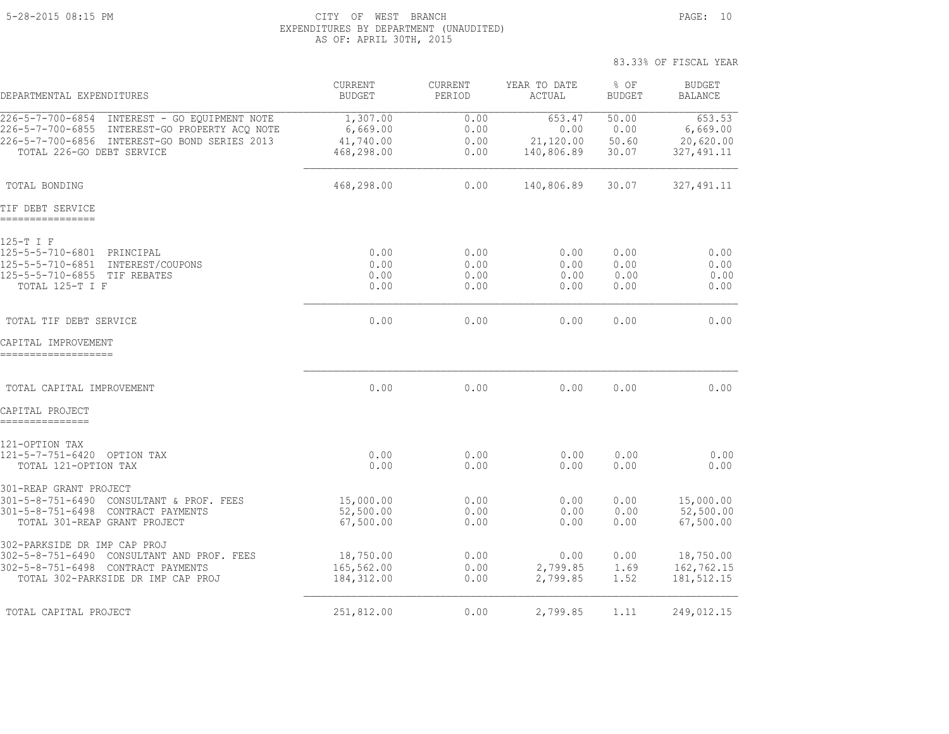#### 5-28-2015 08:15 PM CITY OF WEST BRANCH PAGE: 10 EXPENDITURES BY DEPARTMENT (UNAUDITED) AS OF: APRIL 30TH, 2015

|                                                                                                                                                                               |                                                 |                              |                                           | 83.33% OF FISCAL YEAR           |                                                |
|-------------------------------------------------------------------------------------------------------------------------------------------------------------------------------|-------------------------------------------------|------------------------------|-------------------------------------------|---------------------------------|------------------------------------------------|
| DEPARTMENTAL EXPENDITURES                                                                                                                                                     | CURRENT<br><b>BUDGET</b>                        | CURRENT<br>PERIOD            | YEAR TO DATE<br>ACTUAL                    | % OF<br><b>BUDGET</b>           | <b>BUDGET</b><br>BALANCE                       |
| 226-5-7-700-6854 INTEREST - GO EQUIPMENT NOTE<br>226-5-7-700-6855 INTEREST-GO PROPERTY ACQ NOTE<br>226-5-7-700-6856 INTEREST-GO BOND SERIES 2013<br>TOTAL 226-GO DEBT SERVICE | 1,307.00<br>6,669.00<br>41,740.00<br>468,298.00 | 0.00<br>0.00<br>0.00<br>0.00 | 653.47<br>0.00<br>21,120.00<br>140,806.89 | 50.00<br>0.00<br>50.60<br>30.07 | 653.53<br>6,669.00<br>20,620.00<br>327, 491.11 |
| TOTAL BONDING                                                                                                                                                                 | 468,298.00                                      | 0.00                         | 140,806.89                                | 30.07                           | 327, 491.11                                    |
| TIF DEBT SERVICE<br>================                                                                                                                                          |                                                 |                              |                                           |                                 |                                                |
| 125-T I F<br>125-5-5-710-6801 PRINCIPAL<br>125-5-5-710-6851 INTEREST/COUPONS<br>125-5-5-710-6855 TIF REBATES<br>TOTAL 125-T I F                                               | 0.00<br>0.00<br>0.00<br>0.00                    | 0.00<br>0.00<br>0.00<br>0.00 | 0.00<br>0.00<br>0.00<br>0.00              | 0.00<br>0.00<br>0.00<br>0.00    | 0.00<br>0.00<br>0.00<br>0.00                   |
| TOTAL TIF DEBT SERVICE                                                                                                                                                        | 0.00                                            | 0.00                         | 0.00                                      | 0.00                            | 0.00                                           |
| CAPITAL IMPROVEMENT<br>--------------------                                                                                                                                   |                                                 |                              |                                           |                                 |                                                |
| TOTAL CAPITAL IMPROVEMENT                                                                                                                                                     | 0.00                                            | 0.00                         | 0.00                                      | 0.00                            | 0.00                                           |
| CAPITAL PROJECT<br>===============                                                                                                                                            |                                                 |                              |                                           |                                 |                                                |
| 121-OPTION TAX<br>121-5-7-751-6420 OPTION TAX<br>TOTAL 121-OPTION TAX                                                                                                         | 0.00<br>0.00                                    | 0.00<br>0.00                 | 0.00<br>0.00                              | 0.00<br>0.00                    | 0.00<br>0.00                                   |
| 301-REAP GRANT PROJECT<br>301-5-8-751-6490 CONSULTANT & PROF. FEES<br>301-5-8-751-6498 CONTRACT PAYMENTS<br>TOTAL 301-REAP GRANT PROJECT                                      | 15,000.00<br>52,500.00<br>67,500.00             | 0.00<br>0.00<br>0.00         | 0.00<br>0.00<br>0.00                      | 0.00<br>0.00<br>0.00            | 15,000.00<br>52,500.00<br>67,500.00            |
| 302-PARKSIDE DR IMP CAP PROJ<br>302-5-8-751-6490 CONSULTANT AND PROF. FEES<br>302-5-8-751-6498 CONTRACT PAYMENTS<br>TOTAL 302-PARKSIDE DR IMP CAP PROJ                        | 18,750.00<br>165,562.00<br>184, 312.00          | 0.00<br>0.00<br>0.00         | 0.00<br>2,799.85<br>2,799.85              | 0.00<br>1.69<br>1.52            | 18,750.00<br>162,762.15<br>181, 512.15         |
| TOTAL CAPITAL PROJECT                                                                                                                                                         | 251,812.00                                      | 0.00                         | 2,799.85                                  | 1.11                            | 249,012.15                                     |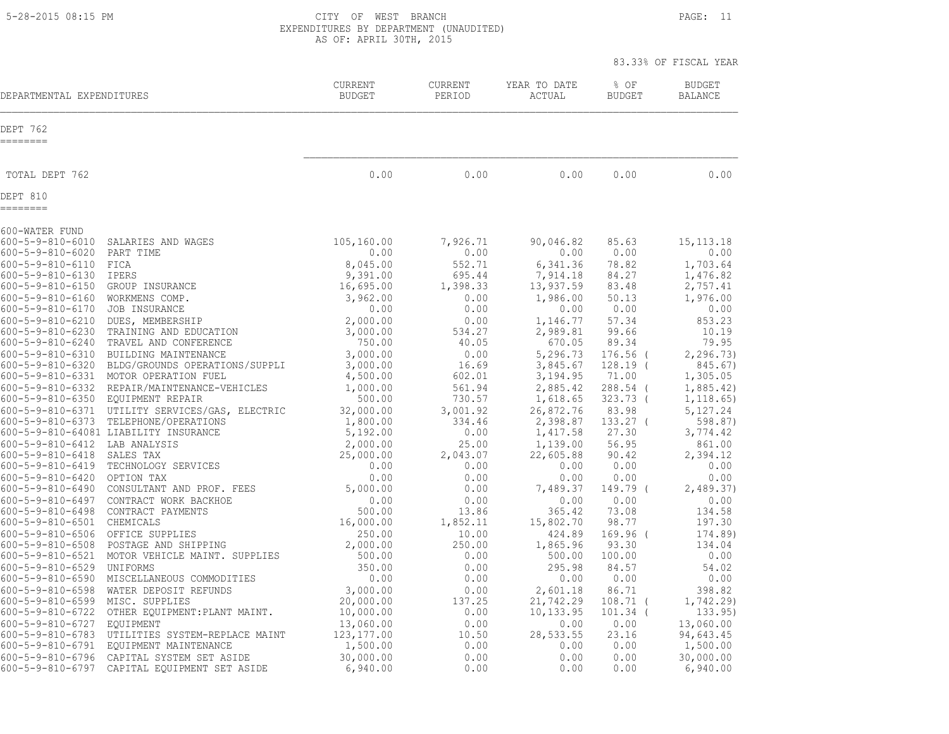5-28-2015 08:15 PM CITY OF WEST BRANCH PAGE: 11 EXPENDITURES BY DEPARTMENT (UNAUDITED) AS OF: APRIL 30TH, 2015

| DEPARTMENTAL EXPENDITURES                                                                                                                                                                                                                                                                                                                               |                                                                                                                                                                                                                                                                                                                                  | <b>CURRENT</b><br><b>BUDGET</b>                                                                                                                                                      | <b>CURRENT</b><br>PERIOD                                                                                                                               | YEAR TO DATE<br>ACTUAL                                                                                                                                                                | % OF<br><b>BUDGET</b>                                                                                                                                      | <b>BUDGET</b><br><b>BALANCE</b>                                                                                                                                                    |
|---------------------------------------------------------------------------------------------------------------------------------------------------------------------------------------------------------------------------------------------------------------------------------------------------------------------------------------------------------|----------------------------------------------------------------------------------------------------------------------------------------------------------------------------------------------------------------------------------------------------------------------------------------------------------------------------------|--------------------------------------------------------------------------------------------------------------------------------------------------------------------------------------|--------------------------------------------------------------------------------------------------------------------------------------------------------|---------------------------------------------------------------------------------------------------------------------------------------------------------------------------------------|------------------------------------------------------------------------------------------------------------------------------------------------------------|------------------------------------------------------------------------------------------------------------------------------------------------------------------------------------|
| DEPT 762<br>========                                                                                                                                                                                                                                                                                                                                    |                                                                                                                                                                                                                                                                                                                                  |                                                                                                                                                                                      |                                                                                                                                                        |                                                                                                                                                                                       |                                                                                                                                                            |                                                                                                                                                                                    |
| TOTAL DEPT 762                                                                                                                                                                                                                                                                                                                                          |                                                                                                                                                                                                                                                                                                                                  | 0.00                                                                                                                                                                                 | 0.00                                                                                                                                                   | 0.00                                                                                                                                                                                  | 0.00                                                                                                                                                       | 0.00                                                                                                                                                                               |
| DEPT 810<br>========                                                                                                                                                                                                                                                                                                                                    |                                                                                                                                                                                                                                                                                                                                  |                                                                                                                                                                                      |                                                                                                                                                        |                                                                                                                                                                                       |                                                                                                                                                            |                                                                                                                                                                                    |
| 600-WATER FUND                                                                                                                                                                                                                                                                                                                                          |                                                                                                                                                                                                                                                                                                                                  |                                                                                                                                                                                      |                                                                                                                                                        |                                                                                                                                                                                       |                                                                                                                                                            |                                                                                                                                                                                    |
| 600-5-9-810-6010<br>600-5-9-810-6020<br>600-5-9-810-6110<br>600-5-9-810-6130<br>600-5-9-810-6150<br>$600 - 5 - 9 - 810 - 6160$<br>600-5-9-810-6170<br>600-5-9-810-6210<br>600-5-9-810-6230<br>600-5-9-810-6240<br>600-5-9-810-6310<br>600-5-9-810-6320<br>600-5-9-810-6331<br>600-5-9-810-6332<br>600-5-9-810-6350 EQUIPMENT REPAIR<br>600-5-9-810-6371 | SALARIES AND WAGES<br>PART TIME<br>FICA<br>IPERS<br>GROUP INSURANCE<br>WORKMENS COMP.<br>JOB INSURANCE<br>DUES, MEMBERSHIP<br>TRAINING AND EDUCATION<br>TRAVEL AND CONFERENCE<br>BUILDING MAINTENANCE<br>BLDG/GROUNDS OPERATIONS/SUPPLI<br>MOTOR OPERATION FUEL<br>REPAIR/MAINTENANCE-VEHICLES<br>UTILITY SERVICES/GAS, ELECTRIC | 105,160.00<br>0.00<br>8,045.00<br>9,391.00<br>16,695.00<br>3,962.00<br>0.00<br>2,000.00<br>3,000.00<br>750.00<br>3,000.00<br>3,000.00<br>4,500.00<br>1,000.00<br>500.00<br>32,000.00 | 7,926.71<br>0.00<br>552.71<br>695.44<br>1,398.33<br>0.00<br>0.00<br>0.00<br>534.27<br>40.05<br>0.00<br>16.69<br>602.01<br>561.94<br>730.57<br>3,001.92 | 90,046.82<br>0.00<br>6,341.36<br>7,914.18<br>13,937.59<br>1,986.00<br>0.00<br>1,146.77<br>2,989.81<br>670.05<br>5,296.73<br>3,845.67<br>3,194.95<br>2,885.42<br>1,618.65<br>26,872.76 | 85.63<br>0.00<br>78.82<br>84.27<br>83.48<br>50.13<br>0.00<br>57.34<br>99.66<br>89.34<br>$176.56$ (<br>$128.19$ (<br>71.00<br>288.54 (<br>323.73 (<br>83.98 | 15, 113. 18<br>0.00<br>1,703.64<br>1,476.82<br>2,757.41<br>1,976.00<br>0.00<br>853.23<br>10.19<br>79.95<br>2, 296.73<br>845.67)<br>1,305.05<br>1,885.42)<br>1, 118.65)<br>5,127.24 |
| 600-5-9-810-6373<br>600-5-9-810-6412<br>600-5-9-810-6418<br>600-5-9-810-6419                                                                                                                                                                                                                                                                            | TELEPHONE/OPERATIONS<br>600-5-9-810-64081 LIABILITY INSURANCE<br>LAB ANALYSIS<br>SALES TAX<br>TECHNOLOGY SERVICES                                                                                                                                                                                                                | 1,800.00<br>5,192.00<br>2,000.00<br>25,000.00<br>0.00                                                                                                                                | 334.46<br>0.00<br>25.00<br>2,043.07<br>0.00                                                                                                            | 2,398.87<br>1,417.58<br>1,139.00<br>22,605.88<br>0.00                                                                                                                                 | $133.27$ (<br>27.30<br>56.95<br>90.42<br>0.00                                                                                                              | 598.87)<br>3,774.42<br>861.00<br>2,394.12<br>0.00                                                                                                                                  |
| 600-5-9-810-6420<br>600-5-9-810-6490<br>600-5-9-810-6497<br>600-5-9-810-6498<br>600-5-9-810-6501                                                                                                                                                                                                                                                        | OPTION TAX<br>CONSULTANT AND PROF. FEES<br>CONTRACT WORK BACKHOE<br>CONTRACT PAYMENTS<br>CHEMICALS                                                                                                                                                                                                                               | 0.00<br>5,000.00<br>0.00<br>500.00<br>16,000.00                                                                                                                                      | 0.00<br>0.00<br>0.00<br>13.86<br>1,852.11                                                                                                              | 0.00<br>7,489.37<br>0.00<br>365.42<br>15,802.70                                                                                                                                       | 0.00<br>149.79 (<br>0.00<br>73.08<br>98.77                                                                                                                 | 0.00<br>2,489.37)<br>0.00<br>134.58<br>197.30                                                                                                                                      |
| 600-5-9-810-6506<br>600-5-9-810-6508<br>600-5-9-810-6521<br>600-5-9-810-6529<br>600-5-9-810-6590                                                                                                                                                                                                                                                        | OFFICE SUPPLIES<br>POSTAGE AND SHIPPING<br>MOTOR VEHICLE MAINT. SUPPLIES<br>UNIFORMS<br>MISCELLANEOUS COMMODITIES                                                                                                                                                                                                                | 250.00<br>2,000.00<br>500.00<br>350.00<br>0.00                                                                                                                                       | 10.00<br>250.00<br>0.00<br>0.00<br>0.00                                                                                                                | 424.89<br>1,865.96<br>500.00<br>295.98<br>0.00                                                                                                                                        | $169.96$ (<br>93.30<br>100.00<br>84.57<br>0.00                                                                                                             | 174.89)<br>134.04<br>0.00<br>54.02<br>0.00                                                                                                                                         |
| 600-5-9-810-6598<br>600-5-9-810-6599<br>600-5-9-810-6722<br>600-5-9-810-6727<br>600-5-9-810-6783<br>600-5-9-810-6791<br>$600 - 5 - 9 - 810 - 6796$                                                                                                                                                                                                      | WATER DEPOSIT REFUNDS<br>MISC. SUPPLIES<br>OTHER EQUIPMENT: PLANT MAINT.<br>EQUIPMENT<br>UTILITIES SYSTEM-REPLACE MAINT<br>EQUIPMENT MAINTENANCE<br>CAPITAL SYSTEM SET ASIDE                                                                                                                                                     | 3,000.00<br>20,000.00<br>10,000.00<br>13,060.00<br>123, 177.00<br>1,500.00<br>30,000.00                                                                                              | 0.00<br>137.25<br>0.00<br>0.00<br>10.50<br>0.00<br>0.00                                                                                                | 2,601.18<br>21,742.29<br>10, 133.95<br>0.00<br>28,533.55<br>0.00<br>0.00                                                                                                              | 86.71<br>108.71<br>$101.34$ (<br>0.00<br>23.16<br>0.00<br>0.00                                                                                             | 398.82<br>1,742.29)<br>133.95)<br>13,060.00<br>94,643.45<br>1,500.00<br>30,000.00                                                                                                  |
| 600-5-9-810-6797                                                                                                                                                                                                                                                                                                                                        | CAPITAL EQUIPMENT SET ASIDE                                                                                                                                                                                                                                                                                                      | 6,940.00                                                                                                                                                                             | 0.00                                                                                                                                                   | 0.00                                                                                                                                                                                  | 0.00                                                                                                                                                       | 6,940.00                                                                                                                                                                           |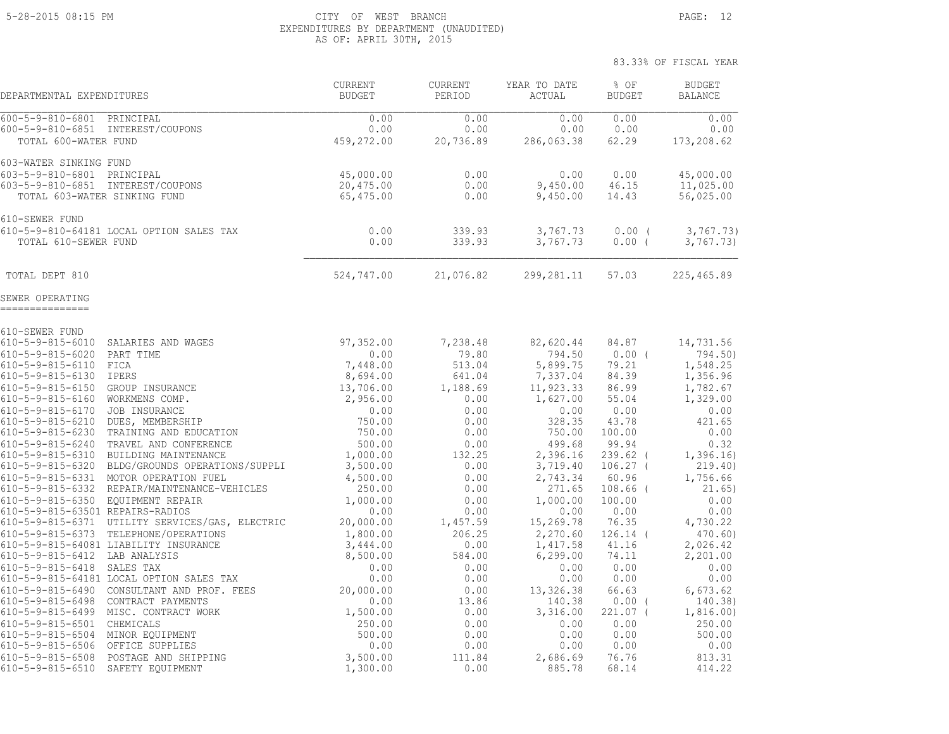#### 5-28-2015 08:15 PM CITY OF WEST BRANCH PAGE: 12 EXPENDITURES BY DEPARTMENT (UNAUDITED) AS OF: APRIL 30TH, 2015

83.33% OF FISCAL YEAR

 CURRENT CURRENT YEAR TO DATE % OF BUDGET DEPARTMENTAL EXPENDITURES BUDGET PERIOD ACTUAL BUDGET BALANCE 600-5-9-810-6801 PRINCIPAL 0.00 0.00 0.00 0.00 0.00 600-5-9-810-6851 INTEREST/COUPONS 0.00 0.00 0.00 0.00 0.00 TOTAL 600-WATER FUND 459,272.00 20,736.89 286,063.38 62.29 173,208.62 603-WATER SINKING FUND 603-5-9-810-6801 PRINCIPAL 45,000.00 0.00 0.00 0.00 45,000.00 603-5-9-810-6851 INTEREST/COUPONS 20,475.00 0.00 9,450.00 46.15 11,025.00 TOTAL 603-WATER SINKING FUND 65,475.00 0.00 9,450.00 14.43 56,025.00 610-SEWER FUND 610-5-9-810-64181 LOCAL OPTION SALES TAX 0.00 339.93 3,767.73 0.00 ( 3,767.73) TOTAL 610-SEWER FUND 0.00 339.93 3,767.73 0.00 ( 3,767.73) TOTAL DEPT 810 10 225, 324, 747.00 21, 076.82 299, 281.11 57.03 225, 465.89 SEWER OPERATING =============== 610-SEWER FUND 610-5-9-815-6010 SALARIES AND WAGES 97,352.00 7,238.48 82,620.44 84.87 14,731.56 610-5-9-815-6020 PART TIME 0.00 79.80 794.50 0.00 ( 794.50) 610-5-9-815-6110 FICA 7,448.00 513.04 5,899.75 79.21 1,548.25 610-5-9-815-6130 IPERS 8,694.00 641.04 7,337.04 84.39 1,356.96 610-5-9-815-6150 GROUP INSURANCE 13,706.00 1,188.69 11,923.33 86.99 1,782.67 610-5-9-815-6160 WORKMENS COMP. 2,956.00 0.00 1,627.00 55.04 1,329.00 610-5-9-815-6170 JOB INSURANCE 0.00 0.00 0.00 0.00 0.00 610-5-9-815-6210 DUES, MEMBERSHIP 750.00 0.00 328.35 43.78 421.65 610-5-9-815-6230 TRAINING AND EDUCATION 750.00 0.00 750.00 100.00 0.00 610-5-9-815-6240 TRAVEL AND CONFERENCE 500.00 0.00 499.68 99.94 0.32 610-5-9-815-6310 BUILDING MAINTENANCE 1,000.00 132.25 2,396.16 239.62 ( 1,396.16) 610-5-9-815-6320 BLDG/GROUNDS OPERATIONS/SUPPLI 3,500.00 0.00 3,719.40 106.27 ( 219.40) 610-5-9-815-6331 MOTOR OPERATION FUEL 4,500.00 0.00 2,743.34 60.96 1,756.66 610-5-9-815-6332 REPAIR/MAINTENANCE-VEHICLES 250.00 0.00 271.65 108.66 ( 21.65) 610-5-9-815-6350 EQUIPMENT REPAIR 1,000.00 0.00 1,000.00 100.00 0.00 610-5-9-815-63501 REPAIRS-RADIOS 0.00 0.00 0.00 0.00 0.00 610-5-9-815-6371 UTILITY SERVICES/GAS, ELECTRIC 20,000.00 1,457.59 15,269.78 76.35 4,730.22 610-5-9-815-6373 TELEPHONE/OPERATIONS 1,800.00 206.25 2,270.60 126.14 ( 470.60) 610-5-9-815-64081 LIABILITY INSURANCE 3,444.00 0.00 1,417.58 41.16 2,026.42 610-5-9-815-6412 LAB ANALYSIS 8,500.00 584.00 6,299.00 74.11 2,201.00 610-5-9-815-6418 SALES TAX 0.00 0.00 0.00 0.00 0.00 610-5-9-815-64181 LOCAL OPTION SALES TAX 0.00 0.00 0.00 0.00 0.00 610-5-9-815-6490 CONSULTANT AND PROF. FEES 20,000.00 0.00 13,326.38 66.63 6,673.62 610-5-9-815-6498 CONTRACT PAYMENTS 0.00 13.86 140.38 0.00 ( 140.38) 610-5-9-815-6499 MISC. CONTRACT WORK 1,500.00 0.00 3,316.00 221.07 ( 1,816.00) 610-5-9-815-6501 CHEMICALS 250.00 0.00 0.00 0.00 250.00 610-5-9-815-6504 MINOR EQUIPMENT 500.00 0.00 0.00 0.00 500.00 610-5-9-815-6506 OFFICE SUPPLIES 0.00 0.00 0.00 0.00 0.00 610-5-9-815-6508 POSTAGE AND SHIPPING 3,500.00 111.84 2,686.69 76.76 813.31 610-5-9-815-6510 SAFETY EQUIPMENT 1,300.00 0.00 885.78 68.14 414.22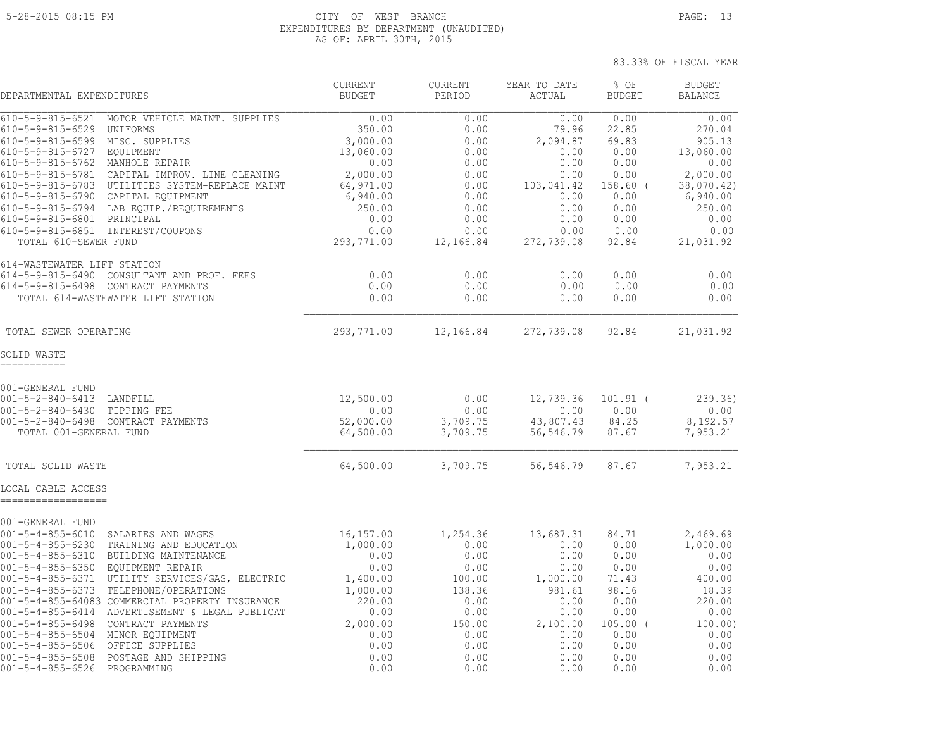#### 5-28-2015 08:15 PM CITY OF WEST BRANCH PAGE: 13 EXPENDITURES BY DEPARTMENT (UNAUDITED) AS OF: APRIL 30TH, 2015

| DEPARTMENTAL EXPENDITURES                                                                                                                                                                                                                                                                                                                                                                                                                                                                                                                                                                                                | <b>CURRENT</b><br><b>BUDGET</b>                                                                             | CURRENT<br>PERIOD                                                                              | YEAR TO DATE<br>ACTUAL                                                                              | % OF<br><b>BUDGET</b>                                                                         | <b>BUDGET</b><br><b>BALANCE</b>                                                                      |
|--------------------------------------------------------------------------------------------------------------------------------------------------------------------------------------------------------------------------------------------------------------------------------------------------------------------------------------------------------------------------------------------------------------------------------------------------------------------------------------------------------------------------------------------------------------------------------------------------------------------------|-------------------------------------------------------------------------------------------------------------|------------------------------------------------------------------------------------------------|-----------------------------------------------------------------------------------------------------|-----------------------------------------------------------------------------------------------|------------------------------------------------------------------------------------------------------|
| $610 - 5 - 9 - 815 - 6521$<br>MOTOR VEHICLE MAINT. SUPPLIES<br>610-5-9-815-6529<br>UNIFORMS<br>MISC. SUPPLIES<br>$610 - 5 - 9 - 815 - 6599$<br>610-5-9-815-6727<br>EQUIPMENT                                                                                                                                                                                                                                                                                                                                                                                                                                             | 0.00<br>350.00<br>3,000.00<br>13,060.00                                                                     | 0.00<br>0.00<br>0.00<br>0.00                                                                   | 0.00<br>79.96<br>2,094.87<br>0.00                                                                   | 0.00<br>22.85<br>69.83<br>0.00                                                                | 0.00<br>270.04<br>905.13<br>13,060.00                                                                |
| $610 - 5 - 9 - 815 - 6762$<br>MANHOLE REPAIR<br>610-5-9-815-6781<br>CAPITAL IMPROV. LINE CLEANING<br>610-5-9-815-6783<br>UTILITIES SYSTEM-REPLACE MAINT<br>$610 - 5 - 9 - 815 - 6790$<br>CAPITAL EQUIPMENT<br>610-5-9-815-6794<br>LAB EOUIP./REOUIREMENTS<br>610-5-9-815-6801<br>PRINCIPAL<br>$610 - 5 - 9 - 815 - 6851$<br>INTEREST/COUPONS<br>TOTAL 610-SEWER FUND                                                                                                                                                                                                                                                     | 0.00<br>2,000.00<br>64,971.00<br>6,940.00<br>250.00<br>0.00<br>0.00<br>293,771.00                           | 0.00<br>0.00<br>0.00<br>0.00<br>0.00<br>0.00<br>0.00<br>12,166.84                              | 0.00<br>0.00<br>103,041.42<br>0.00<br>0.00<br>0.00<br>0.00<br>272,739.08                            | 0.00<br>0.00<br>$158.60$ (<br>0.00<br>0.00<br>0.00<br>0.00<br>92.84                           | 0.00<br>2,000.00<br>38,070.42)<br>6,940.00<br>250.00<br>0.00<br>0.00<br>21,031.92                    |
| 614-WASTEWATER LIFT STATION<br>$614 - 5 - 9 - 815 - 6490$<br>CONSULTANT AND PROF. FEES<br>614-5-9-815-6498 CONTRACT PAYMENTS<br>TOTAL 614-WASTEWATER LIFT STATION                                                                                                                                                                                                                                                                                                                                                                                                                                                        | 0.00<br>0.00<br>0.00                                                                                        | 0.00<br>0.00<br>0.00                                                                           | 0.00<br>0.00<br>0.00                                                                                | 0.00<br>0.00<br>0.00                                                                          | 0.00<br>0.00<br>0.00                                                                                 |
| TOTAL SEWER OPERATING                                                                                                                                                                                                                                                                                                                                                                                                                                                                                                                                                                                                    | 293,771.00                                                                                                  | 12,166.84                                                                                      | 272,739.08                                                                                          | 92.84                                                                                         | 21,031.92                                                                                            |
| SOLID WASTE<br>===========                                                                                                                                                                                                                                                                                                                                                                                                                                                                                                                                                                                               |                                                                                                             |                                                                                                |                                                                                                     |                                                                                               |                                                                                                      |
| 001-GENERAL FUND<br>$001 - 5 - 2 - 840 - 6413$<br>LANDFILL<br>$001 - 5 - 2 - 840 - 6430$<br>TIPPING FEE<br>$001 - 5 - 2 - 840 - 6498$<br>CONTRACT PAYMENTS<br>TOTAL 001-GENERAL FUND                                                                                                                                                                                                                                                                                                                                                                                                                                     | 12,500.00<br>0.00<br>52,000.00<br>64,500.00                                                                 | 0.00<br>0.00<br>3,709.75<br>3,709.75                                                           | 12,739.36<br>0.00<br>43,807.43<br>56,546.79                                                         | $101.91$ (<br>0.00<br>84.25<br>87.67                                                          | 239.36)<br>0.00<br>8,192.57<br>7,953.21                                                              |
| TOTAL SOLID WASTE                                                                                                                                                                                                                                                                                                                                                                                                                                                                                                                                                                                                        | 64,500.00                                                                                                   | 3,709.75                                                                                       | 56,546.79                                                                                           | 87.67                                                                                         | 7,953.21                                                                                             |
| LOCAL CABLE ACCESS<br>--------------                                                                                                                                                                                                                                                                                                                                                                                                                                                                                                                                                                                     |                                                                                                             |                                                                                                |                                                                                                     |                                                                                               |                                                                                                      |
| 001-GENERAL FUND<br>$001 - 5 - 4 - 855 - 6010$<br>SALARIES AND WAGES<br>$001 - 5 - 4 - 855 - 6230$<br>TRAINING AND EDUCATION<br>$001 - 5 - 4 - 855 - 6310$<br>BUILDING MAINTENANCE<br>$001 - 5 - 4 - 855 - 6350$<br>EQUIPMENT REPAIR<br>$001 - 5 - 4 - 855 - 6371$<br>UTILITY SERVICES/GAS, ELECTRIC<br>$001 - 5 - 4 - 855 - 6373$<br>TELEPHONE/OPERATIONS<br>001-5-4-855-64083 COMMERCIAL PROPERTY INSURANCE<br>001-5-4-855-6414<br>ADVERTISEMENT & LEGAL PUBLICAT<br>$001 - 5 - 4 - 855 - 6498$<br>CONTRACT PAYMENTS<br>$001 - 5 - 4 - 855 - 6504$<br>MINOR EQUIPMENT<br>$001 - 5 - 4 - 855 - 6506$<br>OFFICE SUPPLIES | 16,157.00<br>1,000.00<br>0.00<br>0.00<br>1,400.00<br>1,000.00<br>220.00<br>0.00<br>2,000.00<br>0.00<br>0.00 | 1,254.36<br>0.00<br>0.00<br>0.00<br>100.00<br>138.36<br>0.00<br>0.00<br>150.00<br>0.00<br>0.00 | 13,687.31<br>0.00<br>0.00<br>0.00<br>1,000.00<br>981.61<br>0.00<br>0.00<br>2,100.00<br>0.00<br>0.00 | 84.71<br>0.00<br>0.00<br>0.00<br>71.43<br>98.16<br>0.00<br>0.00<br>$105.00$ (<br>0.00<br>0.00 | 2,469.69<br>1,000.00<br>0.00<br>0.00<br>400.00<br>18.39<br>220.00<br>0.00<br>100.00)<br>0.00<br>0.00 |
| $001 - 5 - 4 - 855 - 6508$<br>POSTAGE AND SHIPPING<br>$001 - 5 - 4 - 855 - 6526$<br>PROGRAMMING                                                                                                                                                                                                                                                                                                                                                                                                                                                                                                                          | 0.00<br>0.00                                                                                                | 0.00<br>0.00                                                                                   | 0.00<br>0.00                                                                                        | 0.00<br>0.00                                                                                  | 0.00<br>0.00                                                                                         |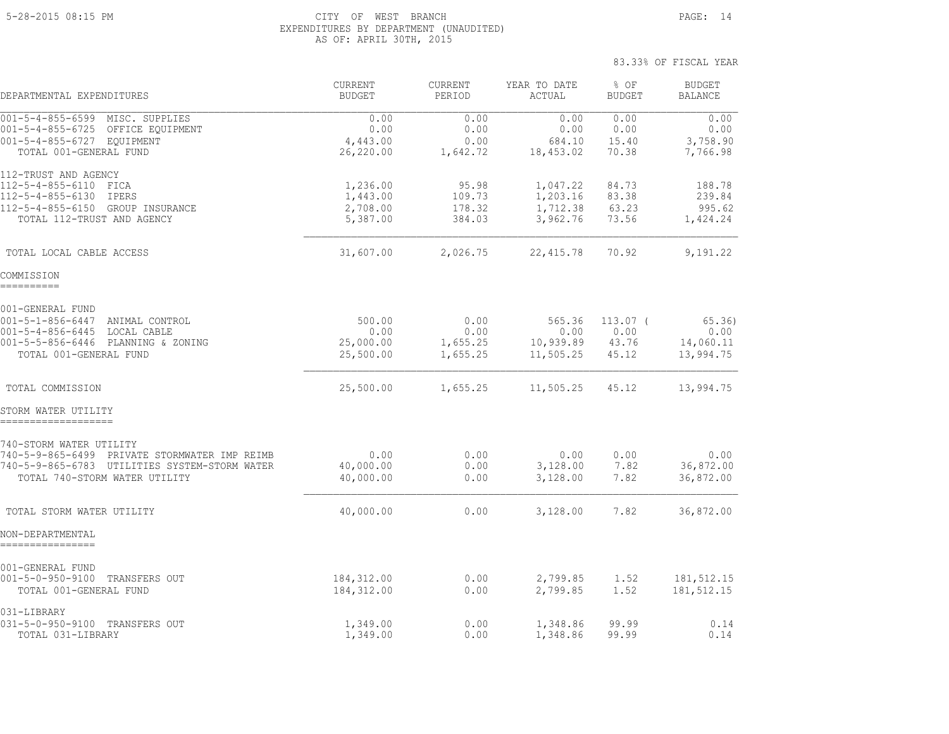#### 5-28-2015 08:15 PM CITY OF WEST BRANCH PAGE: 14 EXPENDITURES BY DEPARTMENT (UNAUDITED) AS OF: APRIL 30TH, 2015

| DEPARTMENTAL EXPENDITURES                                                                                                                                  | CURRENT<br><b>BUDGET</b>                     | <b>CURRENT</b><br>PERIOD             | YEAR TO DATE<br>ACTUAL                       | % OF<br><b>BUDGET</b>                | <b>BUDGET</b><br><b>BALANCE</b>         |
|------------------------------------------------------------------------------------------------------------------------------------------------------------|----------------------------------------------|--------------------------------------|----------------------------------------------|--------------------------------------|-----------------------------------------|
| 001-5-4-855-6599 MISC. SUPPLIES<br>001-5-4-855-6725 OFFICE EQUIPMENT<br>001-5-4-855-6727 EQUIPMENT<br>TOTAL 001-GENERAL FUND                               | 0.00<br>0.00<br>4,443.00<br>26,220.00        | 0.00<br>0.00<br>0.00<br>1,642.72     | 0.00<br>0.00<br>684.10<br>18,453.02          | 0.00<br>0.00<br>15.40<br>70.38       | 0.00<br>0.00<br>3,758.90<br>7,766.98    |
| 112-TRUST AND AGENCY<br>112-5-4-855-6110 FICA<br>112-5-4-855-6130 IPERS<br>112-5-4-855-6150 GROUP INSURANCE<br>TOTAL 112-TRUST AND AGENCY                  | 1,236.00<br>1,443.00<br>2,708.00<br>5,387.00 | 95.98<br>109.73<br>178.32<br>384.03  | 1,047.22<br>1,203.16<br>1,712.38<br>3,962.76 | 84.73<br>83.38<br>63.23<br>73.56     | 188.78<br>239.84<br>995.62<br>1,424.24  |
| TOTAL LOCAL CABLE ACCESS                                                                                                                                   | 31,607.00                                    | 2,026.75                             | 22, 415.78                                   | 70.92                                | 9,191.22                                |
| COMMISSION<br>==========                                                                                                                                   |                                              |                                      |                                              |                                      |                                         |
| 001-GENERAL FUND<br>001-5-1-856-6447 ANIMAL CONTROL<br>001-5-4-856-6445 LOCAL CABLE<br>001-5-5-856-6446 PLANNING & ZONING<br>TOTAL 001-GENERAL FUND        | 500.00<br>0.00<br>25,000.00<br>25,500.00     | 0.00<br>0.00<br>1,655.25<br>1,655.25 | 565.36<br>0.00<br>10,939.89<br>11,505.25     | $113.07$ (<br>0.00<br>43.76<br>45.12 | 65.36<br>0.00<br>14,060.11<br>13,994.75 |
| TOTAL COMMISSION                                                                                                                                           | 25,500.00                                    | 1,655.25                             | 11,505.25                                    | 45.12                                | 13,994.75                               |
| STORM WATER UTILITY<br>===================                                                                                                                 |                                              |                                      |                                              |                                      |                                         |
| 740-STORM WATER UTILITY<br>740-5-9-865-6499 PRIVATE STORMWATER IMP REIMB<br>740-5-9-865-6783 UTILITIES SYSTEM-STORM WATER<br>TOTAL 740-STORM WATER UTILITY | 0.00<br>40,000.00<br>40,000.00               | 0.00<br>0.00<br>0.00                 | 0.00<br>3,128.00<br>3,128.00                 | 0.00<br>7.82<br>7.82                 | 0.00<br>36,872.00<br>36,872.00          |
| TOTAL STORM WATER UTILITY                                                                                                                                  | 40,000.00                                    | 0.00                                 | 3,128.00                                     | 7.82                                 | 36,872.00                               |
| NON-DEPARTMENTAL<br>================                                                                                                                       |                                              |                                      |                                              |                                      |                                         |
| 001-GENERAL FUND<br>001-5-0-950-9100 TRANSFERS OUT<br>TOTAL 001-GENERAL FUND                                                                               | 184,312.00<br>184,312.00                     | 0.00<br>0.00                         | 2,799.85<br>2,799.85                         | 1.52<br>1.52                         | 181, 512.15<br>181, 512.15              |
| 031-LIBRARY<br>031-5-0-950-9100 TRANSFERS OUT<br>TOTAL 031-LIBRARY                                                                                         | 1,349.00<br>1,349.00                         | 0.00<br>0.00                         | 1,348.86<br>1,348.86                         | 99.99<br>99.99                       | 0.14<br>0.14                            |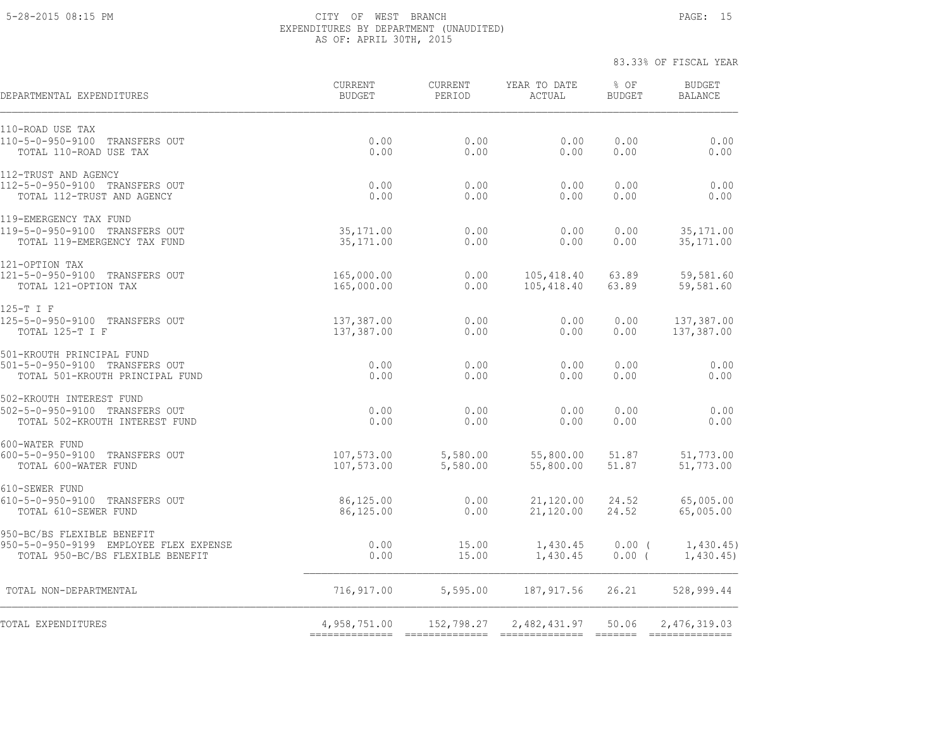#### 5-28-2015 08:15 PM CITY OF WEST BRANCH PAGE: 15 EXPENDITURES BY DEPARTMENT (UNAUDITED) AS OF: APRIL 30TH, 2015

| DEPARTMENTAL EXPENDITURES                                                                                | CURRENT<br><b>BUDGET</b> | <b>CURRENT</b><br>PERIOD | YEAR TO DATE<br>ACTUAL   | % OF<br><b>BUDGET</b> | <b>BUDGET</b><br><b>BALANCE</b> |
|----------------------------------------------------------------------------------------------------------|--------------------------|--------------------------|--------------------------|-----------------------|---------------------------------|
| 110-ROAD USE TAX<br>110-5-0-950-9100<br>TRANSFERS OUT<br>TOTAL 110-ROAD USE TAX                          | 0.00<br>0.00             | 0.00<br>0.00             | 0.00<br>0.00             | 0.00<br>0.00          | 0.00<br>0.00                    |
| 112-TRUST AND AGENCY<br>112-5-0-950-9100 TRANSFERS OUT<br>TOTAL 112-TRUST AND AGENCY                     | 0.00<br>0.00             | 0.00<br>0.00             | 0.00<br>0.00             | 0.00<br>0.00          | 0.00<br>0.00                    |
| 119-EMERGENCY TAX FUND<br>119-5-0-950-9100 TRANSFERS OUT<br>TOTAL 119-EMERGENCY TAX FUND                 | 35, 171.00<br>35, 171.00 | 0.00<br>0.00             | 0.00<br>0.00             | 0.00<br>0.00          | 35, 171.00<br>35, 171.00        |
| 121-OPTION TAX<br>121-5-0-950-9100 TRANSFERS OUT<br>TOTAL 121-OPTION TAX                                 | 165,000.00<br>165,000.00 | 0.00<br>0.00             | 105,418.40<br>105,418.40 | 63.89<br>63.89        | 59,581.60<br>59,581.60          |
| 125-T I F<br>125-5-0-950-9100 TRANSFERS OUT<br>TOTAL 125-T I F                                           | 137,387.00<br>137,387.00 | 0.00<br>0.00             | 0.00<br>0.00             | 0.00<br>0.00          | 137,387.00<br>137,387.00        |
| 501-KROUTH PRINCIPAL FUND<br>501-5-0-950-9100 TRANSFERS OUT<br>TOTAL 501-KROUTH PRINCIPAL FUND           | 0.00<br>0.00             | 0.00<br>0.00             | 0.00<br>0.00             | 0.00<br>0.00          | 0.00<br>0.00                    |
| 502-KROUTH INTEREST FUND<br>502-5-0-950-9100 TRANSFERS OUT<br>TOTAL 502-KROUTH INTEREST FUND             | 0.00<br>0.00             | 0.00<br>0.00             | 0.00<br>0.00             | 0.00<br>0.00          | 0.00<br>0.00                    |
| 600-WATER FUND<br>600-5-0-950-9100 TRANSFERS OUT<br>TOTAL 600-WATER FUND                                 | 107,573.00<br>107,573.00 | 5,580.00<br>5,580.00     | 55,800.00<br>55,800.00   | 51.87<br>51.87        | 51,773.00<br>51,773.00          |
| 610-SEWER FUND<br>610-5-0-950-9100 TRANSFERS OUT<br>TOTAL 610-SEWER FUND                                 | 86,125.00<br>86,125.00   | 0.00<br>0.00             | 21,120.00<br>21,120.00   | 24.52<br>24.52        | 65,005.00<br>65,005.00          |
| 950-BC/BS FLEXIBLE BENEFIT<br>950-5-0-950-9199 EMPLOYEE FLEX EXPENSE<br>TOTAL 950-BC/BS FLEXIBLE BENEFIT | 0.00<br>0.00             | 15.00<br>15.00           | 1,430.45<br>1,430.45     | $0.00$ (<br>$0.00$ (  | 1,430.45)<br>1,430.45           |
| TOTAL NON-DEPARTMENTAL                                                                                   | 716,917.00               | 5,595.00                 | 187, 917.56              | 26.21                 | 528,999.44                      |
| TOTAL EXPENDITURES                                                                                       | 4,958,751.00             | 152,798.27               | 2,482,431.97             | 50.06                 | 2,476,319.03                    |
|                                                                                                          |                          |                          |                          |                       |                                 |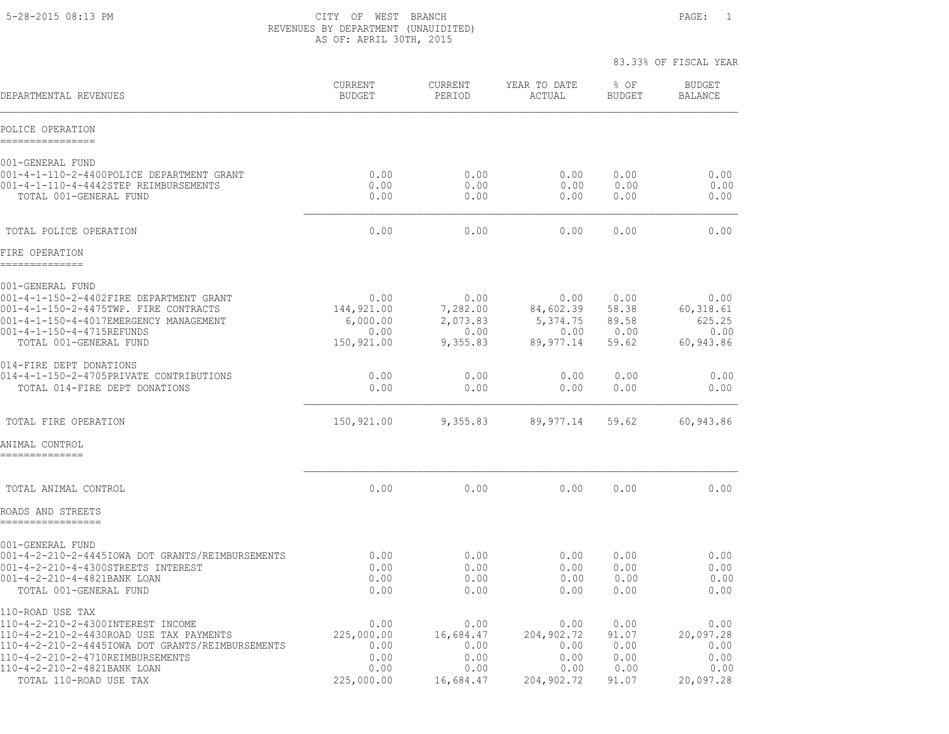5-28-2015 08:13 PM CITY OF WEST BRANCH PAGE: 1 REVENUES BY DEPARTMENT (UNAUIDITED) AS OF: APRIL 30TH, 2015

|                                                                                                                                                                                                       |                                                      |                                                  |                                                    | 83.33% OF FISCAL YEAR                   |                                                  |
|-------------------------------------------------------------------------------------------------------------------------------------------------------------------------------------------------------|------------------------------------------------------|--------------------------------------------------|----------------------------------------------------|-----------------------------------------|--------------------------------------------------|
| DEPARTMENTAL REVENUES                                                                                                                                                                                 | <b>CURRENT</b><br><b>BUDGET</b>                      | <b>CURRENT</b><br>PERIOD                         | YEAR TO DATE<br>ACTUAL                             | % OF<br><b>BUDGET</b>                   | <b>BUDGET</b><br><b>BALANCE</b>                  |
| POLICE OPERATION<br>----------------                                                                                                                                                                  |                                                      |                                                  |                                                    |                                         |                                                  |
| 001-GENERAL FUND<br>001-4-1-110-2-4400POLICE DEPARTMENT GRANT<br>001-4-1-110-4-4442STEP REIMBURSEMENTS<br>TOTAL 001-GENERAL FUND                                                                      | 0.00<br>0.00<br>0.00                                 | 0.00<br>0.00<br>0.00                             | 0.00<br>0.00<br>0.00                               | 0.00<br>0.00<br>0.00                    | 0.00<br>0.00<br>0.00                             |
| TOTAL POLICE OPERATION                                                                                                                                                                                | 0.00                                                 | 0.00                                             | 0.00                                               | 0.00                                    | 0.00                                             |
| FIRE OPERATION<br>==============                                                                                                                                                                      |                                                      |                                                  |                                                    |                                         |                                                  |
| 001-GENERAL FUND<br>001-4-1-150-2-4402FIRE DEPARTMENT GRANT<br>001-4-1-150-2-4475TWP. FIRE CONTRACTS<br>001-4-1-150-4-4017EMERGENCY MANAGEMENT<br>001-4-1-150-4-4715REFUNDS<br>TOTAL 001-GENERAL FUND | 0.00<br>144,921.00<br>6,000.00<br>0.00<br>150,921.00 | 0.00<br>7,282.00<br>2,073.83<br>0.00<br>9,355.83 | 0.00<br>84,602.39<br>5,374.75<br>0.00<br>89,977.14 | 0.00<br>58.38<br>89.58<br>0.00<br>59.62 | 0.00<br>60,318.61<br>625.25<br>0.00<br>60,943.86 |
| 014-FIRE DEPT DONATIONS<br>014-4-1-150-2-4705PRIVATE CONTRIBUTIONS<br>TOTAL 014-FIRE DEPT DONATIONS                                                                                                   | 0.00<br>0.00                                         | 0.00<br>0.00                                     | 0.00<br>0.00                                       | 0.00<br>0.00                            | 0.00<br>0.00                                     |
| TOTAL FIRE OPERATION                                                                                                                                                                                  | 150,921.00                                           | 9,355.83                                         | 89,977.14                                          | 59.62                                   | 60,943.86                                        |
| ANIMAL CONTROL<br>--------------                                                                                                                                                                      |                                                      |                                                  |                                                    |                                         |                                                  |
| TOTAL ANIMAL CONTROL                                                                                                                                                                                  | 0.00                                                 | 0.00                                             | 0.00                                               | 0.00                                    | 0.00                                             |
| ROADS AND STREETS<br>-----------------                                                                                                                                                                |                                                      |                                                  |                                                    |                                         |                                                  |
| 001-GENERAL FUND<br>001-4-2-210-2-4445IOWA DOT GRANTS/REIMBURSEMENTS<br>001-4-2-210-4-4300STREETS INTEREST<br>001-4-2-210-4-4821BANK LOAN<br>TOTAL 001-GENERAL FUND                                   | 0.00<br>0.00<br>0.00<br>0.00                         | 0.00<br>0.00<br>0.00<br>0.00                     | 0.00<br>0.00<br>0.00<br>0.00                       | 0.00<br>0.00<br>0.00<br>0.00            | 0.00<br>0.00<br>0.00<br>0.00                     |
| 110-ROAD USE TAX<br>110-4-2-210-2-4300INTEREST INCOME<br>110-4-2-210-2-4430ROAD USE TAX PAYMENTS<br>110-4-2-210-2-4445IOWA DOT GRANTS/REIMBURSEMENTS                                                  | 0.00<br>225,000.00<br>0.00                           | 0.00<br>16,684.47<br>0.00                        | 0.00<br>204,902.72<br>0.00                         | 0.00<br>91.07<br>0.00                   | 0.00<br>20,097.28<br>0.00                        |

110-4-2-210-2-4710REIMBURSEMENTS 0.00 0.00 0.00 0.00 0.00 110-4-2-210-2-4821BANK LOAN 0.00 0.00 0.00 0.00 0.00 TOTAL 110-ROAD USE TAX 225,000.00 16,684.47 204,902.72 91.07 20,097.28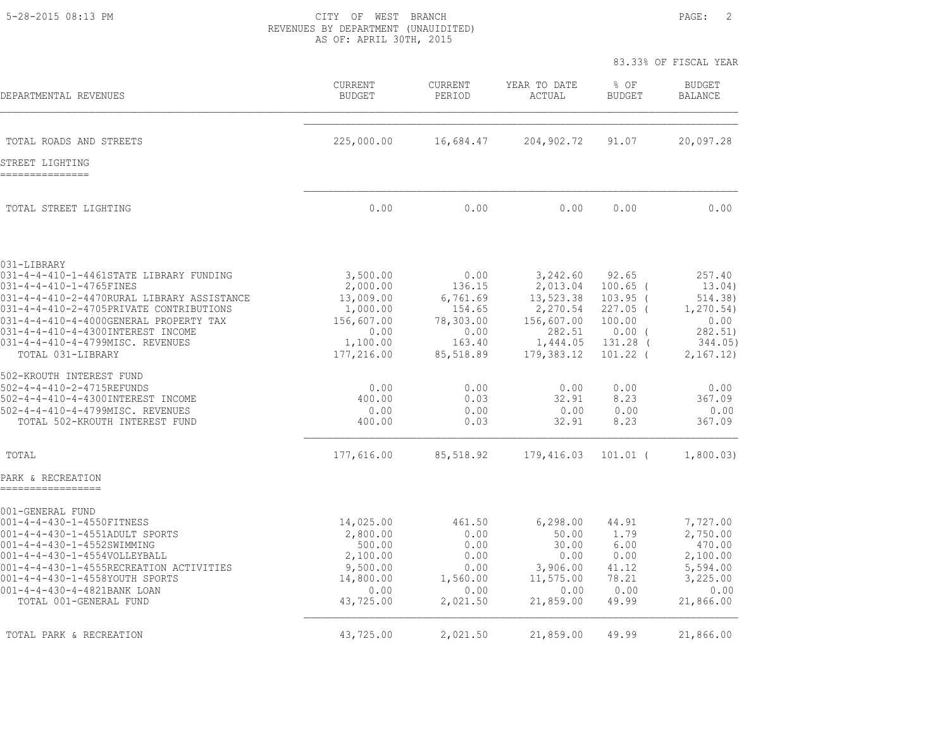5-28-2015 08:13 PM CITY OF WEST BRANCH PAGE: 2 REVENUES BY DEPARTMENT (UNAUIDITED) AS OF: APRIL 30TH, 2015

|                                                                                   |                          |                          |                        | 83.33% OF FISCAL YEAR  |                                 |  |
|-----------------------------------------------------------------------------------|--------------------------|--------------------------|------------------------|------------------------|---------------------------------|--|
| DEPARTMENTAL REVENUES                                                             | CURRENT<br><b>BUDGET</b> | <b>CURRENT</b><br>PERIOD | YEAR TO DATE<br>ACTUAL | % OF<br><b>BUDGET</b>  | <b>BUDGET</b><br><b>BALANCE</b> |  |
| TOTAL ROADS AND STREETS                                                           | 225,000.00               | 16,684.47                | 204,902.72             | 91.07                  | 20,097.28                       |  |
| STREET LIGHTING<br>---------------                                                |                          |                          |                        |                        |                                 |  |
| TOTAL STREET LIGHTING                                                             | 0.00                     | 0.00                     | 0.00                   | 0.00                   | 0.00                            |  |
| 031-LIBRARY                                                                       |                          |                          |                        |                        |                                 |  |
| 031-4-4-410-1-4461STATE LIBRARY FUNDING<br>031-4-4-410-1-4765FINES                | 3,500.00<br>2,000.00     | 0.00<br>136.15           | 3,242.60<br>2,013.04   | 92.65<br>$100.65$ (    | 257.40<br>13.04)                |  |
| 031-4-4-410-2-4470RURAL LIBRARY ASSISTANCE                                        | 13,009.00                | 6,761.69                 | 13,523.38              | $103.95$ (             | 514.38)                         |  |
| 031-4-4-410-2-4705PRIVATE CONTRIBUTIONS<br>031-4-4-410-4-4000GENERAL PROPERTY TAX | 1,000.00<br>156,607.00   | 154.65<br>78,303.00      | 2,270.54<br>156,607.00 | $227.05$ (<br>100.00   | 1, 270.54)<br>0.00              |  |
| 031-4-4-410-4-4300INTEREST INCOME                                                 | 0.00                     | 0.00                     | 282.51                 | $0.00$ (               | 282.51)                         |  |
| 031-4-4-410-4-4799MISC. REVENUES<br>TOTAL 031-LIBRARY                             | 1,100.00<br>177,216.00   | 163.40<br>85,518.89      | 1,444.05<br>179,383.12 | 131.28 (<br>$101.22$ ( | 344.05)<br>2,167.12)            |  |
| 502-KROUTH INTEREST FUND                                                          |                          |                          |                        |                        |                                 |  |
| 502-4-4-410-2-4715REFUNDS                                                         | 0.00                     | 0.00                     | 0.00                   | 0.00                   | 0.00                            |  |
| 502-4-4-410-4-4300INTEREST INCOME<br>502-4-4-410-4-4799MISC. REVENUES             | 400.00<br>0.00           | 0.03<br>0.00             | 32.91<br>0.00          | 8.23<br>0.00           | 367.09<br>0.00                  |  |
| TOTAL 502-KROUTH INTEREST FUND                                                    | 400.00                   | 0.03                     | 32.91                  | 8.23                   | 367.09                          |  |
| TOTAL                                                                             | 177,616.00               | 85,518.92                | 179,416.03             | $101.01$ (             | 1,800.03)                       |  |
| PARK & RECREATION                                                                 |                          |                          |                        |                        |                                 |  |
| 001-GENERAL FUND                                                                  |                          |                          |                        |                        |                                 |  |
| 001-4-4-430-1-4550FITNESS<br>001-4-4-430-1-4551ADULT SPORTS                       | 14,025.00<br>2,800.00    | 461.50<br>0.00           | 6, 298.00<br>50.00     | 44.91<br>1.79          | 7,727.00<br>2,750.00            |  |
| 001-4-4-430-1-4552SWIMMING                                                        | 500.00                   | 0.00                     | 30.00                  | 6.00                   | 470.00                          |  |
| 001-4-4-430-1-4554VOLLEYBALL                                                      | 2,100.00                 | 0.00                     | 0.00                   | 0.00                   | 2,100.00                        |  |
| 001-4-4-430-1-4555RECREATION ACTIVITIES<br>001-4-4-430-1-4558YOUTH SPORTS         | 9,500.00<br>14,800.00    | 0.00<br>1,560.00         | 3,906.00<br>11,575.00  | 41.12<br>78.21         | 5,594.00<br>3,225.00            |  |
| 001-4-4-430-4-4821BANK LOAN                                                       | 0.00                     | 0.00                     | 0.00                   | 0.00                   | 0.00                            |  |
| TOTAL 001-GENERAL FUND                                                            | 43,725.00                | 2,021.50                 | 21,859.00              | 49.99                  | 21,866.00                       |  |
| TOTAL PARK & RECREATION                                                           | 43,725.00                | 2,021.50                 | 21,859.00              | 49.99                  | 21,866.00                       |  |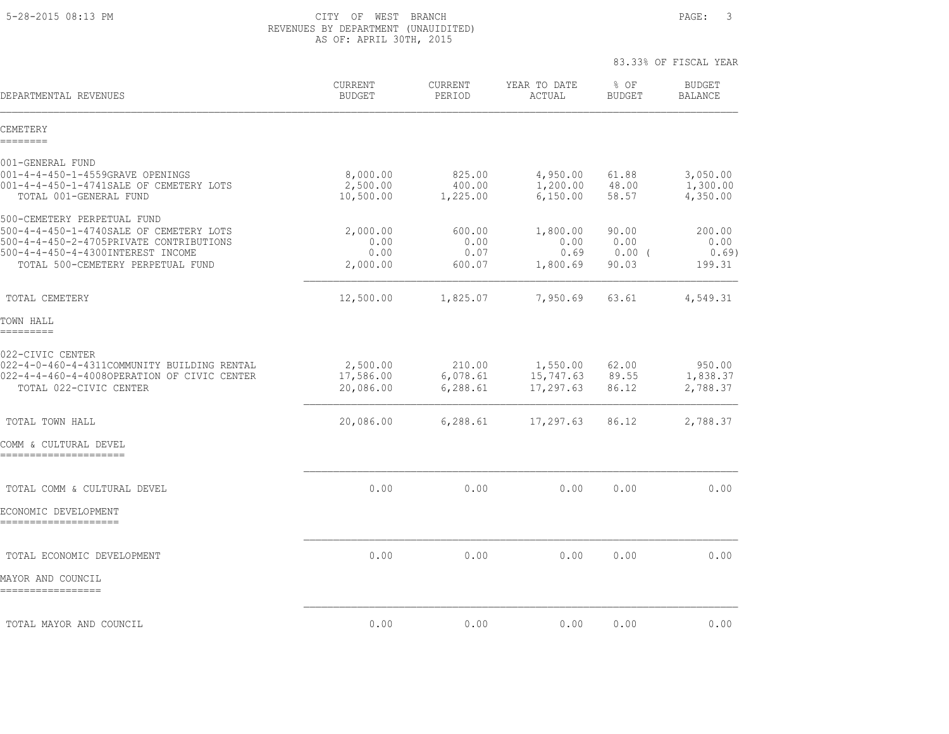5-28-2015 08:13 PM CITY OF WEST BRANCH PAGE: 3 REVENUES BY DEPARTMENT (UNAUIDITED) AS OF: APRIL 30TH, 2015

| DEPARTMENTAL REVENUES                                                                                                                                                                       | <b>CURRENT</b><br><b>BUDGET</b>      | <b>CURRENT</b><br>PERIOD         | YEAR TO DATE<br>ACTUAL               | % OF<br><b>BUDGET</b>              | <b>BUDGET</b><br><b>BALANCE</b>  |
|---------------------------------------------------------------------------------------------------------------------------------------------------------------------------------------------|--------------------------------------|----------------------------------|--------------------------------------|------------------------------------|----------------------------------|
| CEMETERY<br>========                                                                                                                                                                        |                                      |                                  |                                      |                                    |                                  |
| 001-GENERAL FUND<br>001-4-4-450-1-4559GRAVE OPENINGS<br>001-4-4-450-1-4741SALE OF CEMETERY LOTS<br>TOTAL 001-GENERAL FUND                                                                   | 8,000.00<br>2,500.00<br>10,500.00    | 825.00<br>400.00<br>1,225.00     | 4,950.00<br>1,200.00<br>6,150.00     | 61.88<br>48.00<br>58.57            | 3,050.00<br>1,300.00<br>4,350.00 |
| 500-CEMETERY PERPETUAL FUND<br>500-4-4-450-1-4740SALE OF CEMETERY LOTS<br>500-4-4-450-2-4705PRIVATE CONTRIBUTIONS<br>500-4-4-450-4-4300INTEREST INCOME<br>TOTAL 500-CEMETERY PERPETUAL FUND | 2,000.00<br>0.00<br>0.00<br>2,000.00 | 600.00<br>0.00<br>0.07<br>600.07 | 1,800.00<br>0.00<br>0.69<br>1,800.69 | 90.00<br>0.00<br>$0.00$ (<br>90.03 | 200.00<br>0.00<br>0.69<br>199.31 |
| TOTAL CEMETERY                                                                                                                                                                              | 12,500.00                            | 1,825.07                         | 7,950.69                             | 63.61                              | 4,549.31                         |
| TOWN HALL<br>=========                                                                                                                                                                      |                                      |                                  |                                      |                                    |                                  |
| 022-CIVIC CENTER<br>022-4-0-460-4-4311COMMUNITY BUILDING RENTAL<br>022-4-4-460-4-4008OPERATION OF CIVIC CENTER<br>TOTAL 022-CIVIC CENTER                                                    | 2,500.00<br>17,586.00<br>20,086.00   | 210.00<br>6,078.61<br>6, 288.61  | 1,550.00<br>15,747.63<br>17,297.63   | 62.00<br>89.55<br>86.12            | 950.00<br>1,838.37<br>2,788.37   |
| TOTAL TOWN HALL                                                                                                                                                                             | 20,086.00                            | 6,288.61                         | 17,297.63                            | 86.12                              | 2,788.37                         |
| COMM & CULTURAL DEVEL<br>======================                                                                                                                                             |                                      |                                  |                                      |                                    |                                  |
| TOTAL COMM & CULTURAL DEVEL<br>ECONOMIC DEVELOPMENT<br>=====================                                                                                                                | 0.00                                 | 0.00                             | 0.00                                 | 0.00                               | 0.00                             |
| TOTAL ECONOMIC DEVELOPMENT<br>MAYOR AND COUNCIL                                                                                                                                             | 0.00                                 | 0.00                             | 0.00                                 | 0.00                               | 0.00                             |
| =================                                                                                                                                                                           |                                      |                                  |                                      |                                    |                                  |
| TOTAL MAYOR AND COUNCIL                                                                                                                                                                     | 0.00                                 | 0.00                             | 0.00                                 | 0.00                               | 0.00                             |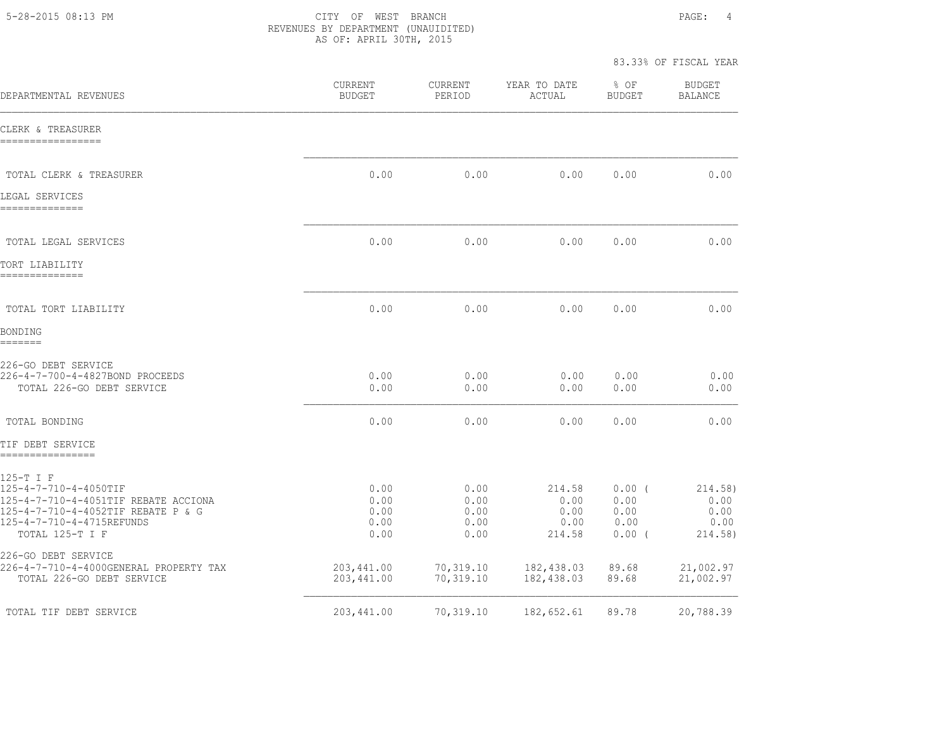5-28-2015 08:13 PM CITY OF WEST BRANCH PAGE: 4 REVENUES BY DEPARTMENT (UNAUIDITED) AS OF: APRIL 30TH, 2015

| DEPARTMENTAL REVENUES                                                                                                                                            | CURRENT<br><b>BUDGET</b>             | CURRENT<br>PERIOD                    | YEAR TO DATE<br>ACTUAL                   | % OF<br><b>BUDGET</b>                        | <b>BUDGET</b><br><b>BALANCE</b>            |
|------------------------------------------------------------------------------------------------------------------------------------------------------------------|--------------------------------------|--------------------------------------|------------------------------------------|----------------------------------------------|--------------------------------------------|
| CLERK & TREASURER<br>-----------------                                                                                                                           |                                      |                                      |                                          |                                              |                                            |
| TOTAL CLERK & TREASURER                                                                                                                                          | 0.00                                 | 0.00                                 | 0.00                                     | 0.00                                         | 0.00                                       |
| LEGAL SERVICES<br>--------------                                                                                                                                 |                                      |                                      |                                          |                                              |                                            |
| TOTAL LEGAL SERVICES                                                                                                                                             | 0.00                                 | 0.00                                 | 0.00                                     | 0.00                                         | 0.00                                       |
| TORT LIABILITY<br>--------------                                                                                                                                 |                                      |                                      |                                          |                                              |                                            |
| TOTAL TORT LIABILITY                                                                                                                                             | 0.00                                 | 0.00                                 | 0.00                                     | 0.00                                         | 0.00                                       |
| BONDING<br>=======                                                                                                                                               |                                      |                                      |                                          |                                              |                                            |
| 226-GO DEBT SERVICE<br>226-4-7-700-4-4827BOND PROCEEDS<br>TOTAL 226-GO DEBT SERVICE                                                                              | 0.00<br>0.00                         | 0.00<br>0.00                         | 0.00<br>0.00                             | 0.00<br>0.00                                 | 0.00<br>0.00                               |
| TOTAL BONDING                                                                                                                                                    | 0.00                                 | 0.00                                 | 0.00                                     | 0.00                                         | 0.00                                       |
| TIF DEBT SERVICE<br>-----------------                                                                                                                            |                                      |                                      |                                          |                                              |                                            |
| 125-T I F<br>125-4-7-710-4-4050TIF<br>125-4-7-710-4-4051TIF REBATE ACCIONA<br>125-4-7-710-4-4052TIF REBATE P & G<br>125-4-7-710-4-4715REFUNDS<br>TOTAL 125-T I F | 0.00<br>0.00<br>0.00<br>0.00<br>0.00 | 0.00<br>0.00<br>0.00<br>0.00<br>0.00 | 214.58<br>0.00<br>0.00<br>0.00<br>214.58 | $0.00$ (<br>0.00<br>0.00<br>0.00<br>$0.00$ ( | 214.58)<br>0.00<br>0.00<br>0.00<br>214.58) |
| 226-GO DEBT SERVICE<br>226-4-7-710-4-4000GENERAL PROPERTY TAX<br>TOTAL 226-GO DEBT SERVICE                                                                       | 203,441.00<br>203,441.00             | 70,319.10<br>70,319.10               | 182,438.03<br>182,438.03                 | 89.68<br>89.68                               | 21,002.97<br>21,002.97                     |
| TOTAL TIF DEBT SERVICE                                                                                                                                           | 203,441.00                           | 70,319.10                            | 182,652.61                               | 89.78                                        | 20,788.39                                  |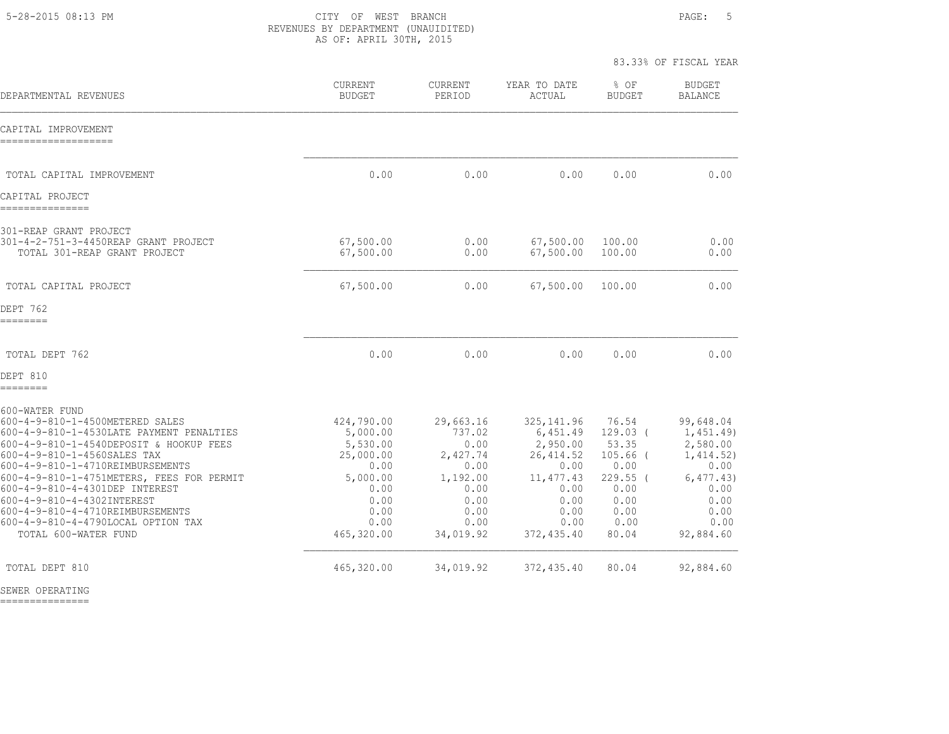5-28-2015 08:13 PM CITY OF WEST BRANCH PAGE: 5 REVENUES BY DEPARTMENT (UNAUIDITED) AS OF: APRIL 30TH, 2015

83.33% OF FISCAL YEAR

| DEPARTMENTAL REVENUES                                                                                                                                                                                                                                                                                                                                                                                                      | <b>CURRENT</b><br><b>BUDGET</b>                                                                                   | <b>CURRENT</b><br>PERIOD                                                                                 | YEAR TO DATE<br>ACTUAL                                                                                                | $8$ OF<br><b>BUDGET</b>                                                                                   | <b>BUDGET</b><br><b>BALANCE</b>                                                                                     |
|----------------------------------------------------------------------------------------------------------------------------------------------------------------------------------------------------------------------------------------------------------------------------------------------------------------------------------------------------------------------------------------------------------------------------|-------------------------------------------------------------------------------------------------------------------|----------------------------------------------------------------------------------------------------------|-----------------------------------------------------------------------------------------------------------------------|-----------------------------------------------------------------------------------------------------------|---------------------------------------------------------------------------------------------------------------------|
| CAPITAL IMPROVEMENT<br>-------------------                                                                                                                                                                                                                                                                                                                                                                                 |                                                                                                                   |                                                                                                          |                                                                                                                       |                                                                                                           |                                                                                                                     |
| TOTAL CAPITAL IMPROVEMENT                                                                                                                                                                                                                                                                                                                                                                                                  | 0.00                                                                                                              | 0.00                                                                                                     | 0.00                                                                                                                  | 0.00                                                                                                      | 0.00                                                                                                                |
| CAPITAL PROJECT<br>---------------                                                                                                                                                                                                                                                                                                                                                                                         |                                                                                                                   |                                                                                                          |                                                                                                                       |                                                                                                           |                                                                                                                     |
| 301-REAP GRANT PROJECT<br>301-4-2-751-3-4450REAP GRANT PROJECT<br>TOTAL 301-REAP GRANT PROJECT                                                                                                                                                                                                                                                                                                                             | 67,500.00<br>67,500.00                                                                                            | 0.00<br>0.00                                                                                             | 67,500.00<br>67,500.00                                                                                                | 100.00<br>100.00                                                                                          | 0.00<br>0.00                                                                                                        |
| TOTAL CAPITAL PROJECT                                                                                                                                                                                                                                                                                                                                                                                                      | 67,500.00                                                                                                         | 0.00                                                                                                     | 67,500.00                                                                                                             | 100.00                                                                                                    | 0.00                                                                                                                |
| DEPT 762<br>========                                                                                                                                                                                                                                                                                                                                                                                                       |                                                                                                                   |                                                                                                          |                                                                                                                       |                                                                                                           |                                                                                                                     |
| TOTAL DEPT 762                                                                                                                                                                                                                                                                                                                                                                                                             | 0.00                                                                                                              | 0.00                                                                                                     | 0.00                                                                                                                  | 0.00                                                                                                      | 0.00                                                                                                                |
| DEPT 810<br>========                                                                                                                                                                                                                                                                                                                                                                                                       |                                                                                                                   |                                                                                                          |                                                                                                                       |                                                                                                           |                                                                                                                     |
| 600-WATER FUND<br>600-4-9-810-1-4500METERED SALES<br>600-4-9-810-1-4530LATE PAYMENT PENALTIES<br>600-4-9-810-1-4540DEPOSIT & HOOKUP FEES<br>600-4-9-810-1-4560SALES TAX<br>600-4-9-810-1-4710REIMBURSEMENTS<br>600-4-9-810-1-4751METERS, FEES FOR PERMIT<br>600-4-9-810-4-4301DEP INTEREST<br>600-4-9-810-4-4302INTEREST<br>600-4-9-810-4-4710REIMBURSEMENTS<br>600-4-9-810-4-4790LOCAL OPTION TAX<br>TOTAL 600-WATER FUND | 424,790.00<br>5,000.00<br>5,530.00<br>25,000.00<br>0.00<br>5,000.00<br>0.00<br>0.00<br>0.00<br>0.00<br>465,320.00 | 29,663.16<br>737.02<br>0.00<br>2,427.74<br>0.00<br>1,192.00<br>0.00<br>0.00<br>0.00<br>0.00<br>34,019.92 | 325, 141.96<br>6,451.49<br>2,950.00<br>26, 414.52<br>0.00<br>11, 477.43<br>0.00<br>0.00<br>0.00<br>0.00<br>372,435.40 | 76.54<br>$129.03$ (<br>53.35<br>$105.66$ (<br>0.00<br>$229.55$ (<br>0.00<br>0.00<br>0.00<br>0.00<br>80.04 | 99,648.04<br>1,451.49)<br>2,580.00<br>1,414.52)<br>0.00<br>6, 477, 43)<br>0.00<br>0.00<br>0.00<br>0.00<br>92,884.60 |
| TOTAL DEPT 810                                                                                                                                                                                                                                                                                                                                                                                                             | 465,320.00                                                                                                        | 34,019.92                                                                                                | 372, 435.40                                                                                                           | 80.04                                                                                                     | 92,884.60                                                                                                           |

SEWER OPERATING

===============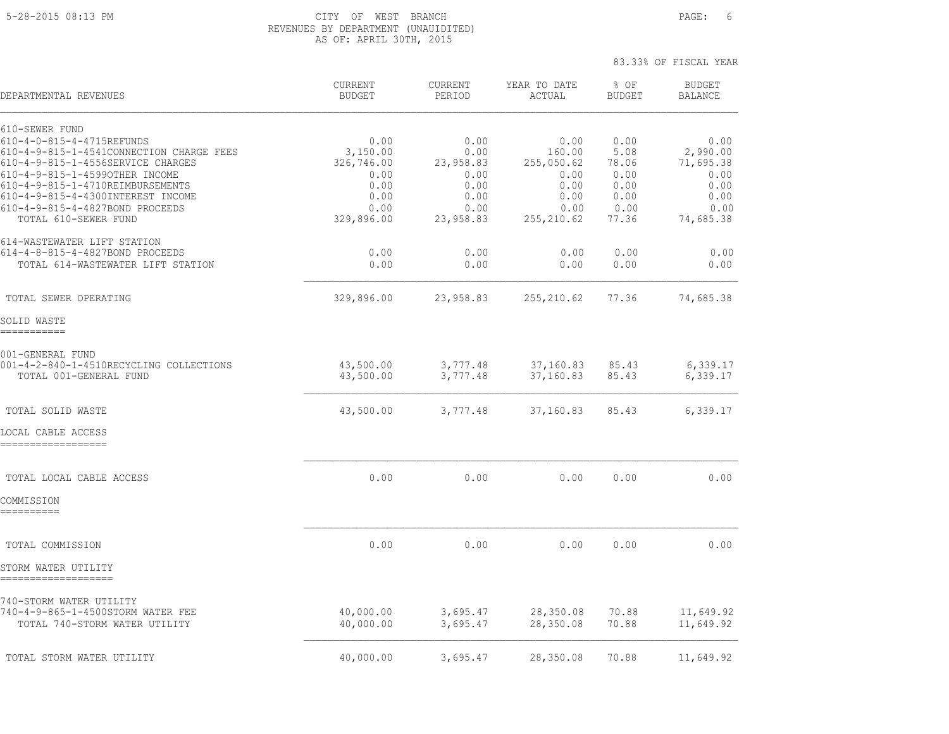## 5-28-2015 08:13 PM CITY OF WEST BRANCH PAGE: 6 REVENUES BY DEPARTMENT (UNAUIDITED) AS OF: APRIL 30TH, 2015

| DEPARTMENTAL REVENUES                                                                                                                                                                                                                                                                              | <b>CURRENT</b><br><b>BUDGET</b>                                              | <b>CURRENT</b><br>PERIOD                                               | YEAR TO DATE<br>ACTUAL                                                      | $8$ OF<br><b>BUDGET</b>                                        | <b>BUDGET</b><br><b>BALANCE</b>                                            |
|----------------------------------------------------------------------------------------------------------------------------------------------------------------------------------------------------------------------------------------------------------------------------------------------------|------------------------------------------------------------------------------|------------------------------------------------------------------------|-----------------------------------------------------------------------------|----------------------------------------------------------------|----------------------------------------------------------------------------|
| 610-SEWER FUND<br>610-4-0-815-4-4715REFUNDS<br>610-4-9-815-1-4541CONNECTION CHARGE FEES<br>610-4-9-815-1-4556SERVICE CHARGES<br>610-4-9-815-1-4599OTHER INCOME<br>610-4-9-815-1-4710REIMBURSEMENTS<br>610-4-9-815-4-4300INTEREST INCOME<br>610-4-9-815-4-4827BOND PROCEEDS<br>TOTAL 610-SEWER FUND | 0.00<br>3,150.00<br>326,746.00<br>0.00<br>0.00<br>0.00<br>0.00<br>329,896.00 | 0.00<br>0.00<br>23,958.83<br>0.00<br>0.00<br>0.00<br>0.00<br>23,958.83 | 0.00<br>160.00<br>255,050.62<br>0.00<br>0.00<br>0.00<br>0.00<br>255, 210.62 | 0.00<br>5.08<br>78.06<br>0.00<br>0.00<br>0.00<br>0.00<br>77.36 | 0.00<br>2,990.00<br>71,695.38<br>0.00<br>0.00<br>0.00<br>0.00<br>74,685.38 |
| 614-WASTEWATER LIFT STATION<br>614-4-8-815-4-4827BOND PROCEEDS<br>TOTAL 614-WASTEWATER LIFT STATION                                                                                                                                                                                                | 0.00<br>0.00                                                                 | 0.00<br>0.00                                                           | 0.00<br>0.00                                                                | 0.00<br>0.00                                                   | 0.00<br>0.00                                                               |
| TOTAL SEWER OPERATING                                                                                                                                                                                                                                                                              | 329,896.00                                                                   | 23,958.83                                                              | 255, 210.62                                                                 | 77.36                                                          | 74,685.38                                                                  |
| SOLID WASTE<br>===========                                                                                                                                                                                                                                                                         |                                                                              |                                                                        |                                                                             |                                                                |                                                                            |
| 001-GENERAL FUND<br>001-4-2-840-1-4510RECYCLING COLLECTIONS<br>TOTAL 001-GENERAL FUND                                                                                                                                                                                                              | 43,500.00<br>43,500.00                                                       | 3,777.48<br>3,777.48                                                   | 37,160.83<br>37,160.83                                                      | 85.43<br>85.43                                                 | 6,339.17<br>6,339.17                                                       |
| TOTAL SOLID WASTE                                                                                                                                                                                                                                                                                  | 43,500.00                                                                    | 3,777.48                                                               | 37,160.83                                                                   | 85.43                                                          | 6,339.17                                                                   |
| LOCAL CABLE ACCESS<br>==================                                                                                                                                                                                                                                                           |                                                                              |                                                                        |                                                                             |                                                                |                                                                            |
| TOTAL LOCAL CABLE ACCESS<br>COMMISSION<br>==========                                                                                                                                                                                                                                               | 0.00                                                                         | 0.00                                                                   | 0.00                                                                        | 0.00                                                           | 0.00                                                                       |
| TOTAL COMMISSION                                                                                                                                                                                                                                                                                   | 0.00                                                                         | 0.00                                                                   | 0.00                                                                        | 0.00                                                           | 0.00                                                                       |
| STORM WATER UTILITY                                                                                                                                                                                                                                                                                |                                                                              |                                                                        |                                                                             |                                                                |                                                                            |
| 740-STORM WATER UTILITY<br>740-4-9-865-1-4500STORM WATER FEE<br>TOTAL 740-STORM WATER UTILITY                                                                                                                                                                                                      | 40,000.00<br>40,000.00                                                       | 3,695.47<br>3,695.47                                                   | 28,350.08<br>28,350.08                                                      | 70.88<br>70.88                                                 | 11,649.92<br>11,649.92                                                     |
| TOTAL STORM WATER UTILITY                                                                                                                                                                                                                                                                          | 40,000.00                                                                    | 3,695.47                                                               | 28,350.08                                                                   | 70.88                                                          | 11,649.92                                                                  |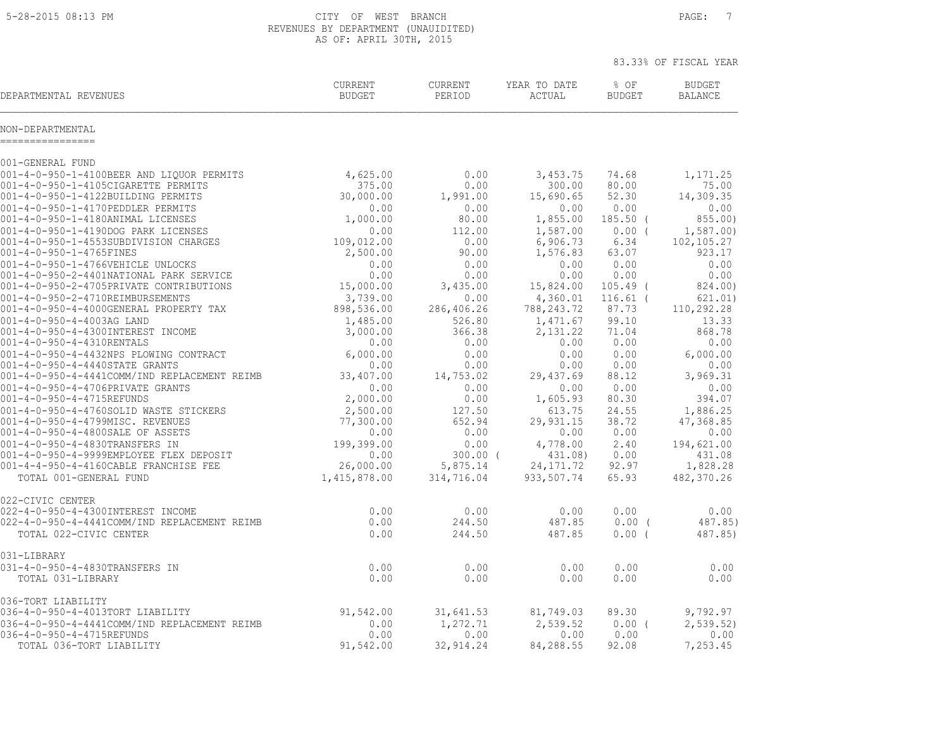5-28-2015 08:13 PM CITY OF WEST BRANCH PAGE: 7 REVENUES BY DEPARTMENT (UNAUIDITED) AS OF: APRIL 30TH, 2015

|                                                                |                          |                   |                        | 83.33% OF FISCAL YEAR |                                 |  |
|----------------------------------------------------------------|--------------------------|-------------------|------------------------|-----------------------|---------------------------------|--|
| DEPARTMENTAL REVENUES                                          | CURRENT<br><b>BUDGET</b> | CURRENT<br>PERIOD | YEAR TO DATE<br>ACTUAL | % OF<br><b>BUDGET</b> | <b>BUDGET</b><br><b>BALANCE</b> |  |
| NON-DEPARTMENTAL<br>================                           |                          |                   |                        |                       |                                 |  |
| 001-GENERAL FUND                                               |                          |                   |                        |                       |                                 |  |
| 001-4-0-950-1-4100BEER AND LIQUOR PERMITS                      | 4,625.00                 | 0.00              | 3,453.75               | 74.68                 | 1,171.25                        |  |
| 001-4-0-950-1-4105CIGARETTE PERMITS                            | 375.00                   | 0.00              | 300.00                 | 80.00                 | 75.00                           |  |
| 001-4-0-950-1-4122BUILDING PERMITS                             | 30,000.00                | 1,991.00          | 15,690.65              | 52.30                 | 14,309.35                       |  |
| 001-4-0-950-1-4170PEDDLER PERMITS                              | 0.00                     | 0.00              | 0.00                   | 0.00                  | 0.00                            |  |
| 001-4-0-950-1-4180ANIMAL LICENSES                              | 1,000.00                 | 80.00             | 1,855.00               | $185.50$ (            | 855.00)                         |  |
| 001-4-0-950-1-4190DOG PARK LICENSES                            | 0.00                     | 112.00            | 1,587.00               | $0.00$ (              | 1,587.00                        |  |
| 001-4-0-950-1-4553SUBDIVISION CHARGES                          | 109,012.00               | 0.00              | 6,906.73               | 6.34                  | 102,105.27                      |  |
| 001-4-0-950-1-4765FINES                                        | 2,500.00                 | 90.00             | 1,576.83               | 63.07                 | 923.17                          |  |
| 001-4-0-950-1-4766VEHICLE UNLOCKS                              | 0.00                     | 0.00              | 0.00                   | 0.00                  | 0.00                            |  |
| 001-4-0-950-2-4401NATIONAL PARK SERVICE                        | 0.00                     | 0.00              | 0.00                   | 0.00                  | 0.00                            |  |
| 001-4-0-950-2-4705PRIVATE CONTRIBUTIONS                        | 15,000.00                | 3,435.00          | 15,824.00              | $105.49$ (            | 824.00)                         |  |
| 001-4-0-950-2-4710REIMBURSEMENTS                               | 3,739.00                 | 0.00              | 4,360.01               | $116.61$ (            | 621.01)                         |  |
| 001-4-0-950-4-4000GENERAL PROPERTY TAX                         | 898,536.00               | 286,406.26        | 788, 243. 72           | 87.73                 | 110,292.28                      |  |
| 001-4-0-950-4-4003AG LAND                                      | 1,485.00                 | 526.80            | 1,471.67               | 99.10                 | 13.33                           |  |
| 001-4-0-950-4-4300INTEREST INCOME<br>001-4-0-950-4-4310RENTALS | 3,000.00<br>0.00         | 366.38<br>0.00    | 2,131.22<br>0.00       | 71.04<br>0.00         | 868.78<br>0.00                  |  |
| 001-4-0-950-4-4432NPS PLOWING CONTRACT                         | 6,000.00                 | 0.00              | 0.00                   | 0.00                  | 6,000.00                        |  |
| 001-4-0-950-4-4440STATE GRANTS                                 | 0.00                     | 0.00              | 0.00                   | 0.00                  | 0.00                            |  |
| 001-4-0-950-4-4441COMM/IND REPLACEMENT REIMB                   | 33,407.00                | 14,753.02         | 29, 437.69             | 88.12                 | 3,969.31                        |  |
| 001-4-0-950-4-4706PRIVATE GRANTS                               | 0.00                     | 0.00              | 0.00                   | 0.00                  | 0.00                            |  |
| 001-4-0-950-4-4715REFUNDS                                      | 2,000.00                 | 0.00              | 1,605.93               | 80.30                 | 394.07                          |  |
| 001-4-0-950-4-4760SOLID WASTE STICKERS                         | 2,500.00                 | 127.50            | 613.75                 | 24.55                 | 1,886.25                        |  |
| 001-4-0-950-4-4799MISC. REVENUES                               | 77,300.00                | 652.94            | 29,931.15              | 38.72                 | 47,368.85                       |  |
| 001-4-0-950-4-4800SALE OF ASSETS                               | 0.00                     | 0.00              | 0.00                   | 0.00                  | 0.00                            |  |
| 001-4-0-950-4-4830TRANSFERS IN                                 | 199,399.00               | 0.00              | 4,778.00               | 2.40                  | 194,621.00                      |  |
| 001-4-0-950-4-9999EMPLOYEE FLEX DEPOSIT                        | 0.00                     | $300.00$ (        | 431.08)                | 0.00                  | 431.08                          |  |
| 001-4-4-950-4-4160CABLE FRANCHISE FEE                          | 26,000.00                | 5,875.14          | 24, 171.72             | 92.97                 | 1,828.28                        |  |
| TOTAL 001-GENERAL FUND                                         | 1,415,878.00             | 314,716.04        | 933,507.74             | 65.93                 | 482,370.26                      |  |
| 022-CIVIC CENTER                                               |                          |                   |                        |                       |                                 |  |
| 022-4-0-950-4-4300INTEREST INCOME                              | 0.00                     | 0.00              | 0.00                   | 0.00                  | 0.00                            |  |
| 022-4-0-950-4-4441COMM/IND REPLACEMENT REIMB                   | 0.00                     | 244.50            | 487.85                 | $0.00$ (              | 487.85)                         |  |
| TOTAL 022-CIVIC CENTER                                         | 0.00                     | 244.50            | 487.85                 | $0.00$ (              | 487.85)                         |  |
| 031-LIBRARY                                                    |                          |                   |                        |                       |                                 |  |
| 031-4-0-950-4-4830TRANSFERS IN                                 | 0.00                     | 0.00              | 0.00                   | 0.00                  | 0.00                            |  |
| TOTAL 031-LIBRARY                                              | 0.00                     | 0.00              | 0.00                   | 0.00                  | 0.00                            |  |
| 036-TORT LIABILITY                                             |                          |                   |                        |                       |                                 |  |
| 036-4-0-950-4-4013TORT LIABILITY                               | 91,542.00                | 31,641.53         | 81,749.03              | 89.30                 | 9,792.97                        |  |
| 036-4-0-950-4-4441COMM/IND REPLACEMENT REIMB                   | 0.00                     | 1,272.71          | 2,539.52               | $0.00$ (              | 2, 539.52                       |  |
| 036-4-0-950-4-4715REFUNDS                                      | 0.00                     | 0.00              | 0.00                   | 0.00                  | 0.00                            |  |
| TOTAL 036-TORT LIABILITY                                       | 91,542.00                | 32, 914.24        | 84,288.55              | 92.08                 | 7,253.45                        |  |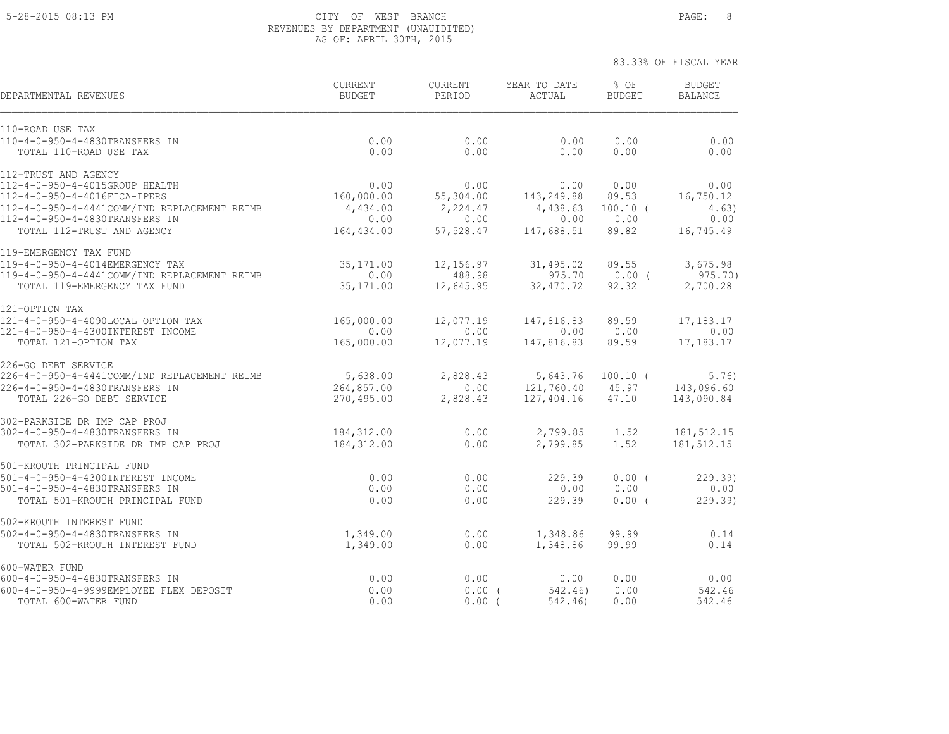## 5-28-2015 08:13 PM CITY OF WEST BRANCH PAGE: 8 REVENUES BY DEPARTMENT (UNAUIDITED) AS OF: APRIL 30TH, 2015

| DEPARTMENTAL REVENUES                        | <b>CURRENT</b><br><b>BUDGET</b> | <b>CURRENT</b><br>PERIOD | YEAR TO DATE<br>ACTUAL | % OF<br><b>BUDGET</b> | <b>BUDGET</b><br><b>BALANCE</b> |
|----------------------------------------------|---------------------------------|--------------------------|------------------------|-----------------------|---------------------------------|
| 110-ROAD USE TAX                             |                                 |                          |                        |                       |                                 |
| 110-4-0-950-4-4830TRANSFERS IN               | 0.00                            | 0.00                     | 0.00                   | 0.00                  | 0.00                            |
| TOTAL 110-ROAD USE TAX                       | 0.00                            | 0.00                     | 0.00                   | 0.00                  | 0.00                            |
| 112-TRUST AND AGENCY                         |                                 |                          |                        |                       |                                 |
| 112-4-0-950-4-4015GROUP HEALTH               | 0.00                            | 0.00                     | 0.00                   | 0.00                  | 0.00                            |
| 112-4-0-950-4-4016FICA-IPERS                 | 160,000.00                      | 55,304.00                | 143,249.88             | 89.53                 | 16,750.12                       |
| 112-4-0-950-4-4441COMM/IND REPLACEMENT REIMB | 4,434.00                        | 2,224.47                 | 4,438.63               | $100.10$ (            | 4.63)                           |
| 112-4-0-950-4-4830TRANSFERS IN               | 0.00                            | 0.00                     | 0.00                   | 0.00                  | 0.00                            |
| TOTAL 112-TRUST AND AGENCY                   | 164,434.00                      | 57,528.47                | 147,688.51             | 89.82                 | 16,745.49                       |
| 119-EMERGENCY TAX FUND                       |                                 |                          |                        |                       |                                 |
| 119-4-0-950-4-4014EMERGENCY TAX              | 35, 171.00                      | 12,156.97                | 31,495.02              | 89.55                 | 3,675.98                        |
| 119-4-0-950-4-4441COMM/IND REPLACEMENT REIMB | 0.00                            | 488.98                   | 975.70                 | $0.00$ (              | $975.70$ )                      |
| TOTAL 119-EMERGENCY TAX FUND                 | 35, 171.00                      | 12,645.95                | 32, 470.72             | 92.32                 | 2,700.28                        |
| 121-OPTION TAX                               |                                 |                          |                        |                       |                                 |
| 121-4-0-950-4-4090LOCAL OPTION TAX           | 165,000.00                      | 12,077.19                | 147,816.83             | 89.59                 | 17, 183. 17                     |
| 121-4-0-950-4-4300INTEREST INCOME            | 0.00                            | 0.00                     | 0.00                   | 0.00                  | 0.00                            |
| TOTAL 121-OPTION TAX                         | 165,000.00                      | 12,077.19                | 147,816.83             | 89.59                 | 17,183.17                       |
| 226-GO DEBT SERVICE                          |                                 |                          |                        |                       |                                 |
| 226-4-0-950-4-4441COMM/IND REPLACEMENT REIMB | 5,638.00                        | 2,828.43                 | 5,643.76               | $100.10$ (            | 5.76)                           |
| 226-4-0-950-4-4830TRANSFERS IN               | 264,857.00                      | 0.00                     | 121,760.40             | 45.97                 | 143,096.60                      |
| TOTAL 226-GO DEBT SERVICE                    | 270,495.00                      | 2,828.43                 | 127,404.16             | 47.10                 | 143,090.84                      |
| 302-PARKSIDE DR IMP CAP PROJ                 |                                 |                          |                        |                       |                                 |
| 302-4-0-950-4-4830TRANSFERS IN               | 184, 312.00                     | 0.00                     | 2,799.85               | 1.52                  | 181,512.15                      |
| TOTAL 302-PARKSIDE DR IMP CAP PROJ           | 184,312.00                      | 0.00                     | 2,799.85               | 1.52                  | 181, 512.15                     |
| 501-KROUTH PRINCIPAL FUND                    |                                 |                          |                        |                       |                                 |
| 501-4-0-950-4-4300INTEREST INCOME            | 0.00                            | 0.00                     | 229.39                 | $0.00$ (              | 229.39                          |
| 501-4-0-950-4-4830TRANSFERS IN               | 0.00                            | 0.00                     | 0.00                   | 0.00                  | 0.00                            |
| TOTAL 501-KROUTH PRINCIPAL FUND              | 0.00                            | 0.00                     | 229.39                 | $0.00$ (              | 229.39                          |
| 502-KROUTH INTEREST FUND                     |                                 |                          |                        |                       |                                 |
| 502-4-0-950-4-4830TRANSFERS IN               | 1,349.00                        | 0.00                     | 1,348.86               | 99.99                 | 0.14                            |
| TOTAL 502-KROUTH INTEREST FUND               | 1,349.00                        | 0.00                     | 1,348.86               | 99.99                 | 0.14                            |
| 600-WATER FUND                               |                                 |                          |                        |                       |                                 |
| 600-4-0-950-4-4830TRANSFERS IN               | 0.00                            | 0.00                     | 0.00                   | 0.00                  | 0.00                            |
| 600-4-0-950-4-9999EMPLOYEE FLEX DEPOSIT      | 0.00                            | 0.00(                    | 542.46)                | 0.00                  | 542.46                          |
| TOTAL 600-WATER FUND                         | 0.00                            | 0.00(                    | 542.46)                | 0.00                  | 542.46                          |